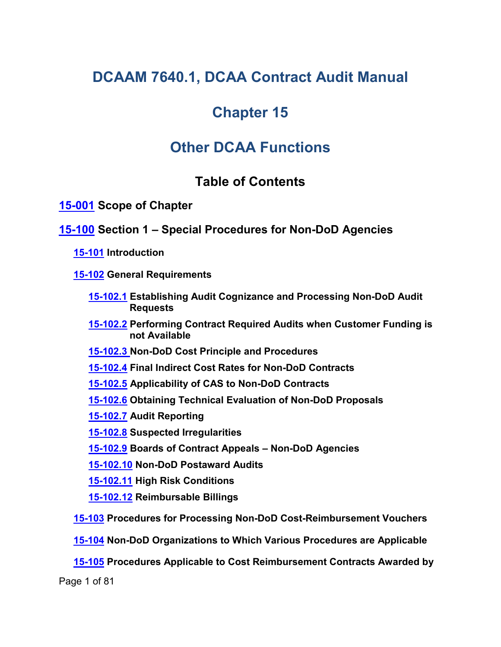# **DCAAM 7640.1, DCAA Contract Audit Manual**

# **Chapter 15**

# **Other DCAA Functions**

# <span id="page-0-9"></span><span id="page-0-7"></span><span id="page-0-6"></span><span id="page-0-3"></span><span id="page-0-2"></span><span id="page-0-1"></span><span id="page-0-0"></span>**Table of Contents**

**[15-001](#page-6-0) Scope of Chapter**

# **[15-100](#page-6-1) Section 1 – Special Procedures for Non-DoD Agencies**

**[15-101](#page-6-2) Introduction**

**[15-102](#page-6-3) General Requirements**

- <span id="page-0-4"></span>**[15-102.1](#page-7-0) Establishing Audit Cognizance and Processing Non-DoD Audit Requests**
- <span id="page-0-5"></span>**[15-102.2](#page-7-1) Performing Contract Required Audits when Customer Funding is not Available**
- **[15-102.3](#page-8-0) Non-DoD Cost Principle and Procedures**
- **[15-102.4](#page-9-0) Final Indirect Cost Rates for Non-DoD Contracts**
- <span id="page-0-8"></span>**[15-102.5](#page-9-1) Applicability of CAS to Non-DoD Contracts**
- **[15-102.6](#page-9-2) Obtaining Technical Evaluation of Non-DoD Proposals**
- <span id="page-0-10"></span>**[15-102.7](#page-9-3) Audit Reporting**
- <span id="page-0-11"></span>**[15-102.8](#page-10-0) Suspected Irregularities**
- <span id="page-0-12"></span>**[15-102.9](#page-10-1) Boards of Contract Appeals – Non-DoD Agencies**
- <span id="page-0-13"></span>**[15-102.10](#page-10-2) Non-DoD Postaward Audits**
- <span id="page-0-14"></span>**[15-102.11](#page-11-0) High Risk Conditions**
- <span id="page-0-17"></span><span id="page-0-16"></span><span id="page-0-15"></span>**[15-102.12](#page-11-1) Reimbursable Billings**
- **[15-103](#page-11-2) Procedures for Processing Non-DoD Cost-Reimbursement Vouchers**
- **[15-104](#page-13-0) Non-DoD Organizations to Which Various Procedures are Applicable**
- **[15-105](#page-15-0) Procedures Applicable to Cost Reimbursement Contracts Awarded by**

Page 1 of 81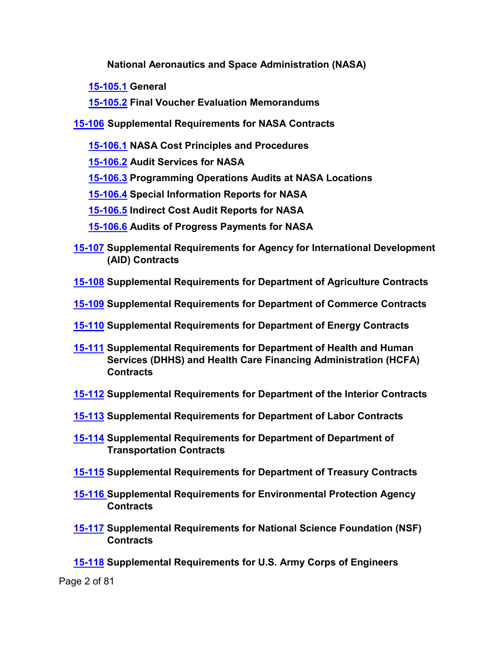<span id="page-1-6"></span><span id="page-1-4"></span><span id="page-1-3"></span><span id="page-1-2"></span><span id="page-1-1"></span><span id="page-1-0"></span>**National Aeronautics and Space Administration (NASA)**

- **[15-105.1](#page-15-1) General**
- <span id="page-1-7"></span><span id="page-1-5"></span>**[15-105.2](#page-17-0) Final Voucher Evaluation Memorandums**
- **[15-106](#page-17-1) Supplemental Requirements for NASA Contracts**
	- **[15-106.1](#page-17-2) NASA Cost Principles and Procedures**
	- **[15-106.2](#page-17-3) Audit Services for NASA**
	- **[15-106.3](#page-18-0) Programming Operations Audits at NASA Locations**
	- **[15-106.4](#page-18-1) Special Information Reports for NASA**
	- **[15-106.5](#page-18-2) Indirect Cost Audit Reports for NASA**
	- **[15-106.6](#page-19-0) Audits of Progress Payments for NASA**
- <span id="page-1-10"></span><span id="page-1-9"></span><span id="page-1-8"></span>**[15-107](#page-19-1) Supplemental Requirements for Agency for International Development (AID) Contracts**
- <span id="page-1-11"></span>**[15-108](#page-19-2) Supplemental Requirements for Department of Agriculture Contracts**
- <span id="page-1-12"></span>**[15-109](#page-19-3) Supplemental Requirements for Department of Commerce Contracts**
- <span id="page-1-13"></span>**[15-110](#page-19-4) Supplemental Requirements for Department of Energy Contracts**
- **[15-111](#page-20-0) Supplemental Requirements for Department of Health and Human Services (DHHS) and Health Care Financing Administration (HCFA) Contracts**
- <span id="page-1-15"></span><span id="page-1-14"></span>**[15-112](#page-21-0) Supplemental Requirements for Department of the Interior Contracts**
- <span id="page-1-16"></span>**[15-113](#page-21-1) Supplemental Requirements for Department of Labor Contracts**
- <span id="page-1-17"></span>**[15-114](#page-21-2) Supplemental Requirements for Department of Department of Transportation Contracts**
- <span id="page-1-18"></span>**[15-115](#page-22-0) Supplemental Requirements for Department of Treasury Contracts**
- <span id="page-1-19"></span>**[15-116](#page-23-0) Supplemental Requirements for Environmental Protection Agency Contracts**
- <span id="page-1-20"></span>**[15-117](#page-24-0) Supplemental Requirements for National Science Foundation (NSF) Contracts**
- **[15-118](#page-24-1) Supplemental Requirements for U.S. Army Corps of Engineers**

Page 2 of 81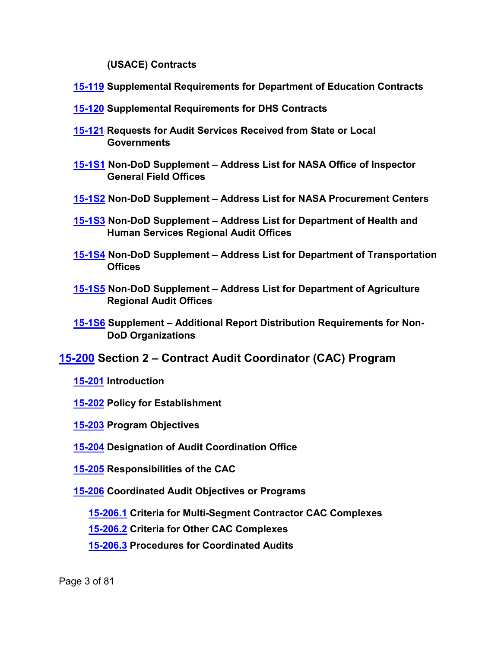<span id="page-2-5"></span><span id="page-2-2"></span><span id="page-2-1"></span><span id="page-2-0"></span>**(USACE) Contracts**

- **[15-119](#page-24-2) Supplemental Requirements for Department of Education Contracts**
- **[15-120](#page-25-0) Supplemental Requirements for DHS Contracts**
- <span id="page-2-3"></span>**[15-121](#page-25-1) Requests for Audit Services Received from State or Local Governments**
- <span id="page-2-4"></span>**[15-1S1](#page-27-0) Non-DoD Supplement – Address List for NASA Office of Inspector General Field Offices**
- **[15-1S2](#page-29-0) Non-DoD Supplement – Address List for NASA Procurement Centers**
- <span id="page-2-6"></span>**[15-1S3](#page-31-0) Non-DoD Supplement – Address List for Department of Health and Human Services Regional Audit Offices**
- <span id="page-2-7"></span>**[15-1S4](#page-33-0) Non-DoD Supplement – Address List for Department of Transportation Offices**
- **[15-1S5](#page-36-0) Non-DoD Supplement – Address List for Department of Agriculture Regional Audit Offices**
- **[15-1S6](#page-38-0) Supplement – Additional Report Distribution Requirements for Non-DoD Organizations**
- **[15-200](#page-40-0) Section 2 – Contract Audit Coordinator (CAC) Program**
	- **[15-201](#page-40-1) Introduction**
	- **[15-202](#page-40-2) Policy for Establishment**
	- **[15-203](#page-41-0) Program Objectives**
	- **[15-204](#page-41-1) Designation of Audit Coordination Office**
	- **[15-205](#page-42-0) Responsibilities of the CAC**
	- **[15-206](#page-45-0) Coordinated Audit Objectives or Programs**
		- **[15-206.1](#page-45-1) Criteria for Multi-Segment Contractor CAC Complexes**
		- **[15-206.2](#page-46-0) Criteria for Other CAC Complexes**
		- **[15-206.3](#page-46-1) Procedures for Coordinated Audits**

Page 3 of 81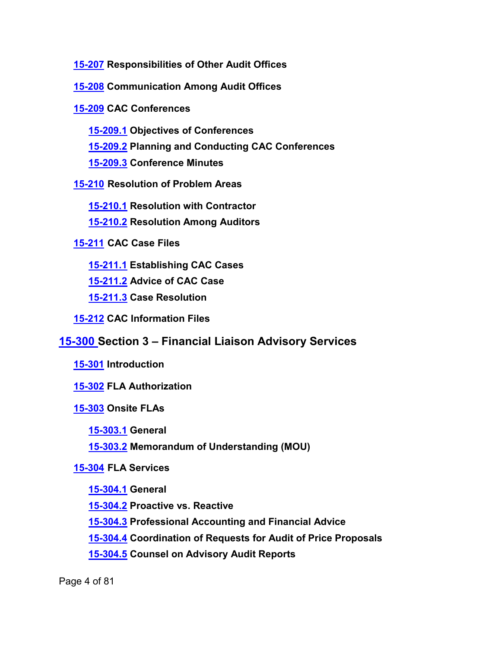**[15-207](#page-47-0) Responsibilities of Other Audit Offices**

**[15-208](#page-48-0) Communication Among Audit Offices**

**[15-209](#page-48-1) CAC Conferences**

**[15-209.1](#page-48-2) Objectives of Conferences**

**[15-209.2](#page-48-3) Planning and Conducting CAC Conferences**

**[15-209.3](#page-50-0) Conference Minutes**

**[15-210](#page-50-1) Resolution of Problem Areas**

**[15-210.1](#page-50-2) Resolution with Contractor**

**[15-210.2](#page-50-3) Resolution Among Auditors**

**[15-211](#page-50-4) CAC Case Files**

**[15-211.1](#page-51-0) Establishing CAC Cases**

**[15-211.2](#page-51-1) Advice of CAC Case**

**[15-211.3](#page-52-0) Case Resolution**

**[15-212](#page-52-1) CAC Information Files**

# **[15-300](#page-54-0) Section 3 – Financial Liaison Advisory Services**

**[15-301](#page-54-1) Introduction**

**[15-302](#page-55-0) FLA Authorization**

**[15-303](#page-55-1) Onsite FLAs**

**[15-303.1](#page-55-2) General**

**[15-303.2](#page-55-3) Memorandum of Understanding (MOU)**

# **[15-304](#page-56-0) FLA Services**

**[15-304.1](#page-56-1) General**

**[15-304.2](#page-56-2) Proactive vs. Reactive**

**[15-304.3](#page-56-3) Professional Accounting and Financial Advice**

**[15-304.4](#page-57-0) Coordination of Requests for Audit of Price Proposals**

**[15-304.5](#page-58-0) Counsel on Advisory Audit Reports**

Page 4 of 81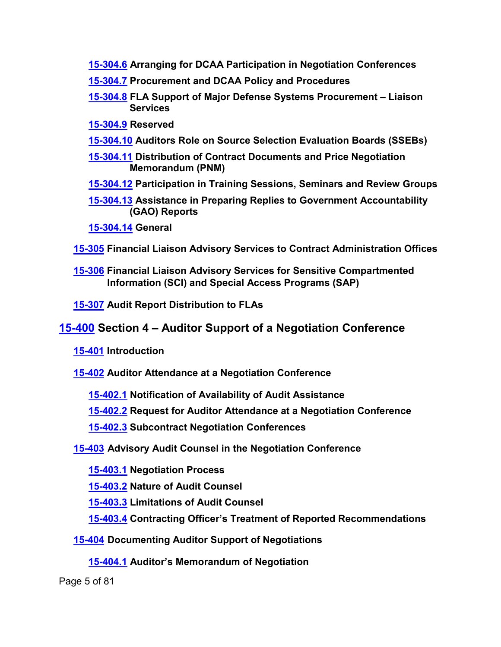- **[15-304.6](#page-59-0) Arranging for DCAA Participation in Negotiation Conferences**
- **[15-304.7](#page-60-0) Procurement and DCAA Policy and Procedures**
- **[15-304.8](#page-60-1) FLA Support of Major Defense Systems Procurement – Liaison Services**
- **[15-304.9](#page-61-0) Reserved**
- **[15-304.10](#page-61-1) Auditors Role on Source Selection Evaluation Boards (SSEBs)**
- **[15-304.11](#page-62-0) Distribution of Contract Documents and Price Negotiation Memorandum (PNM)**
- **[15-304.12](#page-63-0) Participation in Training Sessions, Seminars and Review Groups**
- **[15-304.13](#page-63-1) Assistance in Preparing Replies to Government Accountability (GAO) Reports**
- **[15-304.14](#page-63-2) General**
- **[15-305](#page-63-3) Financial Liaison Advisory Services to Contract Administration Offices**
- **[15-306](#page-64-0) Financial Liaison Advisory Services for Sensitive Compartmented Information (SCI) and Special Access Programs (SAP)**
- **[15-307](#page-64-1) Audit Report Distribution to FLAs**

# **[15-400](#page-64-2) Section 4 – Auditor Support of a Negotiation Conference**

- **[15-401](#page-64-3) Introduction**
- **[15-402](#page-65-0) Auditor Attendance at a Negotiation Conference**
	- **[15-402.1](#page-65-1) Notification of Availability of Audit Assistance**
	- **[15-402.2](#page-65-2) Request for Auditor Attendance at a Negotiation Conference**
	- **[15-402.3](#page-65-3) Subcontract Negotiation Conferences**

**[15-403](#page-66-0) Advisory Audit Counsel in the Negotiation Conference**

- **[15-403.1](#page-66-1) Negotiation Process**
- **[15-403.2](#page-66-2) Nature of Audit Counsel**
- **[15-403.3](#page-67-0) Limitations of Audit Counsel**
- **[15-403.4](#page-68-0) Contracting Officer's Treatment of Reported Recommendations**
- **[15-404](#page-68-1) Documenting Auditor Support of Negotiations**
	- **[15-404.1](#page-68-2) Auditor's Memorandum of Negotiation**

Page 5 of 81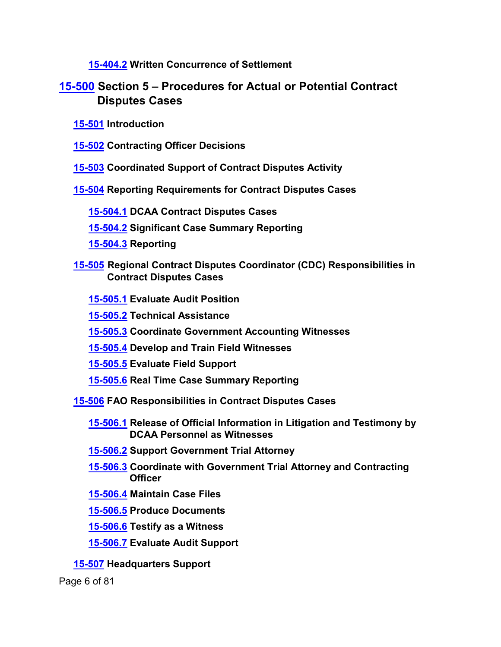**[15-404.2](#page-69-0) Written Concurrence of Settlement**

# **[15-500](#page-69-1) Section 5 – Procedures for Actual or Potential Contract Disputes Cases**

- **[15-501](#page-69-2) Introduction**
- **[15-502](#page-69-3) Contracting Officer Decisions**
- **[15-503](#page-69-4) Coordinated Support of Contract Disputes Activity**
- **[15-504](#page-70-0) Reporting Requirements for Contract Disputes Cases**
	- **[15-504.1](#page-70-1) DCAA Contract Disputes Cases**
	- **[15-504.2](#page-71-0) Significant Case Summary Reporting**
	- **[15-504.3](#page-72-0) Reporting**
- **[15-505](#page-72-1) Regional Contract Disputes Coordinator (CDC) Responsibilities in Contract Disputes Cases**
	- **[15-505.1](#page-72-2) Evaluate Audit Position**
	- **[15-505.2](#page-72-3) Technical Assistance**
	- **[15-505.3](#page-72-4) Coordinate Government Accounting Witnesses**
	- **[15-505.4](#page-73-0) Develop and Train Field Witnesses**
	- **[15-505.5](#page-73-1) Evaluate Field Support**
	- **[15-505.6](#page-73-2) Real Time Case Summary Reporting**
- **[15-506](#page-73-3) FAO Responsibilities in Contract Disputes Cases**
	- **[15-506.1](#page-73-4) Release of Official Information in Litigation and Testimony by DCAA Personnel as Witnesses**
	- **[15-506.2](#page-74-0) Support Government Trial Attorney**
	- **[15-506.3](#page-74-1) Coordinate with Government Trial Attorney and Contracting Officer**
	- **[15-506.4](#page-74-2) Maintain Case Files**
	- **[15-506.5](#page-74-3) Produce Documents**
	- **[15-506.6](#page-75-0) Testify as a Witness**
	- **[15-506.7](#page-75-1) Evaluate Audit Support**
- **[15-507](#page-75-2) Headquarters Support**

Page 6 of 81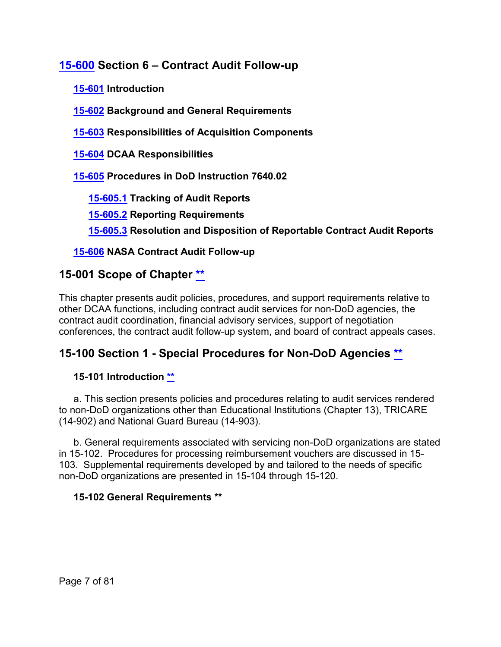# **[15-600](#page-76-0) Section 6 – Contract Audit Follow-up**

**[15-601](#page-76-1) Introduction**

**[15-602](#page-76-2) Background and General Requirements**

**[15-603](#page-77-0) Responsibilities of Acquisition Components**

**[15-604](#page-77-1) DCAA Responsibilities**

**[15-605](#page-77-2) Procedures in DoD Instruction 7640.02**

**[15-605.1](#page-77-3) Tracking of Audit Reports**

**[15-605.2](#page-78-0) Reporting Requirements**

**[15-605.3](#page-79-0) Resolution and Disposition of Reportable Contract Audit Reports**

# **[15-606](#page-80-0) NASA Contract Audit Follow-up**

# <span id="page-6-0"></span>**15-001 Scope of Chapter [\\*\\*](#page-0-0)**

This chapter presents audit policies, procedures, and support requirements relative to other DCAA functions, including contract audit services for non-DoD agencies, the contract audit coordination, financial advisory services, support of negotiation conferences, the contract audit follow-up system, and board of contract appeals cases.

# <span id="page-6-1"></span>**15-100 Section 1 - Special Procedures for Non-DoD Agencies [\\*\\*](#page-0-1)**

# <span id="page-6-2"></span>**15-101 Introduction [\\*\\*](#page-0-2)**

a. This section presents policies and procedures relating to audit services rendered to non-DoD organizations other than Educational Institutions (Chapter 13), TRICARE (14-902) and National Guard Bureau (14-903).

b. General requirements associated with servicing non-DoD organizations are stated in 15-102. Procedures for processing reimbursement vouchers are discussed in 15- 103. Supplemental requirements developed by and tailored to the needs of specific non-DoD organizations are presented in 15-104 through 15-120.

# <span id="page-6-3"></span>**15-102 General Requirements [\\*\\*](#page-0-3)**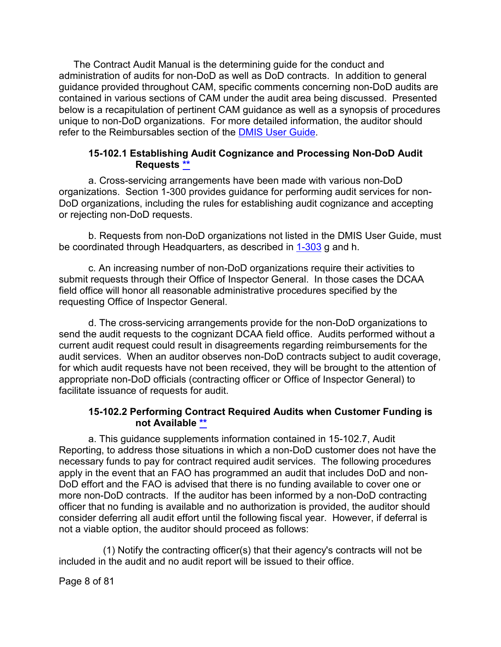The Contract Audit Manual is the determining guide for the conduct and administration of audits for non-DoD as well as DoD contracts. In addition to general guidance provided throughout CAM, specific comments concerning non-DoD audits are contained in various sections of CAM under the audit area being discussed. Presented below is a recapitulation of pertinent CAM guidance as well as a synopsis of procedures unique to non-DoD organizations. For more detailed information, the auditor should refer to the Reimbursables section of the [DMIS User Guide.](https://intranet.dcaa.mil/dmisug/SitePages/Home.aspx)

#### **15-102.1 Establishing Audit Cognizance and Processing Non-DoD Audit Requests [\\*\\*](#page-0-4)**

<span id="page-7-0"></span>a. Cross-servicing arrangements have been made with various non-DoD organizations. Section 1-300 provides guidance for performing audit services for non-DoD organizations, including the rules for establishing audit cognizance and accepting or rejecting non-DoD requests.

b. Requests from non-DoD organizations not listed in the DMIS User Guide, must be coordinated through Headquarters, as described in [1-303](https://viper.dcaa.mil/guidance/cam/3127/introduction-to-contract-audit#Sec1303) g and h.

c. An increasing number of non-DoD organizations require their activities to submit requests through their Office of Inspector General. In those cases the DCAA field office will honor all reasonable administrative procedures specified by the requesting Office of Inspector General.

d. The cross-servicing arrangements provide for the non-DoD organizations to send the audit requests to the cognizant DCAA field office. Audits performed without a current audit request could result in disagreements regarding reimbursements for the audit services. When an auditor observes non-DoD contracts subject to audit coverage, for which audit requests have not been received, they will be brought to the attention of appropriate non-DoD officials (contracting officer or Office of Inspector General) to facilitate issuance of requests for audit.

# **15-102.2 Performing Contract Required Audits when Customer Funding is not Available [\\*\\*](#page-0-5)**

<span id="page-7-1"></span>a. This guidance supplements information contained in 15-102.7, Audit Reporting, to address those situations in which a non-DoD customer does not have the necessary funds to pay for contract required audit services. The following procedures apply in the event that an FAO has programmed an audit that includes DoD and non-DoD effort and the FAO is advised that there is no funding available to cover one or more non-DoD contracts. If the auditor has been informed by a non-DoD contracting officer that no funding is available and no authorization is provided, the auditor should consider deferring all audit effort until the following fiscal year. However, if deferral is not a viable option, the auditor should proceed as follows:

(1) Notify the contracting officer(s) that their agency's contracts will not be included in the audit and no audit report will be issued to their office.

Page 8 of 81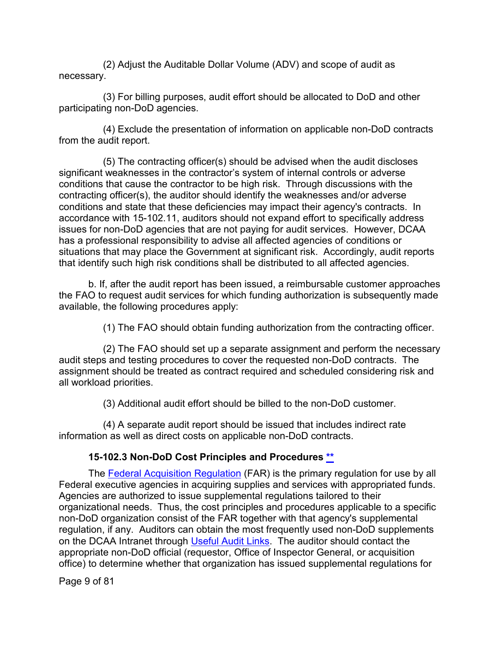(2) Adjust the Auditable Dollar Volume (ADV) and scope of audit as necessary.

(3) For billing purposes, audit effort should be allocated to DoD and other participating non-DoD agencies.

(4) Exclude the presentation of information on applicable non-DoD contracts from the audit report.

(5) The contracting officer(s) should be advised when the audit discloses significant weaknesses in the contractor's system of internal controls or adverse conditions that cause the contractor to be high risk. Through discussions with the contracting officer(s), the auditor should identify the weaknesses and/or adverse conditions and state that these deficiencies may impact their agency's contracts. In accordance with 15-102.11, auditors should not expand effort to specifically address issues for non-DoD agencies that are not paying for audit services. However, DCAA has a professional responsibility to advise all affected agencies of conditions or situations that may place the Government at significant risk. Accordingly, audit reports that identify such high risk conditions shall be distributed to all affected agencies.

b. If, after the audit report has been issued, a reimbursable customer approaches the FAO to request audit services for which funding authorization is subsequently made available, the following procedures apply:

(1) The FAO should obtain funding authorization from the contracting officer.

(2) The FAO should set up a separate assignment and perform the necessary audit steps and testing procedures to cover the requested non-DoD contracts. The assignment should be treated as contract required and scheduled considering risk and all workload priorities.

(3) Additional audit effort should be billed to the non-DoD customer.

(4) A separate audit report should be issued that includes indirect rate information as well as direct costs on applicable non-DoD contracts.

# **15-102.3 Non-DoD Cost Principles and Procedures [\\*\\*](#page-0-6)**

<span id="page-8-0"></span>The [Federal Acquisition Regulation](http://www.ecfr.gov/cgi-bin/text-idx?SID=7e426c0c2958ab0e487a8d53753f106f&mc=true&tpl=/ecfrbrowse/Title48/48tab_02.tpl) (FAR) is the primary regulation for use by all Federal executive agencies in acquiring supplies and services with appropriated funds. Agencies are authorized to issue supplemental regulations tailored to their organizational needs. Thus, the cost principles and procedures applicable to a specific non-DoD organization consist of the FAR together with that agency's supplemental regulation, if any. Auditors can obtain the most frequently used non-DoD supplements on the DCAA Intranet through [Useful Audit Links.](https://intranet.dcaa.mil/SitePages/UsefulAuditLinks.aspx) The auditor should contact the appropriate non-DoD official (requestor, Office of Inspector General, or acquisition office) to determine whether that organization has issued supplemental regulations for

Page 9 of 81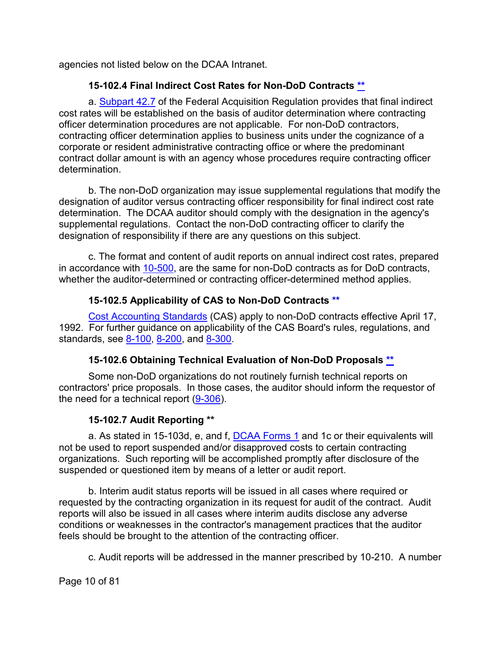agencies not listed below on the DCAA Intranet.

# **15-102.4 Final Indirect Cost Rates for Non-DoD Contracts [\\*\\*](#page-0-7)**

<span id="page-9-0"></span>a. [Subpart 42.7](http://www.ecfr.gov/cgi-bin/text-idx?SID=0586fcd7ac200d017900e2e168155bfa&mc=true&node=sp48.1.42.42_17&rgn=div6) of the Federal Acquisition Regulation provides that final indirect cost rates will be established on the basis of auditor determination where contracting officer determination procedures are not applicable. For non-DoD contractors, contracting officer determination applies to business units under the cognizance of a corporate or resident administrative contracting office or where the predominant contract dollar amount is with an agency whose procedures require contracting officer determination.

b. The non-DoD organization may issue supplemental regulations that modify the designation of auditor versus contracting officer responsibility for final indirect cost rate determination. The DCAA auditor should comply with the designation in the agency's supplemental regulations. Contact the non-DoD contracting officer to clarify the designation of responsibility if there are any questions on this subject.

c. The format and content of audit reports on annual indirect cost rates, prepared in accordance with [10-500,](https://viper.dcaa.mil/guidance/cam/3147/preparation-and-distribution-of-audit-reports#Sec10500) are the same for non-DoD contracts as for DoD contracts, whether the auditor-determined or contracting officer-determined method applies.

# **15-102.5 Applicability of CAS to Non-DoD Contracts [\\*\\*](#page-0-8)**

<span id="page-9-1"></span>[Cost Accounting Standards](http://www.ecfr.gov/cgi-bin/text-idx?SID=8aae3c7add17bbe2deb73989c7bbacd0&mc=true&tpl=/ecfrbrowse/Title48/48cfr9904_main_02.tpl) (CAS) apply to non-DoD contracts effective April 17, 1992. For further guidance on applicability of the CAS Board's rules, regulations, and standards, see [8-100,](https://viper.dcaa.mil/guidance/cam/3141/cost-accounting-standards#Section8100) [8-200,](https://viper.dcaa.mil/guidance/cam/3141/cost-accounting-standards#Section8200) and [8-300.](https://viper.dcaa.mil/guidance/cam/3141/cost-accounting-standards#Section8300)

# **15-102.6 Obtaining Technical Evaluation of Non-DoD Proposals [\\*\\*](#page-0-9)**

<span id="page-9-2"></span>Some non-DoD organizations do not routinely furnish technical reports on contractors' price proposals. In those cases, the auditor should inform the requestor of the need for a technical report [\(9-306\)](https://viper.dcaa.mil/guidance/cam/3144/audits-of-cost-estimating-and-pricing-proposals#Sec9306).

# **15-102.7 Audit Reporting [\\*\\*](#page-0-10)**

<span id="page-9-3"></span>a. As stated in 15-103d, e, and f, [DCAA Forms 1](https://sharepoint.dcaaintra.mil/headquarters/resources/CM/cmold/CMC/Agency%20Forms/Forms/AllItems.aspx) and 1c or their equivalents will not be used to report suspended and/or disapproved costs to certain contracting organizations. Such reporting will be accomplished promptly after disclosure of the suspended or questioned item by means of a letter or audit report.

b. Interim audit status reports will be issued in all cases where required or requested by the contracting organization in its request for audit of the contract. Audit reports will also be issued in all cases where interim audits disclose any adverse conditions or weaknesses in the contractor's management practices that the auditor feels should be brought to the attention of the contracting officer.

c. Audit reports will be addressed in the manner prescribed by 10-210. A number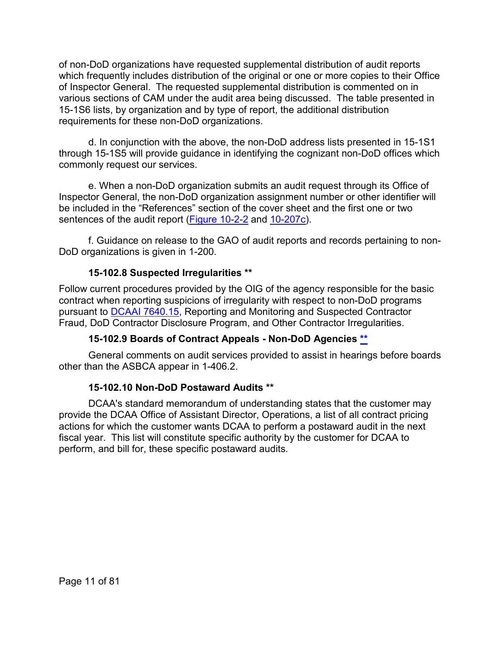of non-DoD organizations have requested supplemental distribution of audit reports which frequently includes distribution of the original or one or more copies to their Office of Inspector General. The requested supplemental distribution is commented on in various sections of CAM under the audit area being discussed. The table presented in 15-1S6 lists, by organization and by type of report, the additional distribution requirements for these non-DoD organizations.

d. In conjunction with the above, the non-DoD address lists presented in 15-1S1 through 15-1S5 will provide guidance in identifying the cognizant non-DoD offices which commonly request our services.

e. When a non-DoD organization submits an audit request through its Office of Inspector General, the non-DoD organization assignment number or other identifier will be included in the "References" section of the cover sheet and the first one or two sentences of the audit report [\(Figure 10-2-2](https://viper.dcaa.mil/guidance/cam/3147/preparation-and-distribution-of-audit-reports#SecFig1022) and [10-207c\)](https://viper.dcaa.mil/guidance/cam/3147/preparation-and-distribution-of-audit-reports#Sec10207).

f. Guidance on release to the GAO of audit reports and records pertaining to non-DoD organizations is given in 1-200.

# **15-102.8 Suspected Irregularities [\\*\\*](#page-0-11)**

<span id="page-10-0"></span>Follow current procedures provided by the OIG of the agency responsible for the basic contract when reporting suspicions of irregularity with respect to non-DoD programs pursuant to [DCAAI 7640.15,](https://sharepoint.dcaaintra.mil/headquarters/resources/CM/CMC/Publications/Publications/DCAAI%207640.15.pdf) Reporting and Monitoring and Suspected Contractor Fraud, DoD Contractor Disclosure Program, and Other Contractor Irregularities.

# **15-102.9 Boards of Contract Appeals - Non-DoD Agencies [\\*\\*](#page-0-12)**

<span id="page-10-1"></span>General comments on audit services provided to assist in hearings before boards other than the ASBCA appear in 1-406.2.

# **15-102.10 Non-DoD Postaward Audits [\\*\\*](#page-0-13)**

<span id="page-10-2"></span>DCAA's standard memorandum of understanding states that the customer may provide the DCAA Office of Assistant Director, Operations, a list of all contract pricing actions for which the customer wants DCAA to perform a postaward audit in the next fiscal year. This list will constitute specific authority by the customer for DCAA to perform, and bill for, these specific postaward audits.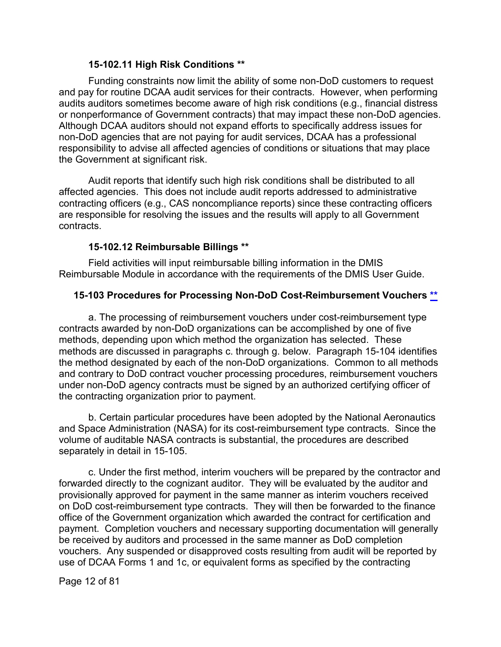#### **15-102.11 High Risk Conditions [\\*\\*](#page-0-14)**

<span id="page-11-0"></span>Funding constraints now limit the ability of some non-DoD customers to request and pay for routine DCAA audit services for their contracts. However, when performing audits auditors sometimes become aware of high risk conditions (e.g., financial distress or nonperformance of Government contracts) that may impact these non-DoD agencies. Although DCAA auditors should not expand efforts to specifically address issues for non-DoD agencies that are not paying for audit services, DCAA has a professional responsibility to advise all affected agencies of conditions or situations that may place the Government at significant risk.

Audit reports that identify such high risk conditions shall be distributed to all affected agencies. This does not include audit reports addressed to administrative contracting officers (e.g., CAS noncompliance reports) since these contracting officers are responsible for resolving the issues and the results will apply to all Government contracts.

# **15-102.12 Reimbursable Billings [\\*\\*](#page-0-15)**

<span id="page-11-1"></span>Field activities will input reimbursable billing information in the DMIS Reimbursable Module in accordance with the requirements of the DMIS User Guide.

# <span id="page-11-2"></span>**15-103 Procedures for Processing Non-DoD Cost-Reimbursement Vouchers [\\*\\*](#page-0-16)**

a. The processing of reimbursement vouchers under cost-reimbursement type contracts awarded by non-DoD organizations can be accomplished by one of five methods, depending upon which method the organization has selected. These methods are discussed in paragraphs c. through g. below. Paragraph 15-104 identifies the method designated by each of the non-DoD organizations. Common to all methods and contrary to DoD contract voucher processing procedures, reimbursement vouchers under non-DoD agency contracts must be signed by an authorized certifying officer of the contracting organization prior to payment.

b. Certain particular procedures have been adopted by the National Aeronautics and Space Administration (NASA) for its cost-reimbursement type contracts. Since the volume of auditable NASA contracts is substantial, the procedures are described separately in detail in 15-105.

c. Under the first method, interim vouchers will be prepared by the contractor and forwarded directly to the cognizant auditor. They will be evaluated by the auditor and provisionally approved for payment in the same manner as interim vouchers received on DoD cost-reimbursement type contracts. They will then be forwarded to the finance office of the Government organization which awarded the contract for certification and payment. Completion vouchers and necessary supporting documentation will generally be received by auditors and processed in the same manner as DoD completion vouchers. Any suspended or disapproved costs resulting from audit will be reported by use of DCAA Forms 1 and 1c, or equivalent forms as specified by the contracting

Page 12 of 81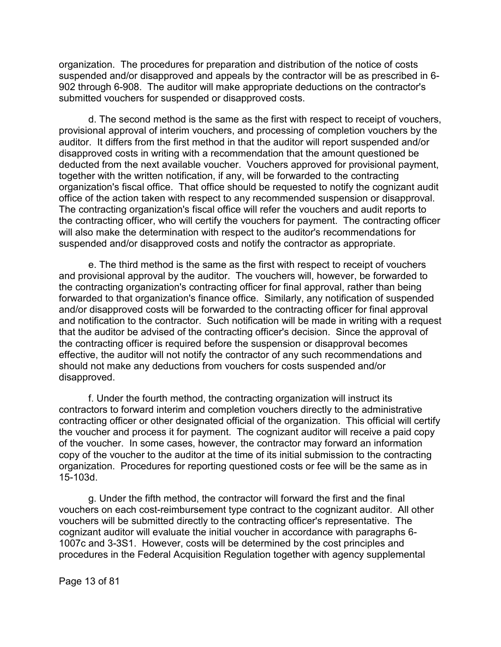organization. The procedures for preparation and distribution of the notice of costs suspended and/or disapproved and appeals by the contractor will be as prescribed in 6- 902 through 6-908. The auditor will make appropriate deductions on the contractor's submitted vouchers for suspended or disapproved costs.

d. The second method is the same as the first with respect to receipt of vouchers, provisional approval of interim vouchers, and processing of completion vouchers by the auditor. It differs from the first method in that the auditor will report suspended and/or disapproved costs in writing with a recommendation that the amount questioned be deducted from the next available voucher. Vouchers approved for provisional payment, together with the written notification, if any, will be forwarded to the contracting organization's fiscal office. That office should be requested to notify the cognizant audit office of the action taken with respect to any recommended suspension or disapproval. The contracting organization's fiscal office will refer the vouchers and audit reports to the contracting officer, who will certify the vouchers for payment. The contracting officer will also make the determination with respect to the auditor's recommendations for suspended and/or disapproved costs and notify the contractor as appropriate.

e. The third method is the same as the first with respect to receipt of vouchers and provisional approval by the auditor. The vouchers will, however, be forwarded to the contracting organization's contracting officer for final approval, rather than being forwarded to that organization's finance office. Similarly, any notification of suspended and/or disapproved costs will be forwarded to the contracting officer for final approval and notification to the contractor. Such notification will be made in writing with a request that the auditor be advised of the contracting officer's decision. Since the approval of the contracting officer is required before the suspension or disapproval becomes effective, the auditor will not notify the contractor of any such recommendations and should not make any deductions from vouchers for costs suspended and/or disapproved.

f. Under the fourth method, the contracting organization will instruct its contractors to forward interim and completion vouchers directly to the administrative contracting officer or other designated official of the organization. This official will certify the voucher and process it for payment. The cognizant auditor will receive a paid copy of the voucher. In some cases, however, the contractor may forward an information copy of the voucher to the auditor at the time of its initial submission to the contracting organization. Procedures for reporting questioned costs or fee will be the same as in 15-103d.

g. Under the fifth method, the contractor will forward the first and the final vouchers on each cost-reimbursement type contract to the cognizant auditor. All other vouchers will be submitted directly to the contracting officer's representative. The cognizant auditor will evaluate the initial voucher in accordance with paragraphs 6- 1007c and 3-3S1. However, costs will be determined by the cost principles and procedures in the Federal Acquisition Regulation together with agency supplemental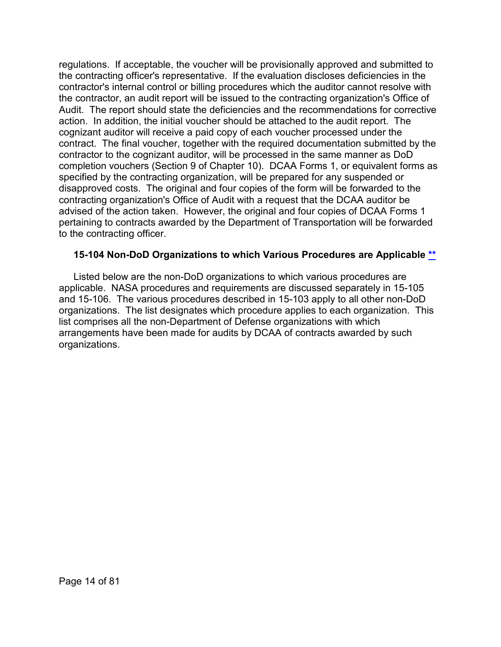regulations. If acceptable, the voucher will be provisionally approved and submitted to the contracting officer's representative. If the evaluation discloses deficiencies in the contractor's internal control or billing procedures which the auditor cannot resolve with the contractor, an audit report will be issued to the contracting organization's Office of Audit. The report should state the deficiencies and the recommendations for corrective action. In addition, the initial voucher should be attached to the audit report. The cognizant auditor will receive a paid copy of each voucher processed under the contract. The final voucher, together with the required documentation submitted by the contractor to the cognizant auditor, will be processed in the same manner as DoD completion vouchers (Section 9 of Chapter 10). DCAA Forms 1, or equivalent forms as specified by the contracting organization, will be prepared for any suspended or disapproved costs. The original and four copies of the form will be forwarded to the contracting organization's Office of Audit with a request that the DCAA auditor be advised of the action taken. However, the original and four copies of DCAA Forms 1 pertaining to contracts awarded by the Department of Transportation will be forwarded to the contracting officer.

#### <span id="page-13-0"></span>**15-104 Non-DoD Organizations to which Various Procedures are Applicable [\\*\\*](#page-0-17)**

Listed below are the non-DoD organizations to which various procedures are applicable. NASA procedures and requirements are discussed separately in 15-105 and 15-106. The various procedures described in 15-103 apply to all other non-DoD organizations. The list designates which procedure applies to each organization. This list comprises all the non-Department of Defense organizations with which arrangements have been made for audits by DCAA of contracts awarded by such organizations.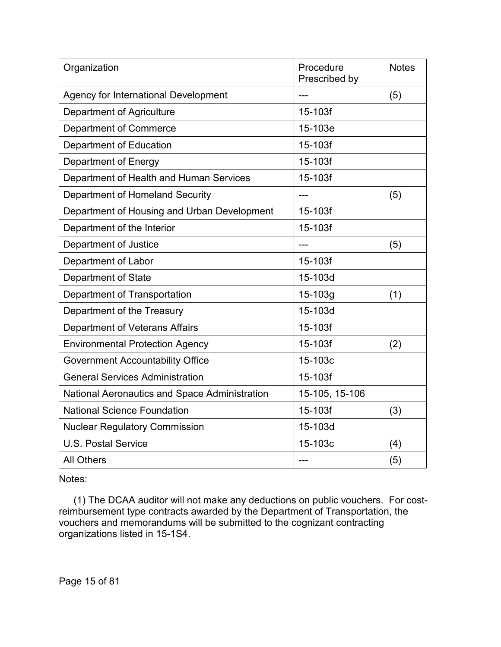| Organization                                  | Procedure<br>Prescribed by | <b>Notes</b> |
|-----------------------------------------------|----------------------------|--------------|
| <b>Agency for International Development</b>   |                            | (5)          |
| <b>Department of Agriculture</b>              | 15-103f                    |              |
| <b>Department of Commerce</b>                 | 15-103e                    |              |
| Department of Education                       | 15-103f                    |              |
| Department of Energy                          | 15-103f                    |              |
| Department of Health and Human Services       | 15-103f                    |              |
| Department of Homeland Security               |                            | (5)          |
| Department of Housing and Urban Development   | 15-103f                    |              |
| Department of the Interior                    | 15-103f                    |              |
| Department of Justice                         |                            | (5)          |
| Department of Labor                           | 15-103f                    |              |
| <b>Department of State</b>                    | 15-103d                    |              |
| Department of Transportation                  | 15-103g                    | (1)          |
| Department of the Treasury                    | 15-103d                    |              |
| Department of Veterans Affairs                | 15-103f                    |              |
| <b>Environmental Protection Agency</b>        | 15-103f                    | (2)          |
| <b>Government Accountability Office</b>       | 15-103c                    |              |
| <b>General Services Administration</b>        | 15-103f                    |              |
| National Aeronautics and Space Administration | 15-105, 15-106             |              |
| <b>National Science Foundation</b>            | 15-103f                    | (3)          |
| <b>Nuclear Regulatory Commission</b>          | 15-103d                    |              |
| <b>U.S. Postal Service</b>                    | 15-103c                    | (4)          |
| <b>All Others</b>                             | ---                        | (5)          |

Notes:

(1) The DCAA auditor will not make any deductions on public vouchers. For costreimbursement type contracts awarded by the Department of Transportation, the vouchers and memorandums will be submitted to the cognizant contracting organizations listed in 15-1S4.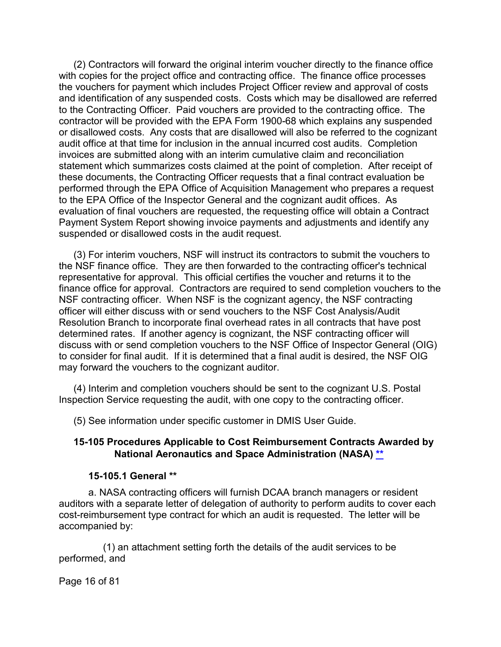(2) Contractors will forward the original interim voucher directly to the finance office with copies for the project office and contracting office. The finance office processes the vouchers for payment which includes Project Officer review and approval of costs and identification of any suspended costs. Costs which may be disallowed are referred to the Contracting Officer. Paid vouchers are provided to the contracting office. The contractor will be provided with the EPA Form 1900-68 which explains any suspended or disallowed costs. Any costs that are disallowed will also be referred to the cognizant audit office at that time for inclusion in the annual incurred cost audits. Completion invoices are submitted along with an interim cumulative claim and reconciliation statement which summarizes costs claimed at the point of completion. After receipt of these documents, the Contracting Officer requests that a final contract evaluation be performed through the EPA Office of Acquisition Management who prepares a request to the EPA Office of the Inspector General and the cognizant audit offices. As evaluation of final vouchers are requested, the requesting office will obtain a Contract Payment System Report showing invoice payments and adjustments and identify any suspended or disallowed costs in the audit request.

(3) For interim vouchers, NSF will instruct its contractors to submit the vouchers to the NSF finance office. They are then forwarded to the contracting officer's technical representative for approval. This official certifies the voucher and returns it to the finance office for approval. Contractors are required to send completion vouchers to the NSF contracting officer. When NSF is the cognizant agency, the NSF contracting officer will either discuss with or send vouchers to the NSF Cost Analysis/Audit Resolution Branch to incorporate final overhead rates in all contracts that have post determined rates. If another agency is cognizant, the NSF contracting officer will discuss with or send completion vouchers to the NSF Office of Inspector General (OIG) to consider for final audit. If it is determined that a final audit is desired, the NSF OIG may forward the vouchers to the cognizant auditor.

(4) Interim and completion vouchers should be sent to the cognizant U.S. Postal Inspection Service requesting the audit, with one copy to the contracting officer.

(5) See information under specific customer in DMIS User Guide.

#### <span id="page-15-0"></span>**15-105 Procedures Applicable to Cost Reimbursement Contracts Awarded by National Aeronautics and Space Administration (NASA) [\\*\\*](#page-1-0)**

#### **15-105.1 General [\\*\\*](#page-1-1)**

<span id="page-15-1"></span>a. NASA contracting officers will furnish DCAA branch managers or resident auditors with a separate letter of delegation of authority to perform audits to cover each cost-reimbursement type contract for which an audit is requested. The letter will be accompanied by:

(1) an attachment setting forth the details of the audit services to be performed, and

Page 16 of 81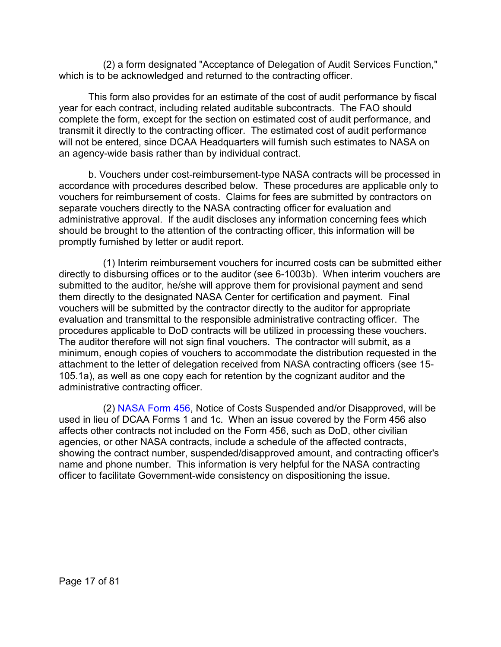(2) a form designated "Acceptance of Delegation of Audit Services Function," which is to be acknowledged and returned to the contracting officer.

This form also provides for an estimate of the cost of audit performance by fiscal year for each contract, including related auditable subcontracts. The FAO should complete the form, except for the section on estimated cost of audit performance, and transmit it directly to the contracting officer. The estimated cost of audit performance will not be entered, since DCAA Headquarters will furnish such estimates to NASA on an agency-wide basis rather than by individual contract.

b. Vouchers under cost-reimbursement-type NASA contracts will be processed in accordance with procedures described below. These procedures are applicable only to vouchers for reimbursement of costs. Claims for fees are submitted by contractors on separate vouchers directly to the NASA contracting officer for evaluation and administrative approval. If the audit discloses any information concerning fees which should be brought to the attention of the contracting officer, this information will be promptly furnished by letter or audit report.

(1) Interim reimbursement vouchers for incurred costs can be submitted either directly to disbursing offices or to the auditor (see 6-1003b). When interim vouchers are submitted to the auditor, he/she will approve them for provisional payment and send them directly to the designated NASA Center for certification and payment. Final vouchers will be submitted by the contractor directly to the auditor for appropriate evaluation and transmittal to the responsible administrative contracting officer. The procedures applicable to DoD contracts will be utilized in processing these vouchers. The auditor therefore will not sign final vouchers. The contractor will submit, as a minimum, enough copies of vouchers to accommodate the distribution requested in the attachment to the letter of delegation received from NASA contracting officers (see 15- 105.1a), as well as one copy each for retention by the cognizant auditor and the administrative contracting officer.

(2) [NASA Form 456,](https://www.hq.nasa.gov/office/procurement/regs/pn/pn16-17.pdf) Notice of Costs Suspended and/or Disapproved, will be used in lieu of DCAA Forms 1 and 1c. When an issue covered by the Form 456 also affects other contracts not included on the Form 456, such as DoD, other civilian agencies, or other NASA contracts, include a schedule of the affected contracts, showing the contract number, suspended/disapproved amount, and contracting officer's name and phone number. This information is very helpful for the NASA contracting officer to facilitate Government-wide consistency on dispositioning the issue.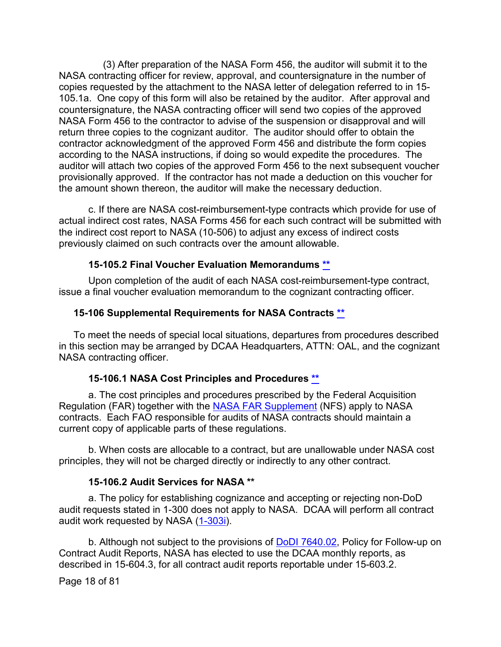(3) After preparation of the NASA Form 456, the auditor will submit it to the NASA contracting officer for review, approval, and countersignature in the number of copies requested by the attachment to the NASA letter of delegation referred to in 15- 105.1a. One copy of this form will also be retained by the auditor. After approval and countersignature, the NASA contracting officer will send two copies of the approved NASA Form 456 to the contractor to advise of the suspension or disapproval and will return three copies to the cognizant auditor. The auditor should offer to obtain the contractor acknowledgment of the approved Form 456 and distribute the form copies according to the NASA instructions, if doing so would expedite the procedures. The auditor will attach two copies of the approved Form 456 to the next subsequent voucher provisionally approved. If the contractor has not made a deduction on this voucher for the amount shown thereon, the auditor will make the necessary deduction.

c. If there are NASA cost-reimbursement-type contracts which provide for use of actual indirect cost rates, NASA Forms 456 for each such contract will be submitted with the indirect cost report to NASA (10-506) to adjust any excess of indirect costs previously claimed on such contracts over the amount allowable.

#### **15-105.2 Final Voucher Evaluation Memorandums [\\*\\*](#page-1-2)**

<span id="page-17-0"></span>Upon completion of the audit of each NASA cost-reimbursement-type contract, issue a final voucher evaluation memorandum to the cognizant contracting officer.

#### <span id="page-17-1"></span>**15-106 Supplemental Requirements for NASA Contracts [\\*\\*](#page-1-3)**

To meet the needs of special local situations, departures from procedures described in this section may be arranged by DCAA Headquarters, ATTN: OAL, and the cognizant NASA contracting officer.

#### **15-106.1 NASA Cost Principles and Procedures [\\*\\*](#page-1-4)**

<span id="page-17-2"></span>a. The cost principles and procedures prescribed by the Federal Acquisition Regulation (FAR) together with the [NASA FAR Supplement](https://www.ecfr.gov/cgi-bin/text-idx?SID=56be756b1d9e781bbba24a3509b2c2b1&mc=true&tpl=/ecfrbrowse/Title48/48cfrv6_02.tpl#1800) (NFS) apply to NASA contracts. Each FAO responsible for audits of NASA contracts should maintain a current copy of applicable parts of these regulations.

b. When costs are allocable to a contract, but are unallowable under NASA cost principles, they will not be charged directly or indirectly to any other contract.

#### **15-106.2 Audit Services for NASA [\\*\\*](#page-1-5)**

<span id="page-17-3"></span>a. The policy for establishing cognizance and accepting or rejecting non-DoD audit requests stated in 1-300 does not apply to NASA. DCAA will perform all contract audit work requested by NASA [\(1-303i\)](https://viper.dcaa.mil/guidance/cam/3127/introduction-to-contract-audit#Sec1303).

b. Although not subject to the provisions of [DoDI 7640.02,](https://www.esd.whs.mil/Portals/54/Documents/DD/issuances/dodi/764002p.pdf) Policy for Follow-up on Contract Audit Reports, NASA has elected to use the DCAA monthly reports, as described in 15-604.3, for all contract audit reports reportable under 15-603.2.

Page 18 of 81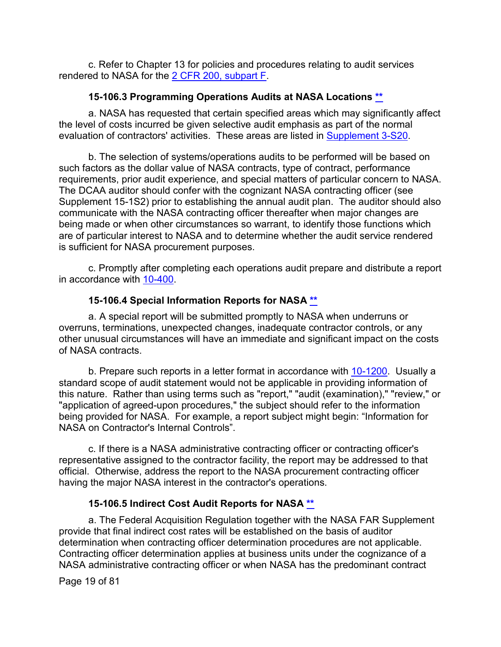c. Refer to Chapter 13 for policies and procedures relating to audit services rendered to NASA for the [2 CFR 200, subpart](https://www.ecfr.gov/cgi-bin/text-idx?SID=43a1e0c7a7366d7828dba68cafa4cd7f&mc=true&node=sp2.1.200.f&rgn=div6) F.

# **15-106.3 Programming Operations Audits at NASA Locations [\\*\\*](#page-1-6)**

<span id="page-18-0"></span>a. NASA has requested that certain specified areas which may significantly affect the level of costs incurred be given selective audit emphasis as part of the normal evaluation of contractors' activities. These areas are listed in [Supplement 3-S20.](https://viper.dcaa.mil/guidance/cam/3129/audit-planning#Sec3S20)

b. The selection of systems/operations audits to be performed will be based on such factors as the dollar value of NASA contracts, type of contract, performance requirements, prior audit experience, and special matters of particular concern to NASA. The DCAA auditor should confer with the cognizant NASA contracting officer (see Supplement 15-1S2) prior to establishing the annual audit plan. The auditor should also communicate with the NASA contracting officer thereafter when major changes are being made or when other circumstances so warrant, to identify those functions which are of particular interest to NASA and to determine whether the audit service rendered is sufficient for NASA procurement purposes.

c. Promptly after completing each operations audit prepare and distribute a report in accordance with [10-400.](https://viper.dcaa.mil/guidance/cam/3147/preparation-and-distribution-of-audit-reports#Sec10400)

# **15-106.4 Special Information Reports for NASA [\\*\\*](#page-1-7)**

<span id="page-18-1"></span>a. A special report will be submitted promptly to NASA when underruns or overruns, terminations, unexpected changes, inadequate contractor controls, or any other unusual circumstances will have an immediate and significant impact on the costs of NASA contracts.

b. Prepare such reports in a letter format in accordance with [10-1200.](https://viper.dcaa.mil/guidance/cam/3147/preparation-and-distribution-of-audit-reports#Sec101200) Usually a standard scope of audit statement would not be applicable in providing information of this nature. Rather than using terms such as "report," "audit (examination)," "review," or "application of agreed-upon procedures," the subject should refer to the information being provided for NASA. For example, a report subject might begin: "Information for NASA on Contractor's Internal Controls".

c. If there is a NASA administrative contracting officer or contracting officer's representative assigned to the contractor facility, the report may be addressed to that official. Otherwise, address the report to the NASA procurement contracting officer having the major NASA interest in the contractor's operations.

# **15-106.5 Indirect Cost Audit Reports for NASA [\\*\\*](#page-1-8)**

<span id="page-18-2"></span>a. The Federal Acquisition Regulation together with the NASA FAR Supplement provide that final indirect cost rates will be established on the basis of auditor determination when contracting officer determination procedures are not applicable. Contracting officer determination applies at business units under the cognizance of a NASA administrative contracting officer or when NASA has the predominant contract

Page 19 of 81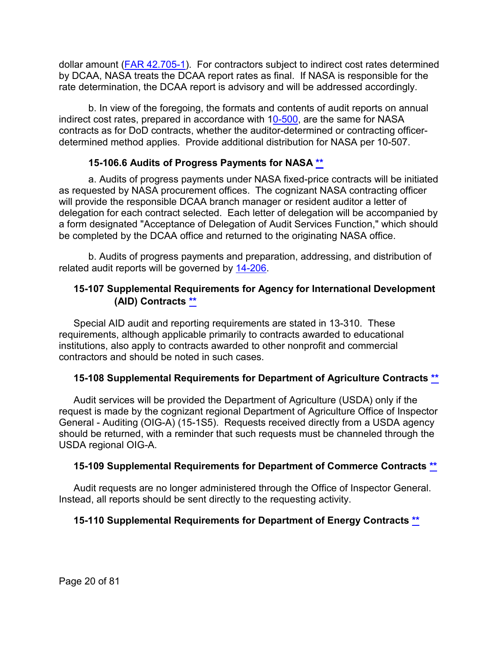dollar amount [\(FAR 42.705-1\)](http://www.ecfr.gov/cgi-bin/text-idx?SID=6fcc7da3a0611577e73448b0dfbf453b&mc=true&node=se48.1.42_1705_61&rgn=div8). For contractors subject to indirect cost rates determined by DCAA, NASA treats the DCAA report rates as final. If NASA is responsible for the rate determination, the DCAA report is advisory and will be addressed accordingly.

b. In view of the foregoing, the formats and contents of audit reports on annual indirect cost rates, prepared in accordance with [10-500,](https://viper.dcaa.mil/guidance/cam/3147/preparation-and-distribution-of-audit-reports#Sec) are the same for NASA contracts as for DoD contracts, whether the auditor-determined or contracting officerdetermined method applies. Provide additional distribution for NASA per 10-507.

# **15-106.6 Audits of Progress Payments for NASA [\\*\\*](#page-1-9)**

<span id="page-19-0"></span>a. Audits of progress payments under NASA fixed-price contracts will be initiated as requested by NASA procurement offices. The cognizant NASA contracting officer will provide the responsible DCAA branch manager or resident auditor a letter of delegation for each contract selected. Each letter of delegation will be accompanied by a form designated "Acceptance of Delegation of Audit Services Function," which should be completed by the DCAA office and returned to the originating NASA office.

b. Audits of progress payments and preparation, addressing, and distribution of related audit reports will be governed by [14-206.](https://viper.dcaa.mil/guidance/cam/3158/other-contract-audit-assignments#Sec14206)

# <span id="page-19-1"></span>**15-107 Supplemental Requirements for Agency for International Development (AID) Contracts [\\*\\*](#page-1-10)**

Special AID audit and reporting requirements are stated in 13-310. These requirements, although applicable primarily to contracts awarded to educational institutions, also apply to contracts awarded to other nonprofit and commercial contractors and should be noted in such cases.

# <span id="page-19-2"></span>**15-108 Supplemental Requirements for Department of Agriculture Contracts [\\*\\*](#page-1-11)**

Audit services will be provided the Department of Agriculture (USDA) only if the request is made by the cognizant regional Department of Agriculture Office of Inspector General - Auditing (OIG-A) (15-1S5). Requests received directly from a USDA agency should be returned, with a reminder that such requests must be channeled through the USDA regional OIG-A.

# <span id="page-19-3"></span>**15-109 Supplemental Requirements for Department of Commerce Contracts [\\*\\*](#page-1-12)**

Audit requests are no longer administered through the Office of Inspector General. Instead, all reports should be sent directly to the requesting activity.

# <span id="page-19-4"></span>**15-110 Supplemental Requirements for Department of Energy Contracts [\\*\\*](#page-1-13)**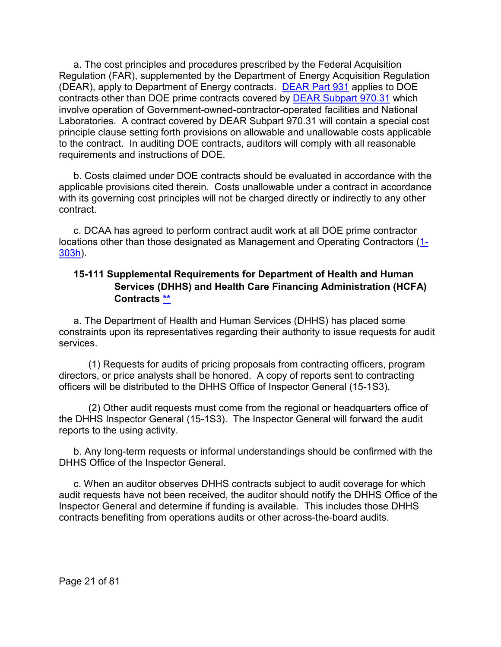a. The cost principles and procedures prescribed by the Federal Acquisition Regulation (FAR), supplemented by the Department of Energy Acquisition Regulation (DEAR), apply to Department of Energy contracts. [DEAR Part 931](http://www.ecfr.gov/cgi-bin/text-idx?SID=424d5ede368761dabf975af5b41f1626&mc=true&tpl=/ecfrbrowse/Title48/48cfr931_main_02.tpl) applies to DOE contracts other than DOE prime contracts covered by [DEAR Subpart 970.31](http://www.ecfr.gov/cgi-bin/text-idx?SID=2cb618e4da5befd82e53aee0a610a5e3&mc=true&node=sp48.5.970.970_131&rgn=div6) which involve operation of Government-owned-contractor-operated facilities and National Laboratories. A contract covered by DEAR Subpart 970.31 will contain a special cost principle clause setting forth provisions on allowable and unallowable costs applicable to the contract. In auditing DOE contracts, auditors will comply with all reasonable requirements and instructions of DOE.

b. Costs claimed under DOE contracts should be evaluated in accordance with the applicable provisions cited therein. Costs unallowable under a contract in accordance with its governing cost principles will not be charged directly or indirectly to any other contract.

c. DCAA has agreed to perform contract audit work at all DOE prime contractor locations other than those designated as Management and Operating Contractors [\(1-](https://viper.dcaa.mil/guidance/cam/3127/introduction-to-contract-audit#Sec1303) [303h\)](https://viper.dcaa.mil/guidance/cam/3127/introduction-to-contract-audit#Sec1303).

# <span id="page-20-0"></span>**15-111 Supplemental Requirements for Department of Health and Human Services (DHHS) and Health Care Financing Administration (HCFA) Contracts [\\*\\*](#page-1-14)**

a. The Department of Health and Human Services (DHHS) has placed some constraints upon its representatives regarding their authority to issue requests for audit services.

(1) Requests for audits of pricing proposals from contracting officers, program directors, or price analysts shall be honored. A copy of reports sent to contracting officers will be distributed to the DHHS Office of Inspector General (15-1S3).

(2) Other audit requests must come from the regional or headquarters office of the DHHS Inspector General (15-1S3). The Inspector General will forward the audit reports to the using activity.

b. Any long-term requests or informal understandings should be confirmed with the DHHS Office of the Inspector General.

c. When an auditor observes DHHS contracts subject to audit coverage for which audit requests have not been received, the auditor should notify the DHHS Office of the Inspector General and determine if funding is available. This includes those DHHS contracts benefiting from operations audits or other across-the-board audits.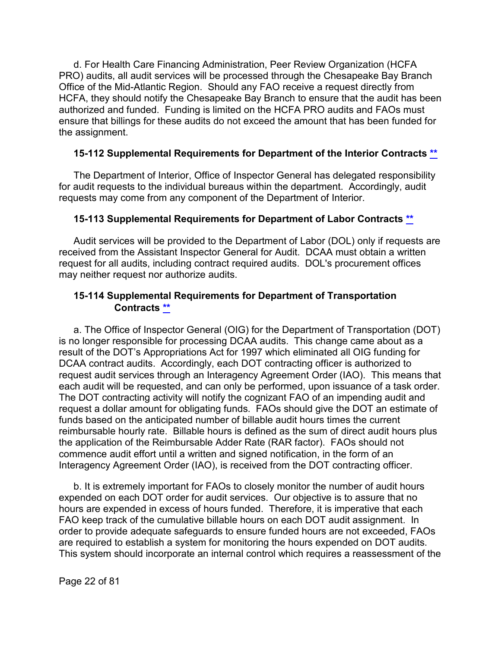d. For Health Care Financing Administration, Peer Review Organization (HCFA PRO) audits, all audit services will be processed through the Chesapeake Bay Branch Office of the Mid-Atlantic Region. Should any FAO receive a request directly from HCFA, they should notify the Chesapeake Bay Branch to ensure that the audit has been authorized and funded. Funding is limited on the HCFA PRO audits and FAOs must ensure that billings for these audits do not exceed the amount that has been funded for the assignment.

# <span id="page-21-0"></span>**15-112 Supplemental Requirements for Department of the Interior Contracts [\\*\\*](#page-1-15)**

The Department of Interior, Office of Inspector General has delegated responsibility for audit requests to the individual bureaus within the department. Accordingly, audit requests may come from any component of the Department of Interior.

# <span id="page-21-1"></span>**15-113 Supplemental Requirements for Department of Labor Contracts [\\*\\*](#page-1-16)**

Audit services will be provided to the Department of Labor (DOL) only if requests are received from the Assistant Inspector General for Audit. DCAA must obtain a written request for all audits, including contract required audits. DOL's procurement offices may neither request nor authorize audits.

# <span id="page-21-2"></span>**15-114 Supplemental Requirements for Department of Transportation Contracts [\\*\\*](#page-1-17)**

a. The Office of Inspector General (OIG) for the Department of Transportation (DOT) is no longer responsible for processing DCAA audits. This change came about as a result of the DOT's Appropriations Act for 1997 which eliminated all OIG funding for DCAA contract audits. Accordingly, each DOT contracting officer is authorized to request audit services through an Interagency Agreement Order (IAO). This means that each audit will be requested, and can only be performed, upon issuance of a task order. The DOT contracting activity will notify the cognizant FAO of an impending audit and request a dollar amount for obligating funds. FAOs should give the DOT an estimate of funds based on the anticipated number of billable audit hours times the current reimbursable hourly rate. Billable hours is defined as the sum of direct audit hours plus the application of the Reimbursable Adder Rate (RAR factor). FAOs should not commence audit effort until a written and signed notification, in the form of an Interagency Agreement Order (IAO), is received from the DOT contracting officer.

b. It is extremely important for FAOs to closely monitor the number of audit hours expended on each DOT order for audit services. Our objective is to assure that no hours are expended in excess of hours funded. Therefore, it is imperative that each FAO keep track of the cumulative billable hours on each DOT audit assignment. In order to provide adequate safeguards to ensure funded hours are not exceeded, FAOs are required to establish a system for monitoring the hours expended on DOT audits. This system should incorporate an internal control which requires a reassessment of the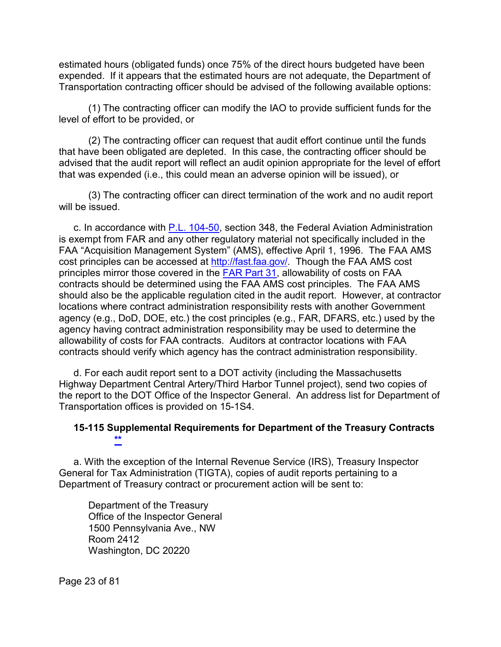estimated hours (obligated funds) once 75% of the direct hours budgeted have been expended. If it appears that the estimated hours are not adequate, the Department of Transportation contracting officer should be advised of the following available options:

(1) The contracting officer can modify the IAO to provide sufficient funds for the level of effort to be provided, or

(2) The contracting officer can request that audit effort continue until the funds that have been obligated are depleted. In this case, the contracting officer should be advised that the audit report will reflect an audit opinion appropriate for the level of effort that was expended (i.e., this could mean an adverse opinion will be issued), or

(3) The contracting officer can direct termination of the work and no audit report will be issued.

c. In accordance with [P.L. 104-50,](https://www.gpo.gov/fdsys/pkg/GPO-CDOC-104sdoc13/pdf/GPO-CDOC-104sdoc13-1-7-21.pdf) section 348, the Federal Aviation Administration is exempt from FAR and any other regulatory material not specifically included in the FAA "Acquisition Management System" (AMS), effective April 1, 1996. The FAA AMS cost principles can be accessed at [http://fast.faa.gov/.](http://fast.faa.gov/) Though the FAA AMS cost principles mirror those covered in the [FAR Part 31,](http://www.ecfr.gov/cgi-bin/text-idx?SID=91fd5a1fd43d9894f920e9ac9be5d07a&mc=true&node=pt48.1.31&rgn=div5) allowability of costs on FAA contracts should be determined using the FAA AMS cost principles. The FAA AMS should also be the applicable regulation cited in the audit report. However, at contractor locations where contract administration responsibility rests with another Government agency (e.g., DoD, DOE, etc.) the cost principles (e.g., FAR, DFARS, etc.) used by the agency having contract administration responsibility may be used to determine the allowability of costs for FAA contracts. Auditors at contractor locations with FAA contracts should verify which agency has the contract administration responsibility.

d. For each audit report sent to a DOT activity (including the Massachusetts Highway Department Central Artery/Third Harbor Tunnel project), send two copies of the report to the DOT Office of the Inspector General. An address list for Department of Transportation offices is provided on 15-1S4.

#### <span id="page-22-0"></span>**15-115 Supplemental Requirements for Department of the Treasury Contracts [\\*\\*](#page-1-18)**

a. With the exception of the Internal Revenue Service (IRS), Treasury Inspector General for Tax Administration (TIGTA), copies of audit reports pertaining to a Department of Treasury contract or procurement action will be sent to:

Department of the Treasury Office of the Inspector General 1500 Pennsylvania Ave., NW Room 2412 Washington, DC 20220

Page 23 of 81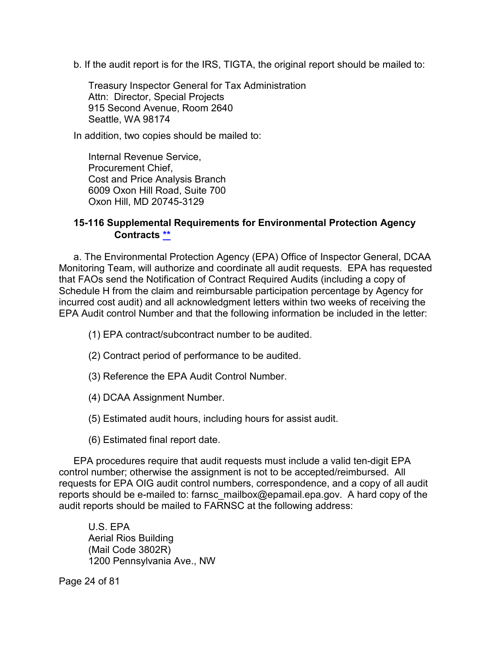b. If the audit report is for the IRS, TIGTA, the original report should be mailed to:

Treasury Inspector General for Tax Administration Attn: Director, Special Projects 915 Second Avenue, Room 2640 Seattle, WA 98174

In addition, two copies should be mailed to:

Internal Revenue Service, Procurement Chief, Cost and Price Analysis Branch 6009 Oxon Hill Road, Suite 700 Oxon Hill, MD 20745-3129

#### <span id="page-23-0"></span>**15-116 Supplemental Requirements for Environmental Protection Agency Contracts [\\*\\*](#page-1-19)**

a. The Environmental Protection Agency (EPA) Office of Inspector General, DCAA Monitoring Team, will authorize and coordinate all audit requests. EPA has requested that FAOs send the Notification of Contract Required Audits (including a copy of Schedule H from the claim and reimbursable participation percentage by Agency for incurred cost audit) and all acknowledgment letters within two weeks of receiving the EPA Audit control Number and that the following information be included in the letter:

(1) EPA contract/subcontract number to be audited.

- (2) Contract period of performance to be audited.
- (3) Reference the EPA Audit Control Number.
- (4) DCAA Assignment Number.
- (5) Estimated audit hours, including hours for assist audit.
- (6) Estimated final report date.

EPA procedures require that audit requests must include a valid ten-digit EPA control number; otherwise the assignment is not to be accepted/reimbursed. All requests for EPA OIG audit control numbers, correspondence, and a copy of all audit reports should be e-mailed to: farnsc\_mailbox@epamail.epa.gov. A hard copy of the audit reports should be mailed to FARNSC at the following address:

U.S. EPA Aerial Rios Building (Mail Code 3802R) 1200 Pennsylvania Ave., NW

Page 24 of 81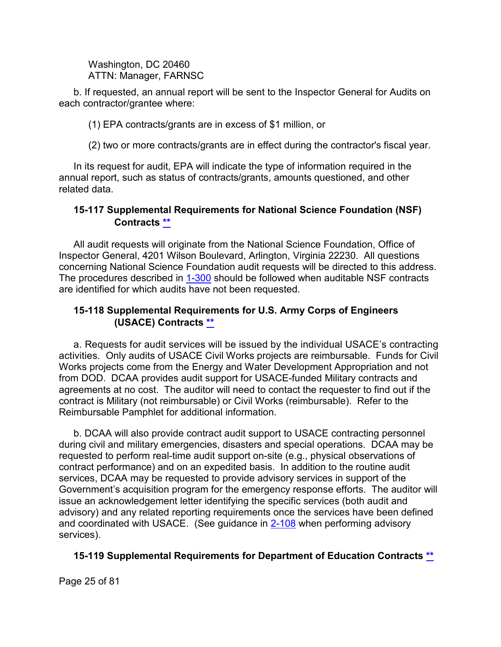Washington, DC 20460 ATTN: Manager, FARNSC

b. If requested, an annual report will be sent to the Inspector General for Audits on each contractor/grantee where:

(1) EPA contracts/grants are in excess of \$1 million, or

(2) two or more contracts/grants are in effect during the contractor's fiscal year.

In its request for audit, EPA will indicate the type of information required in the annual report, such as status of contracts/grants, amounts questioned, and other related data.

#### <span id="page-24-0"></span>**15-117 Supplemental Requirements for National Science Foundation (NSF) Contracts [\\*\\*](#page-1-20)**

All audit requests will originate from the National Science Foundation, Office of Inspector General, 4201 Wilson Boulevard, Arlington, Virginia 22230. All questions concerning National Science Foundation audit requests will be directed to this address. The procedures described in [1-300](https://viper.dcaa.mil/guidance/cam/3127/introduction-to-contract-audit#Sec1300) should be followed when auditable NSF contracts are identified for which audits have not been requested.

# <span id="page-24-1"></span>**15-118 Supplemental Requirements for U.S. Army Corps of Engineers (USACE) Contracts [\\*\\*](#page-2-0)**

a. Requests for audit services will be issued by the individual USACE's contracting activities. Only audits of USACE Civil Works projects are reimbursable. Funds for Civil Works projects come from the Energy and Water Development Appropriation and not from DOD. DCAA provides audit support for USACE-funded Military contracts and agreements at no cost. The auditor will need to contact the requester to find out if the contract is Military (not reimbursable) or Civil Works (reimbursable). Refer to the Reimbursable Pamphlet for additional information.

b. DCAA will also provide contract audit support to USACE contracting personnel during civil and military emergencies, disasters and special operations. DCAA may be requested to perform real-time audit support on-site (e.g., physical observations of contract performance) and on an expedited basis. In addition to the routine audit services, DCAA may be requested to provide advisory services in support of the Government's acquisition program for the emergency response efforts. The auditor will issue an acknowledgement letter identifying the specific services (both audit and advisory) and any related reporting requirements once the services have been defined and coordinated with USACE. (See guidance in [2-108](https://viper.dcaa.mil/guidance/cam/3128/auditing-standards#Sec2108) when performing advisory services).

# <span id="page-24-2"></span>**15-119 Supplemental Requirements for Department of Education Contracts [\\*\\*](#page-2-1)**

Page 25 of 81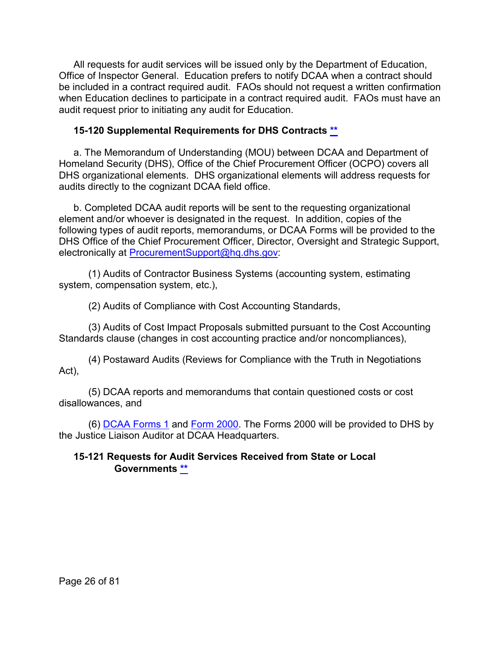All requests for audit services will be issued only by the Department of Education, Office of Inspector General. Education prefers to notify DCAA when a contract should be included in a contract required audit. FAOs should not request a written confirmation when Education declines to participate in a contract required audit. FAOs must have an audit request prior to initiating any audit for Education.

# <span id="page-25-0"></span>**15-120 Supplemental Requirements for DHS Contracts [\\*\\*](#page-2-2)**

a. The Memorandum of Understanding (MOU) between DCAA and Department of Homeland Security (DHS), Office of the Chief Procurement Officer (OCPO) covers all DHS organizational elements. DHS organizational elements will address requests for audits directly to the cognizant DCAA field office.

b. Completed DCAA audit reports will be sent to the requesting organizational element and/or whoever is designated in the request. In addition, copies of the following types of audit reports, memorandums, or DCAA Forms will be provided to the DHS Office of the Chief Procurement Officer, Director, Oversight and Strategic Support, electronically at [ProcurementSupport@hq.dhs.gov:](mailto:ProcurementSupport@hq.dhs.gov)

(1) Audits of Contractor Business Systems (accounting system, estimating system, compensation system, etc.),

(2) Audits of Compliance with Cost Accounting Standards,

(3) Audits of Cost Impact Proposals submitted pursuant to the Cost Accounting Standards clause (changes in cost accounting practice and/or noncompliances),

(4) Postaward Audits (Reviews for Compliance with the Truth in Negotiations Act),

(5) DCAA reports and memorandums that contain questioned costs or cost disallowances, and

(6) [DCAA Forms 1](https://sharepoint.dcaaintra.mil/headquarters/resources/CM/cmold/CMC/Agency%20Forms/Forms/AllItems.aspx) and [Form](https://sharepoint.dcaaintra.mil/headquarters/resources/CM/cmold/CMC/Agency%20Forms/DCAA%20Form%202000.pdf) 2000. The Forms 2000 will be provided to DHS by the Justice Liaison Auditor at DCAA Headquarters.

# <span id="page-25-1"></span>**15-121 Requests for Audit Services Received from State or Local Governments [\\*\\*](#page-2-3)**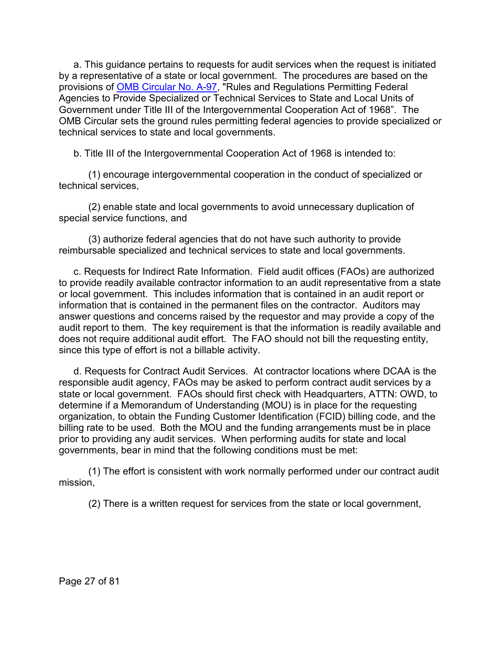a. This guidance pertains to requests for audit services when the request is initiated by a representative of a state or local government. The procedures are based on the provisions of [OMB Circular No. A-97,](https://www.whitehouse.gov/omb/information-for-agencies/circulars/#state) "Rules and Regulations Permitting Federal Agencies to Provide Specialized or Technical Services to State and Local Units of Government under Title III of the Intergovernmental Cooperation Act of 1968". The OMB Circular sets the ground rules permitting federal agencies to provide specialized or technical services to state and local governments.

b. Title III of the Intergovernmental Cooperation Act of 1968 is intended to:

(1) encourage intergovernmental cooperation in the conduct of specialized or technical services,

(2) enable state and local governments to avoid unnecessary duplication of special service functions, and

(3) authorize federal agencies that do not have such authority to provide reimbursable specialized and technical services to state and local governments.

c. Requests for Indirect Rate Information. Field audit offices (FAOs) are authorized to provide readily available contractor information to an audit representative from a state or local government. This includes information that is contained in an audit report or information that is contained in the permanent files on the contractor. Auditors may answer questions and concerns raised by the requestor and may provide a copy of the audit report to them. The key requirement is that the information is readily available and does not require additional audit effort. The FAO should not bill the requesting entity, since this type of effort is not a billable activity.

d. Requests for Contract Audit Services. At contractor locations where DCAA is the responsible audit agency, FAOs may be asked to perform contract audit services by a state or local government. FAOs should first check with Headquarters, ATTN: OWD, to determine if a Memorandum of Understanding (MOU) is in place for the requesting organization, to obtain the Funding Customer Identification (FCID) billing code, and the billing rate to be used. Both the MOU and the funding arrangements must be in place prior to providing any audit services. When performing audits for state and local governments, bear in mind that the following conditions must be met:

(1) The effort is consistent with work normally performed under our contract audit mission,

(2) There is a written request for services from the state or local government,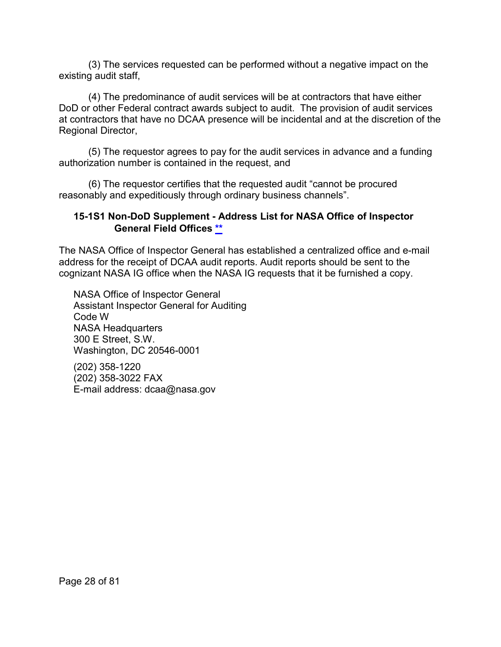(3) The services requested can be performed without a negative impact on the existing audit staff,

(4) The predominance of audit services will be at contractors that have either DoD or other Federal contract awards subject to audit. The provision of audit services at contractors that have no DCAA presence will be incidental and at the discretion of the Regional Director,

(5) The requestor agrees to pay for the audit services in advance and a funding authorization number is contained in the request, and

(6) The requestor certifies that the requested audit "cannot be procured reasonably and expeditiously through ordinary business channels".

# <span id="page-27-0"></span>**15-1S1 Non-DoD Supplement - Address List for NASA Office of Inspector General Field Offices [\\*\\*](#page-2-4)**

The NASA Office of Inspector General has established a centralized office and e-mail address for the receipt of DCAA audit reports. Audit reports should be sent to the cognizant NASA IG office when the NASA IG requests that it be furnished a copy.

NASA Office of Inspector General Assistant Inspector General for Auditing Code W NASA Headquarters 300 E Street, S.W. Washington, DC 20546-0001

(202) 358-1220 (202) 358-3022 FAX E-mail address: dcaa@nasa.gov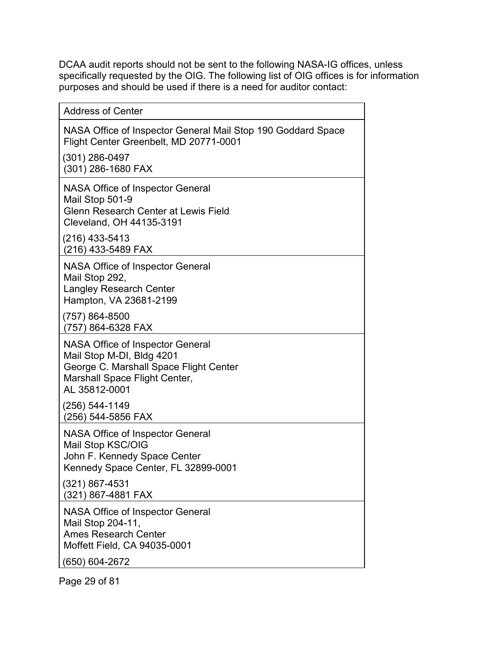DCAA audit reports should not be sent to the following NASA-IG offices, unless specifically requested by the OIG. The following list of OIG offices is for information purposes and should be used if there is a need for auditor contact:

| <b>Address of Center</b>                                                                                                                                         |
|------------------------------------------------------------------------------------------------------------------------------------------------------------------|
| NASA Office of Inspector General Mail Stop 190 Goddard Space<br>Flight Center Greenbelt, MD 20771-0001                                                           |
| $(301)$ 286-0497<br>(301) 286-1680 FAX                                                                                                                           |
| <b>NASA Office of Inspector General</b><br>Mail Stop 501-9<br><b>Glenn Research Center at Lewis Field</b><br>Cleveland, OH 44135-3191                            |
| $(216)$ 433-5413<br>(216) 433-5489 FAX                                                                                                                           |
| NASA Office of Inspector General<br>Mail Stop 292,<br>Langley Research Center<br>Hampton, VA 23681-2199                                                          |
| (757) 864-8500<br>(757) 864-6328 FAX                                                                                                                             |
| <b>NASA Office of Inspector General</b><br>Mail Stop M-DI, Bldg 4201<br>George C. Marshall Space Flight Center<br>Marshall Space Flight Center,<br>AL 35812-0001 |
| (256) 544-1149<br>(256) 544-5856 FAX                                                                                                                             |
| <b>NASA Office of Inspector General</b><br>Mail Stop KSC/OIG<br>John F. Kennedy Space Center<br>Kennedy Space Center, FL 32899-0001                              |
| (321) 867-4531<br>(321) 867-4881 FAX                                                                                                                             |
| <b>NASA Office of Inspector General</b><br>Mail Stop 204-11,<br><b>Ames Research Center</b><br>Moffett Field, CA 94035-0001                                      |
| (650) 604-2672                                                                                                                                                   |

Page 29 of 81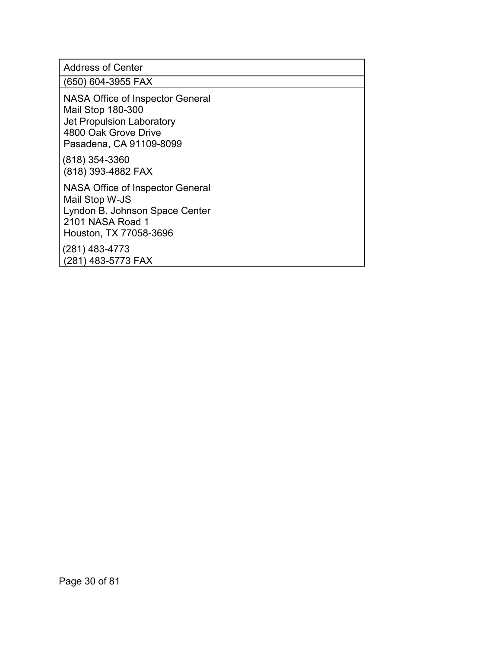Address of Center

(650) 604-3955 FAX

NASA Office of Inspector General Mail Stop 180-300 Jet Propulsion Laboratory 4800 Oak Grove Drive Pasadena, CA 91109-8099

(818) 354-3360 (818) 393-4882 FAX

NASA Office of Inspector General Mail Stop W-JS Lyndon B. Johnson Space Center 2101 NASA Road 1 Houston, TX 77058-3696

<span id="page-29-0"></span>(281) 483-4773 (281) 483-5773 FAX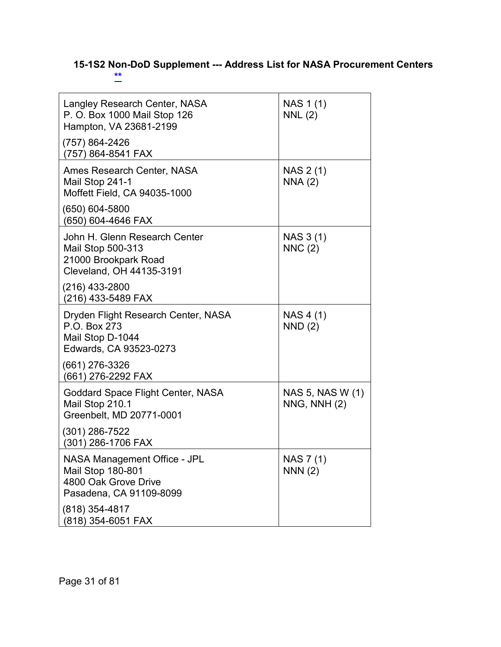# **15-1S2 Non-DoD Supplement --- Address List for NASA Procurement Centers [\\*\\*](#page-2-5)**

| Langley Research Center, NASA<br>P. O. Box 1000 Mail Stop 126<br>Hampton, VA 23681-2199                            | NAS 1 (1)<br>NNL(2)                  |
|--------------------------------------------------------------------------------------------------------------------|--------------------------------------|
| (757) 864-2426<br>(757) 864-8541 FAX                                                                               |                                      |
| Ames Research Center, NASA<br>Mail Stop 241-1<br>Moffett Field, CA 94035-1000                                      | NAS 2 (1)<br>NNA(2)                  |
| (650) 604-5800<br>(650) 604-4646 FAX                                                                               |                                      |
| John H. Glenn Research Center<br>Mail Stop 500-313<br>21000 Brookpark Road<br>Cleveland, OH 44135-3191             | NAS 3 (1)<br>NNC(2)                  |
| (216) 433-2800<br>(216) 433-5489 FAX                                                                               |                                      |
| Dryden Flight Research Center, NASA<br>P.O. Box 273<br>Mail Stop D-1044<br>Edwards, CA 93523-0273                  | NAS 4 (1)<br>NND(2)                  |
| (661) 276-3326<br>(661) 276-2292 FAX                                                                               |                                      |
| Goddard Space Flight Center, NASA<br>Mail Stop 210.1<br>Greenbelt, MD 20771-0001                                   | NAS 5, NAS W (1)<br>$NNG$ , $NNH(2)$ |
| $(301)$ 286-7522<br>(301) 286-1706 FAX                                                                             |                                      |
| <b>NASA Management Office - JPL</b><br><b>Mail Stop 180-801</b><br>4800 Oak Grove Drive<br>Pasadena, CA 91109-8099 | NAS 7(1)<br>NNN(2)                   |
| (818) 354-4817<br>(818) 354-6051 FAX                                                                               |                                      |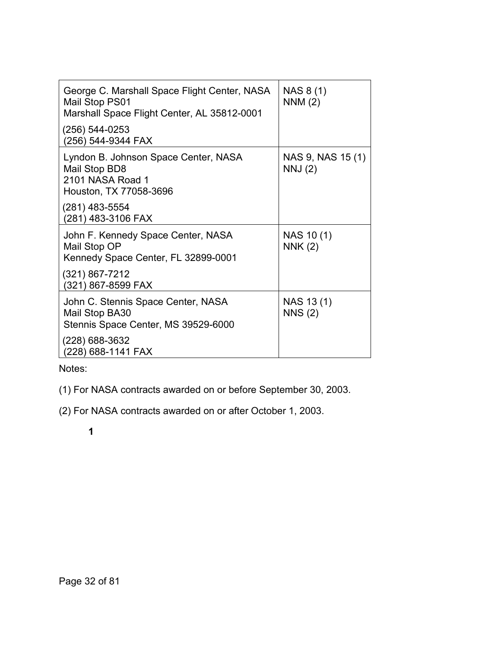| George C. Marshall Space Flight Center, NASA<br>Mail Stop PS01<br>Marshall Space Flight Center, AL 35812-0001 | NAS 8 (1)<br>NNM(2)         |
|---------------------------------------------------------------------------------------------------------------|-----------------------------|
| (256) 544-0253<br>(256) 544-9344 FAX                                                                          |                             |
| Lyndon B. Johnson Space Center, NASA<br>Mail Stop BD8<br>2101 NASA Road 1<br>Houston, TX 77058-3696           | NAS 9, NAS 15 (1)<br>NNJ(2) |
| (281) 483-5554<br>(281) 483-3106 FAX                                                                          |                             |
| John F. Kennedy Space Center, NASA<br>Mail Stop OP<br>Kennedy Space Center, FL 32899-0001                     | NAS 10(1)<br><b>NNK (2)</b> |
| (321) 867-7212<br>(321) 867-8599 FAX                                                                          |                             |
| John C. Stennis Space Center, NASA<br>Mail Stop BA30<br>Stennis Space Center, MS 39529-6000                   | NAS 13(1)<br><b>NNS (2)</b> |
| (228) 688-3632<br>(228) 688-1141 FAX                                                                          |                             |

Notes:

(1) For NASA contracts awarded on or before September 30, 2003.

<span id="page-31-0"></span>(2) For NASA contracts awarded on or after October 1, 2003.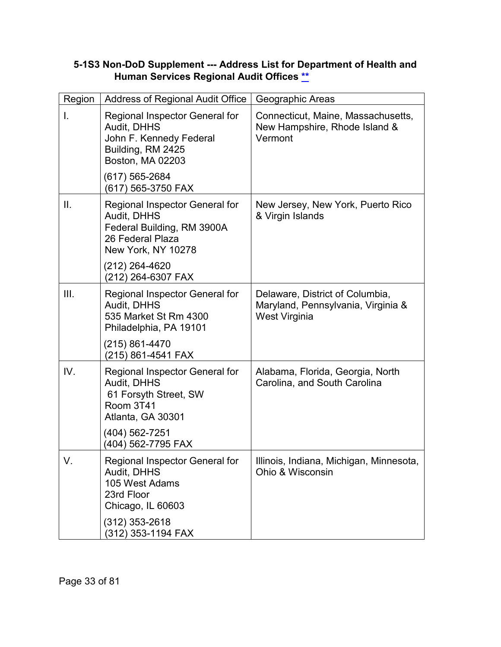| Region       | <b>Address of Regional Audit Office</b>                                                                               | Geographic Areas                                                                       |
|--------------|-----------------------------------------------------------------------------------------------------------------------|----------------------------------------------------------------------------------------|
| $\mathsf{L}$ | Regional Inspector General for<br>Audit, DHHS<br>John F. Kennedy Federal<br>Building, RM 2425<br>Boston, MA 02203     | Connecticut, Maine, Massachusetts,<br>New Hampshire, Rhode Island &<br>Vermont         |
|              | (617) 565-2684<br>(617) 565-3750 FAX                                                                                  |                                                                                        |
| II.          | Regional Inspector General for<br>Audit, DHHS<br>Federal Building, RM 3900A<br>26 Federal Plaza<br>New York, NY 10278 | New Jersey, New York, Puerto Rico<br>& Virgin Islands                                  |
|              | (212) 264-4620<br>(212) 264-6307 FAX                                                                                  |                                                                                        |
| III.         | Regional Inspector General for<br>Audit, DHHS<br>535 Market St Rm 4300<br>Philadelphia, PA 19101                      | Delaware, District of Columbia,<br>Maryland, Pennsylvania, Virginia &<br>West Virginia |
|              | (215) 861-4470<br>(215) 861-4541 FAX                                                                                  |                                                                                        |
| IV.          | Regional Inspector General for<br>Audit, DHHS<br>61 Forsyth Street, SW<br>Room 3T41<br>Atlanta, GA 30301              | Alabama, Florida, Georgia, North<br>Carolina, and South Carolina                       |
|              | (404) 562-7251<br>(404) 562-7795 FAX                                                                                  |                                                                                        |
| V.           | Regional Inspector General for<br>Audit, DHHS<br>105 West Adams<br>23rd Floor<br>Chicago, IL 60603                    | Illinois, Indiana, Michigan, Minnesota,<br>Ohio & Wisconsin                            |
|              | $(312)$ 353-2618<br>(312) 353-1194 FAX                                                                                |                                                                                        |

#### **5-1S3 Non-DoD Supplement --- Address List for Department of Health and Human Services Regional Audit Offices [\\*\\*](#page-2-6)**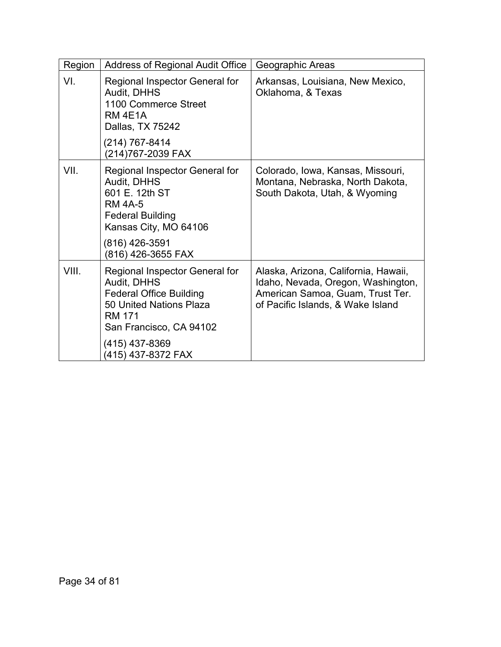<span id="page-33-0"></span>

| Region | Address of Regional Audit Office                                                                                                                                                               | Geographic Areas                                                                                                                                    |
|--------|------------------------------------------------------------------------------------------------------------------------------------------------------------------------------------------------|-----------------------------------------------------------------------------------------------------------------------------------------------------|
| VI.    | Regional Inspector General for<br>Audit, DHHS<br>1100 Commerce Street<br>RM 4E1A<br>Dallas, TX 75242                                                                                           | Arkansas, Louisiana, New Mexico,<br>Oklahoma, & Texas                                                                                               |
|        | (214) 767-8414<br>(214)767-2039 FAX                                                                                                                                                            |                                                                                                                                                     |
| VII.   | Regional Inspector General for<br>Audit, DHHS<br>601 E. 12th ST<br><b>RM 4A-5</b><br><b>Federal Building</b><br>Kansas City, MO 64106<br>(816) 426-3591<br>(816) 426-3655 FAX                  | Colorado, Iowa, Kansas, Missouri,<br>Montana, Nebraska, North Dakota,<br>South Dakota, Utah, & Wyoming                                              |
| VIII.  | Regional Inspector General for<br>Audit, DHHS<br><b>Federal Office Building</b><br>50 United Nations Plaza<br><b>RM 171</b><br>San Francisco, CA 94102<br>(415) 437-8369<br>(415) 437-8372 FAX | Alaska, Arizona, California, Hawaii,<br>Idaho, Nevada, Oregon, Washington,<br>American Samoa, Guam, Trust Ter.<br>of Pacific Islands, & Wake Island |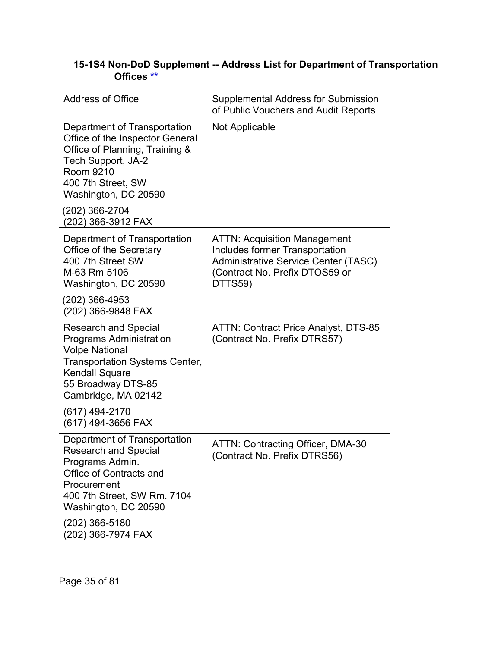# **15-1S4 Non-DoD Supplement -- Address List for Department of Transportation Offices [\\*\\*](#page-2-7)**

| <b>Address of Office</b>                                                                                                                                                                                                   | <b>Supplemental Address for Submission</b><br>of Public Vouchers and Audit Reports                                                                                       |
|----------------------------------------------------------------------------------------------------------------------------------------------------------------------------------------------------------------------------|--------------------------------------------------------------------------------------------------------------------------------------------------------------------------|
| Department of Transportation<br>Office of the Inspector General<br>Office of Planning, Training &<br>Tech Support, JA-2<br>Room 9210<br>400 7th Street, SW<br>Washington, DC 20590<br>(202) 366-2704<br>(202) 366-3912 FAX | Not Applicable                                                                                                                                                           |
| Department of Transportation<br>Office of the Secretary<br>400 7th Street SW<br>M-63 Rm 5106<br>Washington, DC 20590                                                                                                       | <b>ATTN: Acquisition Management</b><br><b>Includes former Transportation</b><br><b>Administrative Service Center (TASC)</b><br>(Contract No. Prefix DTOS59 or<br>DTTS59) |
| (202) 366-4953<br>(202) 366-9848 FAX                                                                                                                                                                                       |                                                                                                                                                                          |
| <b>Research and Special</b><br><b>Programs Administration</b><br><b>Volpe National</b><br><b>Transportation Systems Center,</b><br><b>Kendall Square</b><br>55 Broadway DTS-85<br>Cambridge, MA 02142                      | <b>ATTN: Contract Price Analyst, DTS-85</b><br>(Contract No. Prefix DTRS57)                                                                                              |
| (617) 494-2170<br>(617) 494-3656 FAX                                                                                                                                                                                       |                                                                                                                                                                          |
| Department of Transportation<br><b>Research and Special</b><br>Programs Admin.<br>Office of Contracts and<br>Procurement<br>400 7th Street, SW Rm. 7104<br>Washington, DC 20590<br>(202) 366-5180<br>(202) 366-7974 FAX    | ATTN: Contracting Officer, DMA-30<br>(Contract No. Prefix DTRS56)                                                                                                        |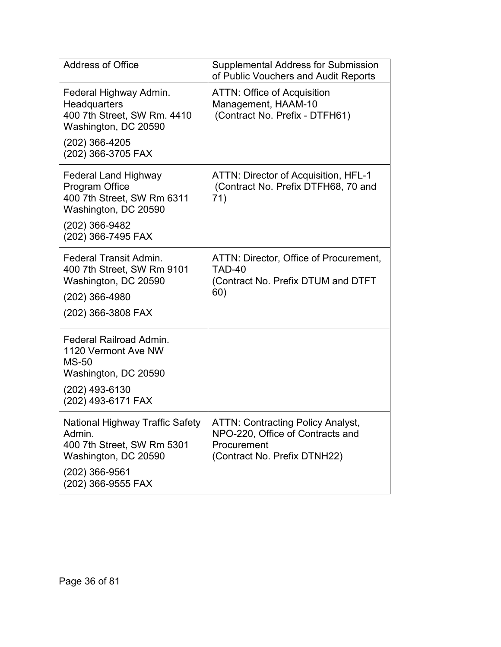| <b>Address of Office</b>                                                                                                                     | <b>Supplemental Address for Submission</b><br>of Public Vouchers and Audit Reports                                          |
|----------------------------------------------------------------------------------------------------------------------------------------------|-----------------------------------------------------------------------------------------------------------------------------|
| Federal Highway Admin.<br><b>Headquarters</b><br>400 7th Street, SW Rm. 4410<br>Washington, DC 20590<br>(202) 366-4205<br>(202) 366-3705 FAX | <b>ATTN: Office of Acquisition</b><br>Management, HAAM-10<br>(Contract No. Prefix - DTFH61)                                 |
| <b>Federal Land Highway</b><br>Program Office<br>400 7th Street, SW Rm 6311<br>Washington, DC 20590<br>(202) 366-9482<br>(202) 366-7495 FAX  | ATTN: Director of Acquisition, HFL-1<br>(Contract No. Prefix DTFH68, 70 and<br>71)                                          |
| <b>Federal Transit Admin.</b><br>400 7th Street, SW Rm 9101<br>Washington, DC 20590<br>(202) 366-4980<br>(202) 366-3808 FAX                  | ATTN: Director, Office of Procurement,<br>TAD-40<br>(Contract No. Prefix DTUM and DTFT<br>60)                               |
| Federal Railroad Admin.<br>1120 Vermont Ave NW<br><b>MS-50</b><br>Washington, DC 20590<br>(202) 493-6130<br>(202) 493-6171 FAX               |                                                                                                                             |
| National Highway Traffic Safety<br>Admin.<br>400 7th Street, SW Rm 5301<br>Washington, DC 20590<br>(202) 366-9561<br>(202) 366-9555 FAX      | <b>ATTN: Contracting Policy Analyst,</b><br>NPO-220, Office of Contracts and<br>Procurement<br>(Contract No. Prefix DTNH22) |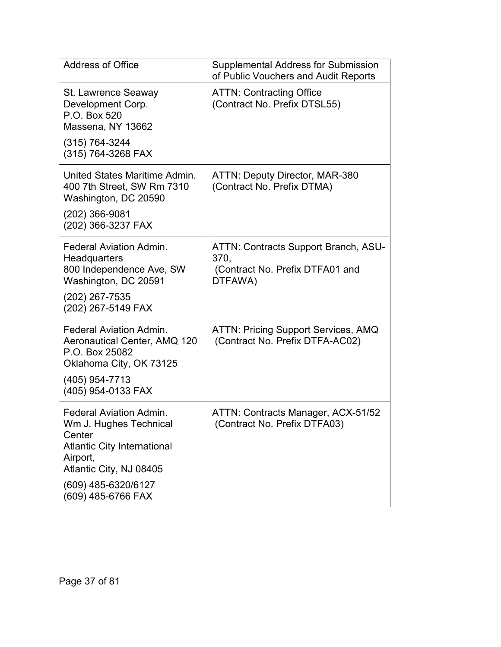| <b>Address of Office</b>                                                                                                                                                                     | <b>Supplemental Address for Submission</b><br>of Public Vouchers and Audit Reports         |  |
|----------------------------------------------------------------------------------------------------------------------------------------------------------------------------------------------|--------------------------------------------------------------------------------------------|--|
| St. Lawrence Seaway<br>Development Corp.<br>P.O. Box 520<br>Massena, NY 13662<br>$(315) 764 - 3244$<br>(315) 764-3268 FAX                                                                    | <b>ATTN: Contracting Office</b><br>(Contract No. Prefix DTSL55)                            |  |
| United States Maritime Admin.<br>400 7th Street, SW Rm 7310<br>Washington, DC 20590<br>(202) 366-9081<br>(202) 366-3237 FAX                                                                  | <b>ATTN: Deputy Director, MAR-380</b><br>(Contract No. Prefix DTMA)                        |  |
| <b>Federal Aviation Admin.</b><br>Headquarters<br>800 Independence Ave, SW<br>Washington, DC 20591<br>(202) 267-7535<br>(202) 267-5149 FAX                                                   | ATTN: Contracts Support Branch, ASU-<br>370,<br>(Contract No. Prefix DTFA01 and<br>DTFAWA) |  |
| <b>Federal Aviation Admin.</b><br>Aeronautical Center, AMQ 120<br>P.O. Box 25082<br>Oklahoma City, OK 73125<br>(405) 954-7713<br>(405) 954-0133 FAX                                          | <b>ATTN: Pricing Support Services, AMQ</b><br>(Contract No. Prefix DTFA-AC02)              |  |
| <b>Federal Aviation Admin.</b><br>Wm J. Hughes Technical<br>Center<br><b>Atlantic City International</b><br>Airport,<br>Atlantic City, NJ 08405<br>(609) 485-6320/6127<br>(609) 485-6766 FAX | ATTN: Contracts Manager, ACX-51/52<br>(Contract No. Prefix DTFA03)                         |  |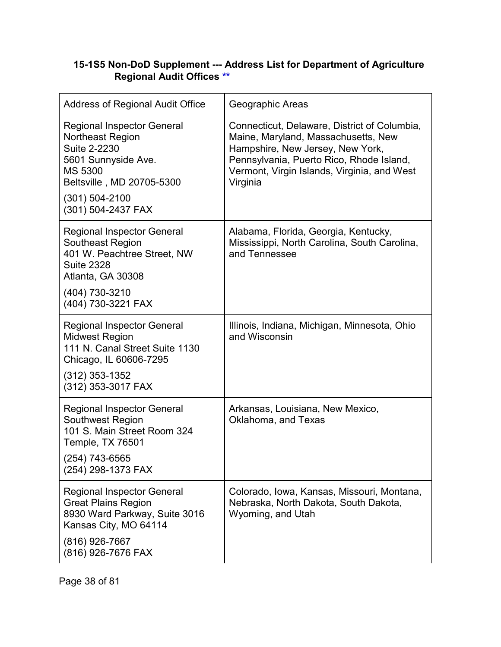### **15-1S5 Non-DoD Supplement --- Address List for Department of Agriculture Regional Audit Offices [\\*\\*](#page-2-0)**

| <b>Address of Regional Audit Office</b>                                                                                                                                                               | Geographic Areas                                                                                                                                                                                                               |
|-------------------------------------------------------------------------------------------------------------------------------------------------------------------------------------------------------|--------------------------------------------------------------------------------------------------------------------------------------------------------------------------------------------------------------------------------|
| <b>Regional Inspector General</b><br><b>Northeast Region</b><br><b>Suite 2-2230</b><br>5601 Sunnyside Ave.<br><b>MS 5300</b><br>Beltsville, MD 20705-5300<br>$(301) 504 - 2100$<br>(301) 504-2437 FAX | Connecticut, Delaware, District of Columbia,<br>Maine, Maryland, Massachusetts, New<br>Hampshire, New Jersey, New York,<br>Pennsylvania, Puerto Rico, Rhode Island,<br>Vermont, Virgin Islands, Virginia, and West<br>Virginia |
| <b>Regional Inspector General</b><br>Southeast Region<br>401 W. Peachtree Street, NW<br><b>Suite 2328</b><br>Atlanta, GA 30308<br>(404) 730-3210<br>(404) 730-3221 FAX                                | Alabama, Florida, Georgia, Kentucky,<br>Mississippi, North Carolina, South Carolina,<br>and Tennessee                                                                                                                          |
| <b>Regional Inspector General</b><br><b>Midwest Region</b><br>111 N. Canal Street Suite 1130<br>Chicago, IL 60606-7295<br>$(312)$ 353-1352<br>(312) 353-3017 FAX                                      | Illinois, Indiana, Michigan, Minnesota, Ohio<br>and Wisconsin                                                                                                                                                                  |
| <b>Regional Inspector General</b><br><b>Southwest Region</b><br>101 S. Main Street Room 324<br>Temple, TX 76501<br>$(254)$ 743-6565<br>(254) 298-1373 FAX                                             | Arkansas, Louisiana, New Mexico,<br>Oklahoma, and Texas                                                                                                                                                                        |
| <b>Regional Inspector General</b><br><b>Great Plains Region</b><br>8930 Ward Parkway, Suite 3016<br>Kansas City, MO 64114<br>(816) 926-7667<br>(816) 926-7676 FAX                                     | Colorado, Iowa, Kansas, Missouri, Montana,<br>Nebraska, North Dakota, South Dakota,<br>Wyoming, and Utah                                                                                                                       |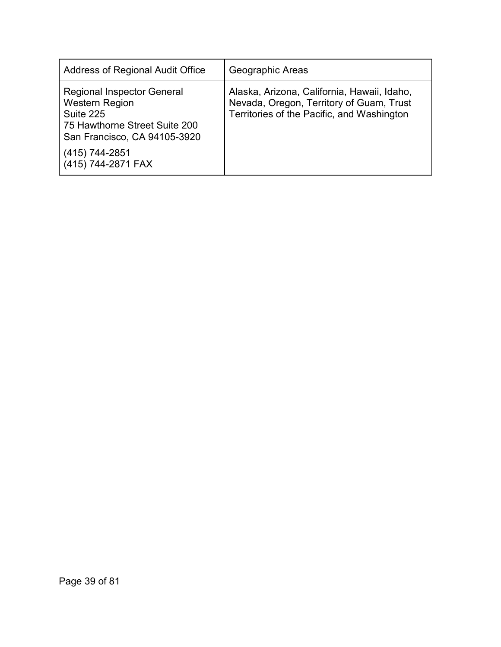| Address of Regional Audit Office                                                                                                         | Geographic Areas                                                                                                                      |
|------------------------------------------------------------------------------------------------------------------------------------------|---------------------------------------------------------------------------------------------------------------------------------------|
| <b>Regional Inspector General</b><br><b>Western Region</b><br>Suite 225<br>75 Hawthorne Street Suite 200<br>San Francisco, CA 94105-3920 | Alaska, Arizona, California, Hawaii, Idaho,<br>Nevada, Oregon, Territory of Guam, Trust<br>Territories of the Pacific, and Washington |
| (415) 744-2851<br>(415) 744-2871 FAX                                                                                                     |                                                                                                                                       |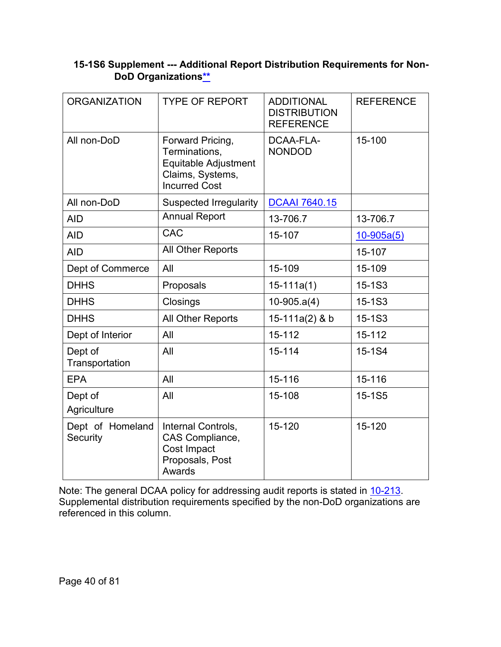# **15-1S6 Supplement --- Additional Report Distribution Requirements for Non-DoD Organization[s\\*\\*](#page-2-1)**

| <b>ORGANIZATION</b>          | <b>TYPE OF REPORT</b>                                                                                 | <b>ADDITIONAL</b><br><b>DISTRIBUTION</b><br><b>REFERENCE</b> | <b>REFERENCE</b> |
|------------------------------|-------------------------------------------------------------------------------------------------------|--------------------------------------------------------------|------------------|
| All non-DoD                  | Forward Pricing,<br>Terminations,<br>Equitable Adjustment<br>Claims, Systems,<br><b>Incurred Cost</b> | DCAA-FLA-<br><b>NONDOD</b>                                   | 15-100           |
| All non-DoD                  | <b>Suspected Irregularity</b>                                                                         | <b>DCAAI 7640.15</b>                                         |                  |
| <b>AID</b>                   | <b>Annual Report</b>                                                                                  | 13-706.7                                                     | 13-706.7         |
| <b>AID</b>                   | <b>CAC</b>                                                                                            | 15-107                                                       | $10 - 905a(5)$   |
| <b>AID</b>                   | All Other Reports                                                                                     |                                                              | 15-107           |
| Dept of Commerce             | All                                                                                                   | 15-109                                                       | 15-109           |
| <b>DHHS</b>                  | Proposals                                                                                             | $15-111a(1)$                                                 | 15-1S3           |
| <b>DHHS</b>                  | Closings                                                                                              | $10-905.a(4)$                                                | 15-1S3           |
| <b>DHHS</b>                  | All Other Reports                                                                                     | 15-111a(2) & b                                               | 15-1S3           |
| Dept of Interior             | All                                                                                                   | 15-112                                                       | 15-112           |
| Dept of<br>Transportation    | All                                                                                                   | 15-114                                                       | 15-1S4           |
| <b>EPA</b>                   | All                                                                                                   | 15-116                                                       | 15-116           |
| Dept of<br>Agriculture       | All                                                                                                   | 15-108                                                       | 15-1S5           |
| Dept of Homeland<br>Security | Internal Controls,<br>CAS Compliance,<br>Cost Impact<br>Proposals, Post<br>Awards                     | 15-120                                                       | 15-120           |

Note: The general DCAA policy for addressing audit reports is stated in <u>10-213</u>. Supplemental distribution requirements specified by the non-DoD organizations are referenced in this column.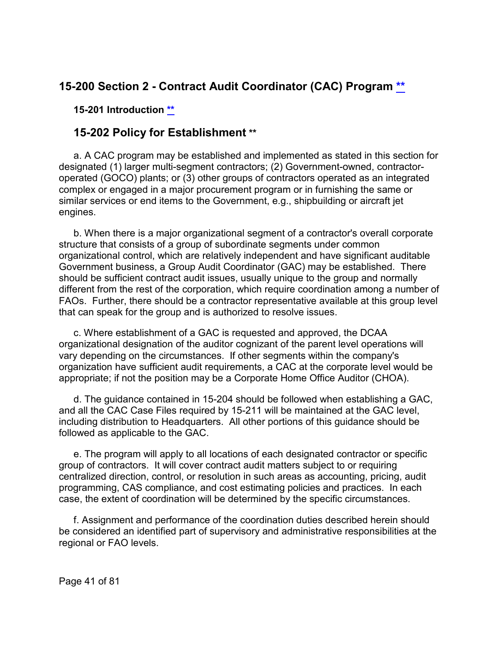# **15-200 Section 2 - Contract Audit Coordinator (CAC) Program [\\*\\*](#page-2-2)**

**15-201 Introduction [\\*\\*](#page-2-3)**

# **15-202 Policy for Establishment [\\*\\*](#page-2-3)**

a. A CAC program may be established and implemented as stated in this section for designated (1) larger multi-segment contractors; (2) Government-owned, contractoroperated (GOCO) plants; or (3) other groups of contractors operated as an integrated complex or engaged in a major procurement program or in furnishing the same or similar services or end items to the Government, e.g., shipbuilding or aircraft jet engines.

b. When there is a major organizational segment of a contractor's overall corporate structure that consists of a group of subordinate segments under common organizational control, which are relatively independent and have significant auditable Government business, a Group Audit Coordinator (GAC) may be established. There should be sufficient contract audit issues, usually unique to the group and normally different from the rest of the corporation, which require coordination among a number of FAOs. Further, there should be a contractor representative available at this group level that can speak for the group and is authorized to resolve issues.

c. Where establishment of a GAC is requested and approved, the DCAA organizational designation of the auditor cognizant of the parent level operations will vary depending on the circumstances. If other segments within the company's organization have sufficient audit requirements, a CAC at the corporate level would be appropriate; if not the position may be a Corporate Home Office Auditor (CHOA).

d. The guidance contained in 15-204 should be followed when establishing a GAC, and all the CAC Case Files required by 15-211 will be maintained at the GAC level, including distribution to Headquarters. All other portions of this guidance should be followed as applicable to the GAC.

e. The program will apply to all locations of each designated contractor or specific group of contractors. It will cover contract audit matters subject to or requiring centralized direction, control, or resolution in such areas as accounting, pricing, audit programming, CAS compliance, and cost estimating policies and practices. In each case, the extent of coordination will be determined by the specific circumstances.

f. Assignment and performance of the coordination duties described herein should be considered an identified part of supervisory and administrative responsibilities at the regional or FAO levels.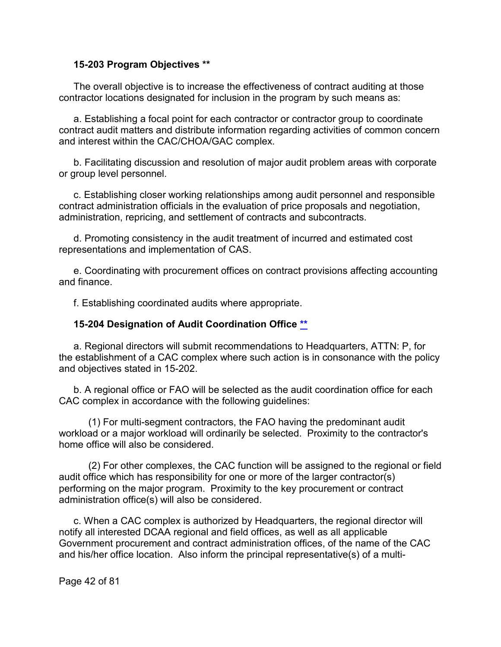#### **15-203 Program Objectives [\\*\\*](#page-2-4)**

The overall objective is to increase the effectiveness of contract auditing at those contractor locations designated for inclusion in the program by such means as:

a. Establishing a focal point for each contractor or contractor group to coordinate contract audit matters and distribute information regarding activities of common concern and interest within the CAC/CHOA/GAC complex.

b. Facilitating discussion and resolution of major audit problem areas with corporate or group level personnel.

c. Establishing closer working relationships among audit personnel and responsible contract administration officials in the evaluation of price proposals and negotiation, administration, repricing, and settlement of contracts and subcontracts.

d. Promoting consistency in the audit treatment of incurred and estimated cost representations and implementation of CAS.

e. Coordinating with procurement offices on contract provisions affecting accounting and finance.

f. Establishing coordinated audits where appropriate.

#### **15-204 Designation of Audit Coordination Office [\\*\\*](#page-2-5)**

a. Regional directors will submit recommendations to Headquarters, ATTN: P, for the establishment of a CAC complex where such action is in consonance with the policy and objectives stated in 15-202.

b. A regional office or FAO will be selected as the audit coordination office for each CAC complex in accordance with the following guidelines:

(1) For multi-segment contractors, the FAO having the predominant audit workload or a major workload will ordinarily be selected. Proximity to the contractor's home office will also be considered.

(2) For other complexes, the CAC function will be assigned to the regional or field audit office which has responsibility for one or more of the larger contractor(s) performing on the major program. Proximity to the key procurement or contract administration office(s) will also be considered.

c. When a CAC complex is authorized by Headquarters, the regional director will notify all interested DCAA regional and field offices, as well as all applicable Government procurement and contract administration offices, of the name of the CAC and his/her office location. Also inform the principal representative(s) of a multi-

Page 42 of 81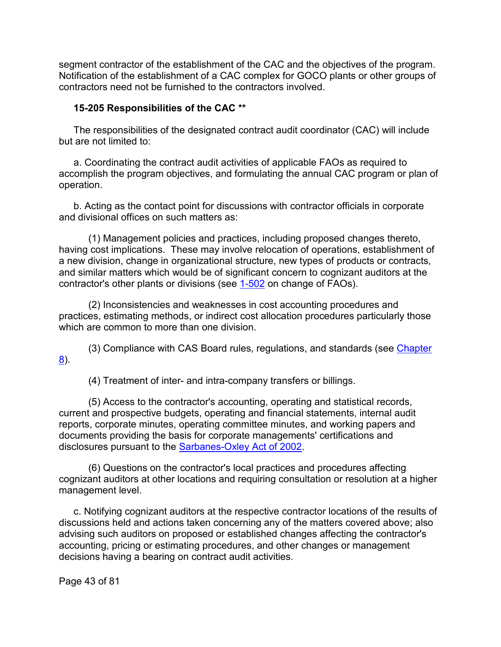segment contractor of the establishment of the CAC and the objectives of the program. Notification of the establishment of a CAC complex for GOCO plants or other groups of contractors need not be furnished to the contractors involved.

#### **15-205 Responsibilities of the CAC [\\*\\*](#page-2-6)**

The responsibilities of the designated contract audit coordinator (CAC) will include but are not limited to:

a. Coordinating the contract audit activities of applicable FAOs as required to accomplish the program objectives, and formulating the annual CAC program or plan of operation.

b. Acting as the contact point for discussions with contractor officials in corporate and divisional offices on such matters as:

(1) Management policies and practices, including proposed changes thereto, having cost implications. These may involve relocation of operations, establishment of a new division, change in organizational structure, new types of products or contracts, and similar matters which would be of significant concern to cognizant auditors at the contractor's other plants or divisions (see [1-502](https://viper.dcaa.mil/guidance/cam/3127/introduction-to-contract-audit#Sec1502) on change of FAOs).

(2) Inconsistencies and weaknesses in cost accounting procedures and practices, estimating methods, or indirect cost allocation procedures particularly those which are common to more than one division.

(3) Compliance with CAS Board rules, regulations, and standards (see [Chapter](https://viper.dcaa.mil/guidance/cam/3141/cost-accounting-standards#Section)  [8\)](https://viper.dcaa.mil/guidance/cam/3141/cost-accounting-standards#Section).

(4) Treatment of inter- and intra-company transfers or billings.

(5) Access to the contractor's accounting, operating and statistical records, current and prospective budgets, operating and financial statements, internal audit reports, corporate minutes, operating committee minutes, and working papers and documents providing the basis for corporate managements' certifications and disclosures pursuant to the [Sarbanes-Oxley Act of 2002.](https://www.sec.gov/about/laws/soa2002.pdf)

(6) Questions on the contractor's local practices and procedures affecting cognizant auditors at other locations and requiring consultation or resolution at a higher management level.

c. Notifying cognizant auditors at the respective contractor locations of the results of discussions held and actions taken concerning any of the matters covered above; also advising such auditors on proposed or established changes affecting the contractor's accounting, pricing or estimating procedures, and other changes or management decisions having a bearing on contract audit activities.

Page 43 of 81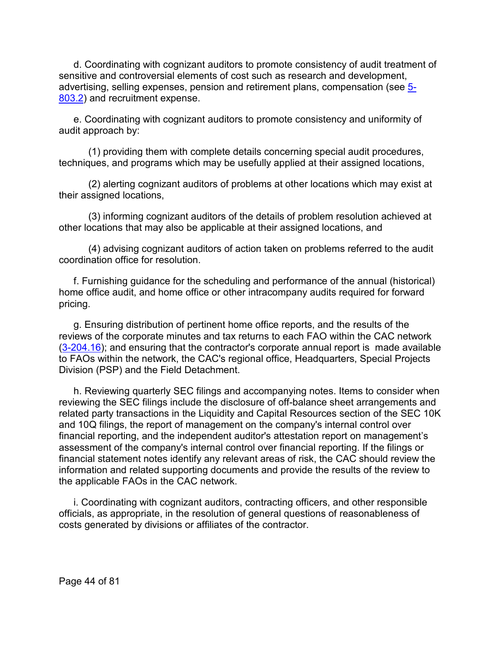d. Coordinating with cognizant auditors to promote consistency of audit treatment of sensitive and controversial elements of cost such as research and development, advertising, selling expenses, pension and retirement plans, compensation (see [5-](https://viper.dcaa.mil/guidance/cam/3135/audit-of-contractor-compliance-with-defense-federal-acquisition-regulation-supplement-for-contractor-business-systems-and-subsystems#Sec58032) [803.2\)](https://viper.dcaa.mil/guidance/cam/3135/audit-of-contractor-compliance-with-defense-federal-acquisition-regulation-supplement-for-contractor-business-systems-and-subsystems#Sec58032) and recruitment expense.

e. Coordinating with cognizant auditors to promote consistency and uniformity of audit approach by:

(1) providing them with complete details concerning special audit procedures, techniques, and programs which may be usefully applied at their assigned locations,

(2) alerting cognizant auditors of problems at other locations which may exist at their assigned locations,

(3) informing cognizant auditors of the details of problem resolution achieved at other locations that may also be applicable at their assigned locations, and

(4) advising cognizant auditors of action taken on problems referred to the audit coordination office for resolution.

f. Furnishing guidance for the scheduling and performance of the annual (historical) home office audit, and home office or other intracompany audits required for forward pricing.

g. Ensuring distribution of pertinent home office reports, and the results of the reviews of the corporate minutes and tax returns to each FAO within the CAC network [\(3-204.16\)](https://viper.dcaa.mil/guidance/cam/3129/audit-planning#Sec320416); and ensuring that the contractor's corporate annual report is made available to FAOs within the network, the CAC's regional office, Headquarters, Special Projects Division (PSP) and the Field Detachment.

h. Reviewing quarterly SEC filings and accompanying notes. Items to consider when reviewing the SEC filings include the disclosure of off-balance sheet arrangements and related party transactions in the Liquidity and Capital Resources section of the SEC 10K and 10Q filings, the report of management on the company's internal control over financial reporting, and the independent auditor's attestation report on management's assessment of the company's internal control over financial reporting. If the filings or financial statement notes identify any relevant areas of risk, the CAC should review the information and related supporting documents and provide the results of the review to the applicable FAOs in the CAC network.

i. Coordinating with cognizant auditors, contracting officers, and other responsible officials, as appropriate, in the resolution of general questions of reasonableness of costs generated by divisions or affiliates of the contractor.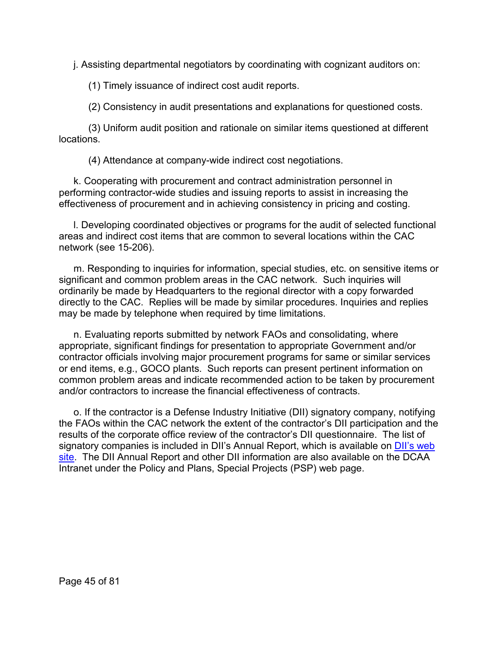j. Assisting departmental negotiators by coordinating with cognizant auditors on:

(1) Timely issuance of indirect cost audit reports.

(2) Consistency in audit presentations and explanations for questioned costs.

(3) Uniform audit position and rationale on similar items questioned at different locations.

(4) Attendance at company-wide indirect cost negotiations.

k. Cooperating with procurement and contract administration personnel in performing contractor-wide studies and issuing reports to assist in increasing the effectiveness of procurement and in achieving consistency in pricing and costing.

l. Developing coordinated objectives or programs for the audit of selected functional areas and indirect cost items that are common to several locations within the CAC network (see 15-206).

m. Responding to inquiries for information, special studies, etc. on sensitive items or significant and common problem areas in the CAC network. Such inquiries will ordinarily be made by Headquarters to the regional director with a copy forwarded directly to the CAC. Replies will be made by similar procedures. Inquiries and replies may be made by telephone when required by time limitations.

n. Evaluating reports submitted by network FAOs and consolidating, where appropriate, significant findings for presentation to appropriate Government and/or contractor officials involving major procurement programs for same or similar services or end items, e.g., GOCO plants. Such reports can present pertinent information on common problem areas and indicate recommended action to be taken by procurement and/or contractors to increase the financial effectiveness of contracts.

o. If the contractor is a Defense Industry Initiative (DII) signatory company, notifying the FAOs within the CAC network the extent of the contractor's DII participation and the results of the corporate office review of the contractor's DII questionnaire. The list of signatory companies is included in DII's Annual Report, which is available on DII's web [site.](http://www.dii.org/) The DII Annual Report and other DII information are also available on the DCAA Intranet under the Policy and Plans, Special Projects (PSP) web page.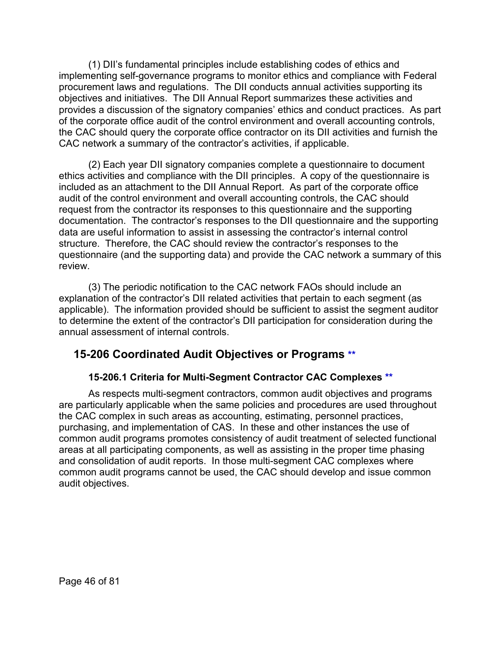(1) DII's fundamental principles include establishing codes of ethics and implementing self-governance programs to monitor ethics and compliance with Federal procurement laws and regulations. The DII conducts annual activities supporting its objectives and initiatives. The DII Annual Report summarizes these activities and provides a discussion of the signatory companies' ethics and conduct practices. As part of the corporate office audit of the control environment and overall accounting controls, the CAC should query the corporate office contractor on its DII activities and furnish the CAC network a summary of the contractor's activities, if applicable.

(2) Each year DII signatory companies complete a questionnaire to document ethics activities and compliance with the DII principles. A copy of the questionnaire is included as an attachment to the DII Annual Report. As part of the corporate office audit of the control environment and overall accounting controls, the CAC should request from the contractor its responses to this questionnaire and the supporting documentation. The contractor's responses to the DII questionnaire and the supporting data are useful information to assist in assessing the contractor's internal control structure. Therefore, the CAC should review the contractor's responses to the questionnaire (and the supporting data) and provide the CAC network a summary of this review.

(3) The periodic notification to the CAC network FAOs should include an explanation of the contractor's DII related activities that pertain to each segment (as applicable). The information provided should be sufficient to assist the segment auditor to determine the extent of the contractor's DII participation for consideration during the annual assessment of internal controls.

# **15-206 Coordinated Audit Objectives or Programs [\\*\\*](#page-2-7)**

# **15-206.1 Criteria for Multi-Segment Contractor CAC Complexes [\\*\\*](#page-2-8)**

As respects multi-segment contractors, common audit objectives and programs are particularly applicable when the same policies and procedures are used throughout the CAC complex in such areas as accounting, estimating, personnel practices, purchasing, and implementation of CAS. In these and other instances the use of common audit programs promotes consistency of audit treatment of selected functional areas at all participating components, as well as assisting in the proper time phasing and consolidation of audit reports. In those multi-segment CAC complexes where common audit programs cannot be used, the CAC should develop and issue common audit objectives.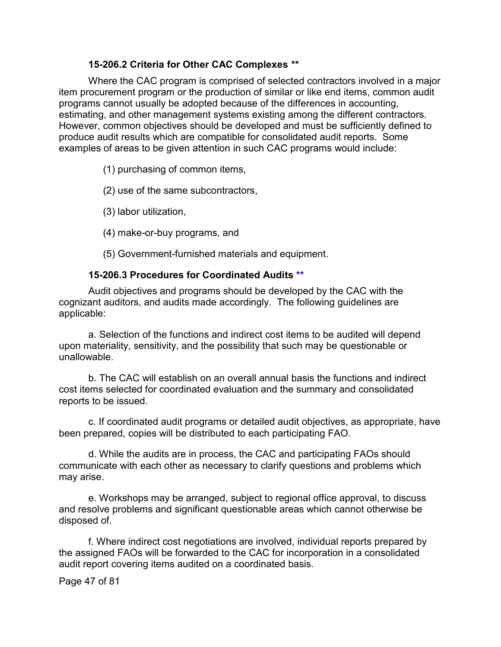#### **15-206.2 Criteria for Other CAC Complexes [\\*\\*](#page-2-9)**

Where the CAC program is comprised of selected contractors involved in a major item procurement program or the production of similar or like end items, common audit programs cannot usually be adopted because of the differences in accounting, estimating, and other management systems existing among the different contractors. However, common objectives should be developed and must be sufficiently defined to produce audit results which are compatible for consolidated audit reports. Some examples of areas to be given attention in such CAC programs would include:

(1) purchasing of common items,

(2) use of the same subcontractors,

(3) labor utilization,

(4) make-or-buy programs, and

(5) Government-furnished materials and equipment.

#### **15-206.3 Procedures for Coordinated Audits [\\*\\*](#page-2-10)**

Audit objectives and programs should be developed by the CAC with the cognizant auditors, and audits made accordingly. The following guidelines are applicable:

a. Selection of the functions and indirect cost items to be audited will depend upon materiality, sensitivity, and the possibility that such may be questionable or unallowable.

b. The CAC will establish on an overall annual basis the functions and indirect cost items selected for coordinated evaluation and the summary and consolidated reports to be issued.

c. If coordinated audit programs or detailed audit objectives, as appropriate, have been prepared, copies will be distributed to each participating FAO.

d. While the audits are in process, the CAC and participating FAOs should communicate with each other as necessary to clarify questions and problems which may arise.

e. Workshops may be arranged, subject to regional office approval, to discuss and resolve problems and significant questionable areas which cannot otherwise be disposed of.

f. Where indirect cost negotiations are involved, individual reports prepared by the assigned FAOs will be forwarded to the CAC for incorporation in a consolidated audit report covering items audited on a coordinated basis.

Page 47 of 81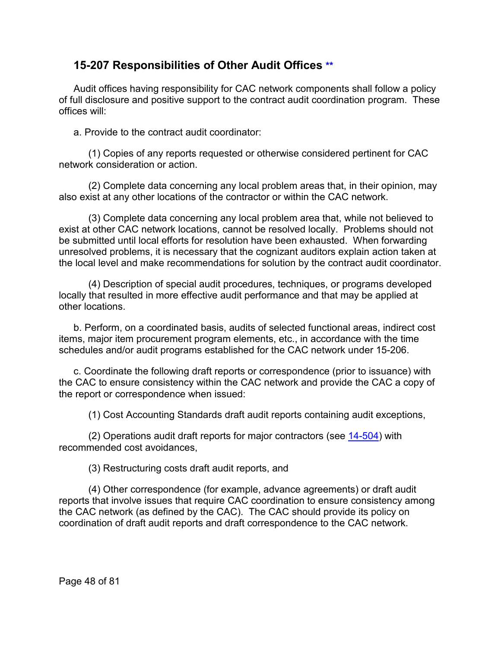# **15-207 Responsibilities of Other Audit Offices [\\*\\*](#page-3-0)**

Audit offices having responsibility for CAC network components shall follow a policy of full disclosure and positive support to the contract audit coordination program. These offices will:

a. Provide to the contract audit coordinator:

(1) Copies of any reports requested or otherwise considered pertinent for CAC network consideration or action.

(2) Complete data concerning any local problem areas that, in their opinion, may also exist at any other locations of the contractor or within the CAC network.

(3) Complete data concerning any local problem area that, while not believed to exist at other CAC network locations, cannot be resolved locally. Problems should not be submitted until local efforts for resolution have been exhausted. When forwarding unresolved problems, it is necessary that the cognizant auditors explain action taken at the local level and make recommendations for solution by the contract audit coordinator.

(4) Description of special audit procedures, techniques, or programs developed locally that resulted in more effective audit performance and that may be applied at other locations.

b. Perform, on a coordinated basis, audits of selected functional areas, indirect cost items, major item procurement program elements, etc., in accordance with the time schedules and/or audit programs established for the CAC network under 15-206.

c. Coordinate the following draft reports or correspondence (prior to issuance) with the CAC to ensure consistency within the CAC network and provide the CAC a copy of the report or correspondence when issued:

(1) Cost Accounting Standards draft audit reports containing audit exceptions,

(2) Operations audit draft reports for major contractors (see [14-504\)](https://viper.dcaa.mil/guidance/cam/3158/other-contract-audit-assignments#Sec14504) with recommended cost avoidances,

(3) Restructuring costs draft audit reports, and

(4) Other correspondence (for example, advance agreements) or draft audit reports that involve issues that require CAC coordination to ensure consistency among the CAC network (as defined by the CAC). The CAC should provide its policy on coordination of draft audit reports and draft correspondence to the CAC network.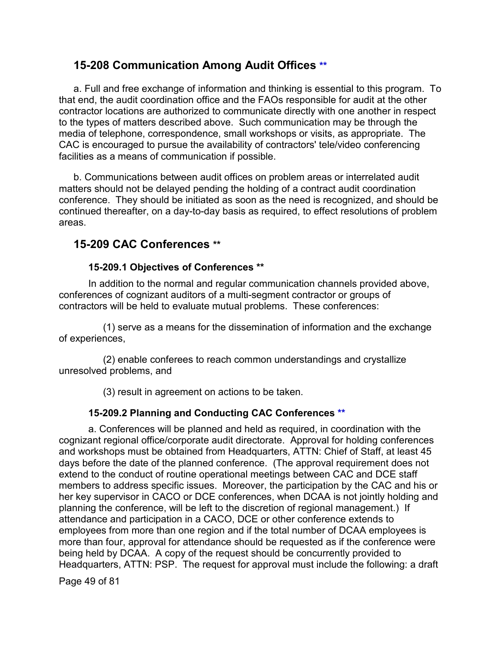# **15-208 Communication Among Audit Offices [\\*\\*](#page-3-1)**

a. Full and free exchange of information and thinking is essential to this program. To that end, the audit coordination office and the FAOs responsible for audit at the other contractor locations are authorized to communicate directly with one another in respect to the types of matters described above. Such communication may be through the media of telephone, correspondence, small workshops or visits, as appropriate. The CAC is encouraged to pursue the availability of contractors' tele/video conferencing facilities as a means of communication if possible.

b. Communications between audit offices on problem areas or interrelated audit matters should not be delayed pending the holding of a contract audit coordination conference. They should be initiated as soon as the need is recognized, and should be continued thereafter, on a day-to-day basis as required, to effect resolutions of problem areas.

# **15-209 CAC Conferences [\\*\\*](#page-3-2)**

### **15-209.1 Objectives of Conferences [\\*\\*](#page-3-3)**

In addition to the normal and regular communication channels provided above, conferences of cognizant auditors of a multi-segment contractor or groups of contractors will be held to evaluate mutual problems. These conferences:

(1) serve as a means for the dissemination of information and the exchange of experiences,

(2) enable conferees to reach common understandings and crystallize unresolved problems, and

(3) result in agreement on actions to be taken.

### **15-209.2 Planning and Conducting CAC Conferences [\\*\\*](#page-3-4)**

a. Conferences will be planned and held as required, in coordination with the cognizant regional office/corporate audit directorate. Approval for holding conferences and workshops must be obtained from Headquarters, ATTN: Chief of Staff, at least 45 days before the date of the planned conference. (The approval requirement does not extend to the conduct of routine operational meetings between CAC and DCE staff members to address specific issues. Moreover, the participation by the CAC and his or her key supervisor in CACO or DCE conferences, when DCAA is not jointly holding and planning the conference, will be left to the discretion of regional management.) If attendance and participation in a CACO, DCE or other conference extends to employees from more than one region and if the total number of DCAA employees is more than four, approval for attendance should be requested as if the conference were being held by DCAA. A copy of the request should be concurrently provided to Headquarters, ATTN: PSP. The request for approval must include the following: a draft

Page 49 of 81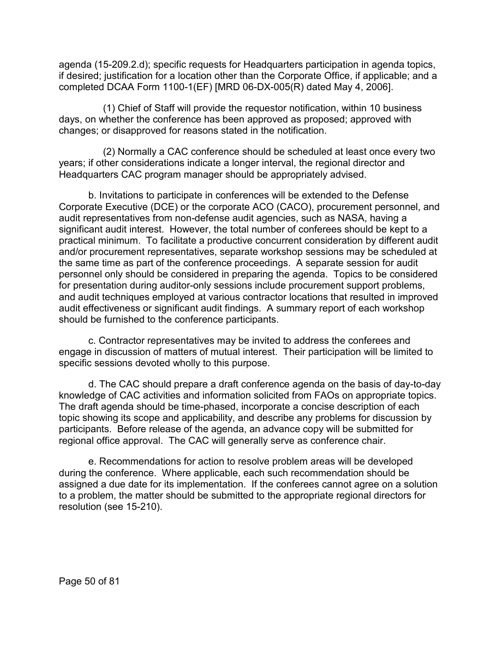agenda (15-209.2.d); specific requests for Headquarters participation in agenda topics, if desired; justification for a location other than the Corporate Office, if applicable; and a completed DCAA Form 1100-1(EF) [MRD 06-DX-005(R) dated May 4, 2006].

(1) Chief of Staff will provide the requestor notification, within 10 business days, on whether the conference has been approved as proposed; approved with changes; or disapproved for reasons stated in the notification.

(2) Normally a CAC conference should be scheduled at least once every two years; if other considerations indicate a longer interval, the regional director and Headquarters CAC program manager should be appropriately advised.

b. Invitations to participate in conferences will be extended to the Defense Corporate Executive (DCE) or the corporate ACO (CACO), procurement personnel, and audit representatives from non-defense audit agencies, such as NASA, having a significant audit interest. However, the total number of conferees should be kept to a practical minimum. To facilitate a productive concurrent consideration by different audit and/or procurement representatives, separate workshop sessions may be scheduled at the same time as part of the conference proceedings. A separate session for audit personnel only should be considered in preparing the agenda. Topics to be considered for presentation during auditor-only sessions include procurement support problems, and audit techniques employed at various contractor locations that resulted in improved audit effectiveness or significant audit findings. A summary report of each workshop should be furnished to the conference participants.

c. Contractor representatives may be invited to address the conferees and engage in discussion of matters of mutual interest. Their participation will be limited to specific sessions devoted wholly to this purpose.

d. The CAC should prepare a draft conference agenda on the basis of day-to-day knowledge of CAC activities and information solicited from FAOs on appropriate topics. The draft agenda should be time-phased, incorporate a concise description of each topic showing its scope and applicability, and describe any problems for discussion by participants. Before release of the agenda, an advance copy will be submitted for regional office approval. The CAC will generally serve as conference chair.

e. Recommendations for action to resolve problem areas will be developed during the conference. Where applicable, each such recommendation should be assigned a due date for its implementation. If the conferees cannot agree on a solution to a problem, the matter should be submitted to the appropriate regional directors for resolution (see 15-210).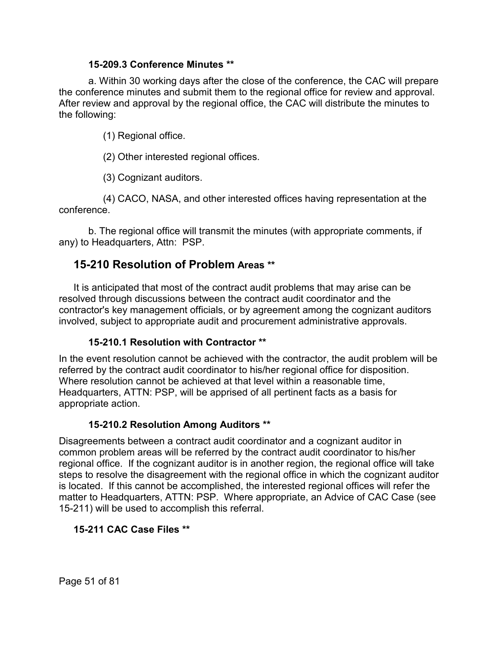#### **15-209.3 Conference Minutes [\\*\\*](#page-3-5)**

a. Within 30 working days after the close of the conference, the CAC will prepare the conference minutes and submit them to the regional office for review and approval. After review and approval by the regional office, the CAC will distribute the minutes to the following:

(1) Regional office.

(2) Other interested regional offices.

(3) Cognizant auditors.

(4) CACO, NASA, and other interested offices having representation at the conference.

b. The regional office will transmit the minutes (with appropriate comments, if any) to Headquarters, Attn: PSP.

# **15-210 Resolution of Problem Areas [\\*\\*](#page-3-6)**

It is anticipated that most of the contract audit problems that may arise can be resolved through discussions between the contract audit coordinator and the contractor's key management officials, or by agreement among the cognizant auditors involved, subject to appropriate audit and procurement administrative approvals.

# **15-210.1 Resolution with Contractor [\\*\\*](#page-3-7)**

In the event resolution cannot be achieved with the contractor, the audit problem will be referred by the contract audit coordinator to his/her regional office for disposition. Where resolution cannot be achieved at that level within a reasonable time, Headquarters, ATTN: PSP, will be apprised of all pertinent facts as a basis for appropriate action.

# **15-210.2 Resolution Among Auditors [\\*\\*](#page-3-8)**

Disagreements between a contract audit coordinator and a cognizant auditor in common problem areas will be referred by the contract audit coordinator to his/her regional office. If the cognizant auditor is in another region, the regional office will take steps to resolve the disagreement with the regional office in which the cognizant auditor is located. If this cannot be accomplished, the interested regional offices will refer the matter to Headquarters, ATTN: PSP. Where appropriate, an Advice of CAC Case (see 15-211) will be used to accomplish this referral.

# **15-211 CAC Case Files [\\*\\*](#page-3-9)**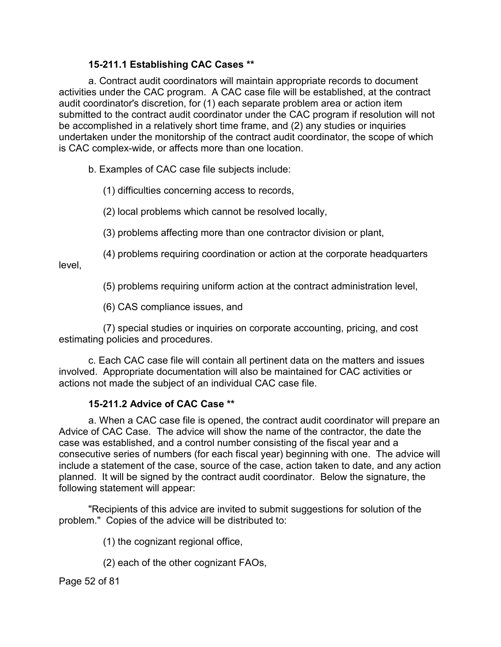### **15-211.1 Establishing CAC Cases [\\*\\*](#page-3-10)**

a. Contract audit coordinators will maintain appropriate records to document activities under the CAC program. A CAC case file will be established, at the contract audit coordinator's discretion, for (1) each separate problem area or action item submitted to the contract audit coordinator under the CAC program if resolution will not be accomplished in a relatively short time frame, and (2) any studies or inquiries undertaken under the monitorship of the contract audit coordinator, the scope of which is CAC complex-wide, or affects more than one location.

b. Examples of CAC case file subjects include:

(1) difficulties concerning access to records,

(2) local problems which cannot be resolved locally,

(3) problems affecting more than one contractor division or plant,

(4) problems requiring coordination or action at the corporate headquarters

level,

(5) problems requiring uniform action at the contract administration level,

(6) CAS compliance issues, and

(7) special studies or inquiries on corporate accounting, pricing, and cost estimating policies and procedures.

c. Each CAC case file will contain all pertinent data on the matters and issues involved. Appropriate documentation will also be maintained for CAC activities or actions not made the subject of an individual CAC case file.

### **15-211.2 Advice of CAC Case [\\*\\*](#page-3-11)**

a. When a CAC case file is opened, the contract audit coordinator will prepare an Advice of CAC Case. The advice will show the name of the contractor, the date the case was established, and a control number consisting of the fiscal year and a consecutive series of numbers (for each fiscal year) beginning with one. The advice will include a statement of the case, source of the case, action taken to date, and any action planned. It will be signed by the contract audit coordinator. Below the signature, the following statement will appear:

"Recipients of this advice are invited to submit suggestions for solution of the problem." Copies of the advice will be distributed to:

(1) the cognizant regional office,

(2) each of the other cognizant FAOs,

Page 52 of 81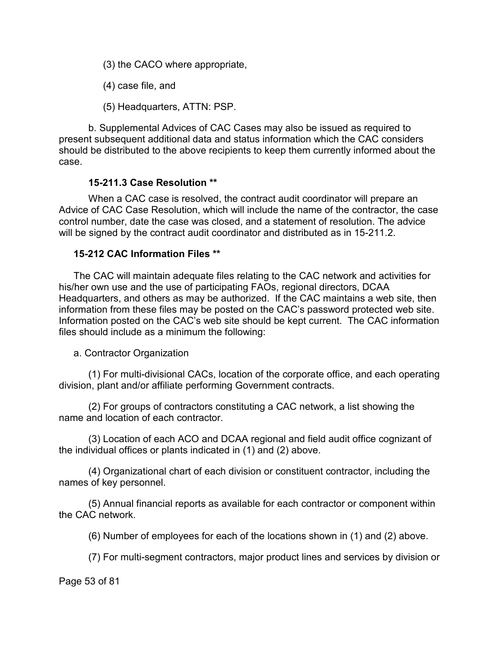(3) the CACO where appropriate,

(4) case file, and

(5) Headquarters, ATTN: PSP.

b. Supplemental Advices of CAC Cases may also be issued as required to present subsequent additional data and status information which the CAC considers should be distributed to the above recipients to keep them currently informed about the case.

#### **15-211.3 Case Resolution [\\*\\*](#page-3-12)**

When a CAC case is resolved, the contract audit coordinator will prepare an Advice of CAC Case Resolution, which will include the name of the contractor, the case control number, date the case was closed, and a statement of resolution. The advice will be signed by the contract audit coordinator and distributed as in 15-211.2.

#### **15-212 CAC Information Files [\\*\\*](#page-3-13)**

The CAC will maintain adequate files relating to the CAC network and activities for his/her own use and the use of participating FAOs, regional directors, DCAA Headquarters, and others as may be authorized. If the CAC maintains a web site, then information from these files may be posted on the CAC's password protected web site. Information posted on the CAC's web site should be kept current. The CAC information files should include as a minimum the following:

#### a. Contractor Organization

(1) For multi-divisional CACs, location of the corporate office, and each operating division, plant and/or affiliate performing Government contracts.

(2) For groups of contractors constituting a CAC network, a list showing the name and location of each contractor.

(3) Location of each ACO and DCAA regional and field audit office cognizant of the individual offices or plants indicated in (1) and (2) above.

(4) Organizational chart of each division or constituent contractor, including the names of key personnel.

(5) Annual financial reports as available for each contractor or component within the CAC network.

(6) Number of employees for each of the locations shown in (1) and (2) above.

(7) For multi-segment contractors, major product lines and services by division or

Page 53 of 81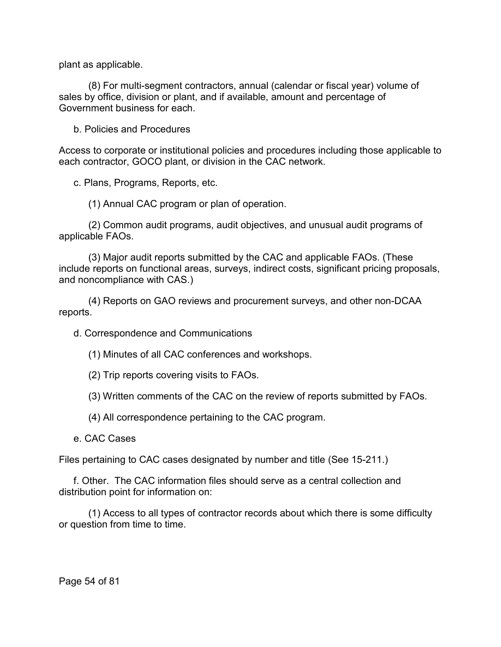plant as applicable.

(8) For multi-segment contractors, annual (calendar or fiscal year) volume of sales by office, division or plant, and if available, amount and percentage of Government business for each.

b. Policies and Procedures

Access to corporate or institutional policies and procedures including those applicable to each contractor, GOCO plant, or division in the CAC network.

c. Plans, Programs, Reports, etc.

(1) Annual CAC program or plan of operation.

(2) Common audit programs, audit objectives, and unusual audit programs of applicable FAOs.

(3) Major audit reports submitted by the CAC and applicable FAOs. (These include reports on functional areas, surveys, indirect costs, significant pricing proposals, and noncompliance with CAS.)

(4) Reports on GAO reviews and procurement surveys, and other non-DCAA reports.

d. Correspondence and Communications

(1) Minutes of all CAC conferences and workshops.

(2) Trip reports covering visits to FAOs.

(3) Written comments of the CAC on the review of reports submitted by FAOs.

(4) All correspondence pertaining to the CAC program.

e. CAC Cases

Files pertaining to CAC cases designated by number and title (See 15-211.)

f. Other. The CAC information files should serve as a central collection and distribution point for information on:

(1) Access to all types of contractor records about which there is some difficulty or question from time to time.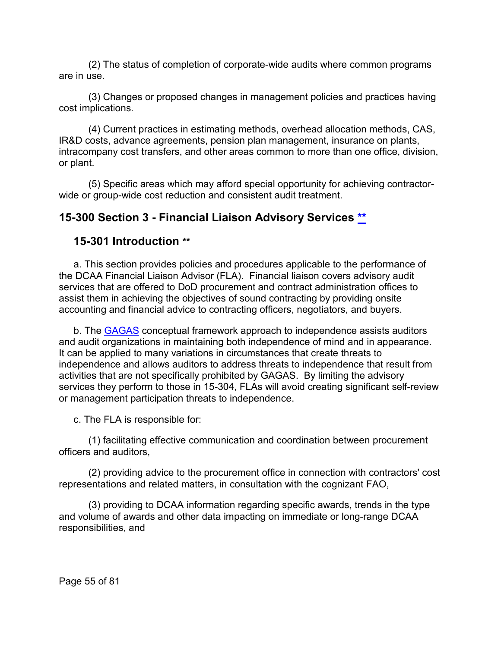(2) The status of completion of corporate-wide audits where common programs are in use.

(3) Changes or proposed changes in management policies and practices having cost implications.

(4) Current practices in estimating methods, overhead allocation methods, CAS, IR&D costs, advance agreements, pension plan management, insurance on plants, intracompany cost transfers, and other areas common to more than one office, division, or plant.

(5) Specific areas which may afford special opportunity for achieving contractorwide or group-wide cost reduction and consistent audit treatment.

# **15-300 Section 3 - Financial Liaison Advisory Services [\\*\\*](#page-3-14)**

# **15-301 Introduction [\\*\\*](#page-3-15)**

a. This section provides policies and procedures applicable to the performance of the DCAA Financial Liaison Advisor (FLA). Financial liaison covers advisory audit services that are offered to DoD procurement and contract administration offices to assist them in achieving the objectives of sound contracting by providing onsite accounting and financial advice to contracting officers, negotiators, and buyers.

b. The **[GAGAS](http://www.gao.gov/products/GAO-08-210G)** conceptual framework approach to independence assists auditors and audit organizations in maintaining both independence of mind and in appearance. It can be applied to many variations in circumstances that create threats to independence and allows auditors to address threats to independence that result from activities that are not specifically prohibited by GAGAS. By limiting the advisory services they perform to those in 15-304, FLAs will avoid creating significant self-review or management participation threats to independence.

c. The FLA is responsible for:

(1) facilitating effective communication and coordination between procurement officers and auditors,

(2) providing advice to the procurement office in connection with contractors' cost representations and related matters, in consultation with the cognizant FAO,

(3) providing to DCAA information regarding specific awards, trends in the type and volume of awards and other data impacting on immediate or long-range DCAA responsibilities, and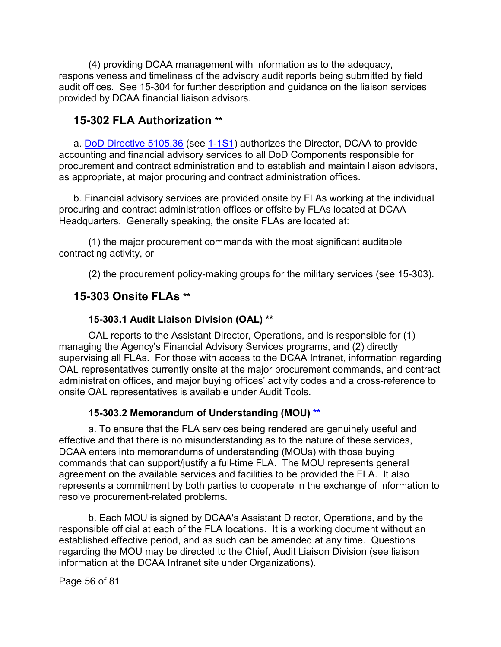(4) providing DCAA management with information as to the adequacy, responsiveness and timeliness of the advisory audit reports being submitted by field audit offices. See 15-304 for further description and guidance on the liaison services provided by DCAA financial liaison advisors.

# **15-302 FLA Authorization [\\*\\*](#page-3-16)**

a. DoD [Directive 5105.36](https://www.esd.whs.mil/Portals/54/Documents/DD/issuances/dodd/510536p.pdf) (see [1-1S1\)](https://viper.dcaa.mil/guidance/cam/3127/introduction-to-contract-audit#Sec11S1) authorizes the Director, DCAA to provide accounting and financial advisory services to all DoD Components responsible for procurement and contract administration and to establish and maintain liaison advisors, as appropriate, at major procuring and contract administration offices.

b. Financial advisory services are provided onsite by FLAs working at the individual procuring and contract administration offices or offsite by FLAs located at DCAA Headquarters. Generally speaking, the onsite FLAs are located at:

(1) the major procurement commands with the most significant auditable contracting activity, or

(2) the procurement policy-making groups for the military services (see 15-303).

# **15-303 Onsite FLAs [\\*\\*](#page-3-17)**

### **15-303.1 Audit Liaison Division (OAL) [\\*\\*](#page-3-18)**

OAL reports to the Assistant Director, Operations, and is responsible for (1) managing the Agency's Financial Advisory Services programs, and (2) directly supervising all FLAs. For those with access to the DCAA Intranet, information regarding OAL representatives currently onsite at the major procurement commands, and contract administration offices, and major buying offices' activity codes and a cross-reference to onsite OAL representatives is available under Audit Tools.

### **15-303.2 Memorandum of Understanding (MOU) [\\*\\*](#page-3-19)**

a. To ensure that the FLA services being rendered are genuinely useful and effective and that there is no misunderstanding as to the nature of these services, DCAA enters into memorandums of understanding (MOUs) with those buying commands that can support/justify a full-time FLA. The MOU represents general agreement on the available services and facilities to be provided the FLA. It also represents a commitment by both parties to cooperate in the exchange of information to resolve procurement-related problems.

b. Each MOU is signed by DCAA's Assistant Director, Operations, and by the responsible official at each of the FLA locations. It is a working document without an established effective period, and as such can be amended at any time. Questions regarding the MOU may be directed to the Chief, Audit Liaison Division (see liaison information at the DCAA Intranet site under Organizations).

Page 56 of 81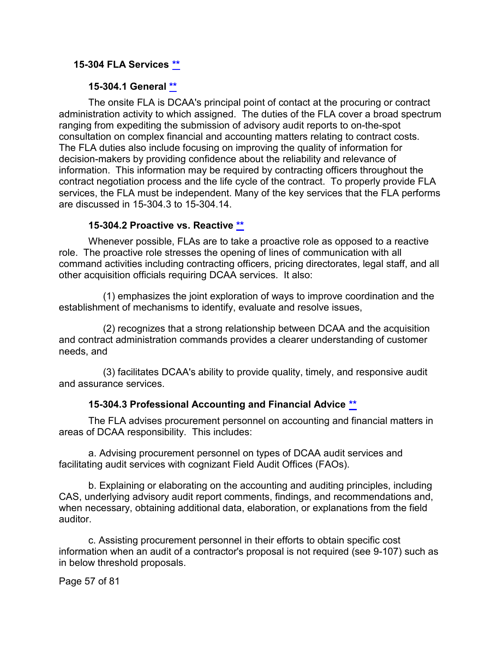#### **15-304 FLA Services [\\*\\*](#page-3-20)**

#### **15-304.1 General [\\*\\*](#page-3-21)**

The onsite FLA is DCAA's principal point of contact at the procuring or contract administration activity to which assigned. The duties of the FLA cover a broad spectrum ranging from expediting the submission of advisory audit reports to on-the-spot consultation on complex financial and accounting matters relating to contract costs. The FLA duties also include focusing on improving the quality of information for decision-makers by providing confidence about the reliability and relevance of information. This information may be required by contracting officers throughout the contract negotiation process and the life cycle of the contract. To properly provide FLA services, the FLA must be independent. Many of the key services that the FLA performs are discussed in 15-304.3 to 15-304.14.

#### **15-304.2 Proactive vs. Reactive [\\*\\*](#page-3-22)**

Whenever possible, FLAs are to take a proactive role as opposed to a reactive role. The proactive role stresses the opening of lines of communication with all command activities including contracting officers, pricing directorates, legal staff, and all other acquisition officials requiring DCAA services. It also:

(1) emphasizes the joint exploration of ways to improve coordination and the establishment of mechanisms to identify, evaluate and resolve issues,

(2) recognizes that a strong relationship between DCAA and the acquisition and contract administration commands provides a clearer understanding of customer needs, and

(3) facilitates DCAA's ability to provide quality, timely, and responsive audit and assurance services.

#### **15-304.3 Professional Accounting and Financial Advice [\\*\\*](#page-3-23)**

The FLA advises procurement personnel on accounting and financial matters in areas of DCAA responsibility. This includes:

a. Advising procurement personnel on types of DCAA audit services and facilitating audit services with cognizant Field Audit Offices (FAOs).

b. Explaining or elaborating on the accounting and auditing principles, including CAS, underlying advisory audit report comments, findings, and recommendations and, when necessary, obtaining additional data, elaboration, or explanations from the field auditor.

c. Assisting procurement personnel in their efforts to obtain specific cost information when an audit of a contractor's proposal is not required (see 9-107) such as in below threshold proposals.

Page 57 of 81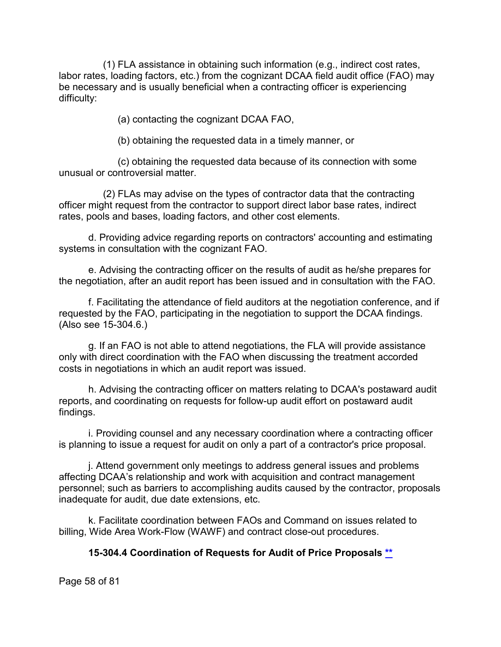(1) FLA assistance in obtaining such information (e.g., indirect cost rates, labor rates, loading factors, etc.) from the cognizant DCAA field audit office (FAO) may be necessary and is usually beneficial when a contracting officer is experiencing difficulty:

(a) contacting the cognizant DCAA FAO,

(b) obtaining the requested data in a timely manner, or

(c) obtaining the requested data because of its connection with some unusual or controversial matter.

(2) FLAs may advise on the types of contractor data that the contracting officer might request from the contractor to support direct labor base rates, indirect rates, pools and bases, loading factors, and other cost elements.

d. Providing advice regarding reports on contractors' accounting and estimating systems in consultation with the cognizant FAO.

e. Advising the contracting officer on the results of audit as he/she prepares for the negotiation, after an audit report has been issued and in consultation with the FAO.

f. Facilitating the attendance of field auditors at the negotiation conference, and if requested by the FAO, participating in the negotiation to support the DCAA findings. (Also see 15-304.6.)

g. If an FAO is not able to attend negotiations, the FLA will provide assistance only with direct coordination with the FAO when discussing the treatment accorded costs in negotiations in which an audit report was issued.

h. Advising the contracting officer on matters relating to DCAA's postaward audit reports, and coordinating on requests for follow-up audit effort on postaward audit findings.

i. Providing counsel and any necessary coordination where a contracting officer is planning to issue a request for audit on only a part of a contractor's price proposal.

j. Attend government only meetings to address general issues and problems affecting DCAA's relationship and work with acquisition and contract management personnel; such as barriers to accomplishing audits caused by the contractor, proposals inadequate for audit, due date extensions, etc.

k. Facilitate coordination between FAOs and Command on issues related to billing, Wide Area Work-Flow (WAWF) and contract close-out procedures.

# **15-304.4 Coordination of Requests for Audit of Price Proposals [\\*\\*](#page-3-24)**

Page 58 of 81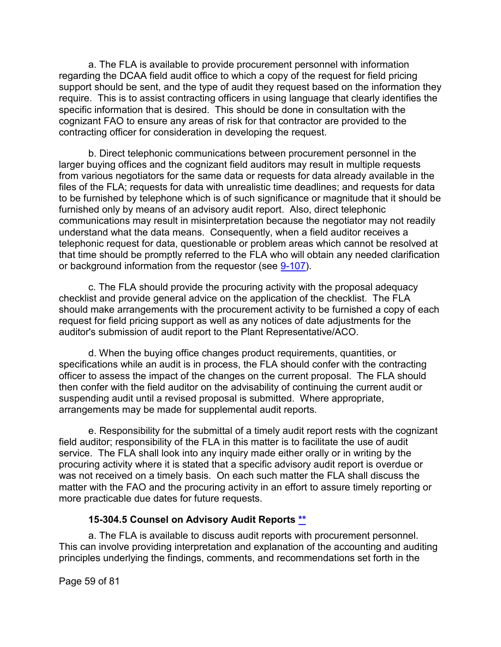a. The FLA is available to provide procurement personnel with information regarding the DCAA field audit office to which a copy of the request for field pricing support should be sent, and the type of audit they request based on the information they require. This is to assist contracting officers in using language that clearly identifies the specific information that is desired. This should be done in consultation with the cognizant FAO to ensure any areas of risk for that contractor are provided to the contracting officer for consideration in developing the request.

b. Direct telephonic communications between procurement personnel in the larger buying offices and the cognizant field auditors may result in multiple requests from various negotiators for the same data or requests for data already available in the files of the FLA; requests for data with unrealistic time deadlines; and requests for data to be furnished by telephone which is of such significance or magnitude that it should be furnished only by means of an advisory audit report. Also, direct telephonic communications may result in misinterpretation because the negotiator may not readily understand what the data means. Consequently, when a field auditor receives a telephonic request for data, questionable or problem areas which cannot be resolved at that time should be promptly referred to the FLA who will obtain any needed clarification or background information from the requestor (see [9-107\)](https://viper.dcaa.mil/guidance/cam/3144/audits-of-cost-estimating-and-pricing-proposals#Sec9107).

c. The FLA should provide the procuring activity with the proposal adequacy checklist and provide general advice on the application of the checklist. The FLA should make arrangements with the procurement activity to be furnished a copy of each request for field pricing support as well as any notices of date adjustments for the auditor's submission of audit report to the Plant Representative/ACO.

d. When the buying office changes product requirements, quantities, or specifications while an audit is in process, the FLA should confer with the contracting officer to assess the impact of the changes on the current proposal. The FLA should then confer with the field auditor on the advisability of continuing the current audit or suspending audit until a revised proposal is submitted. Where appropriate, arrangements may be made for supplemental audit reports.

e. Responsibility for the submittal of a timely audit report rests with the cognizant field auditor; responsibility of the FLA in this matter is to facilitate the use of audit service. The FLA shall look into any inquiry made either orally or in writing by the procuring activity where it is stated that a specific advisory audit report is overdue or was not received on a timely basis. On each such matter the FLA shall discuss the matter with the FAO and the procuring activity in an effort to assure timely reporting or more practicable due dates for future requests.

### **15-304.5 Counsel on Advisory Audit Reports [\\*\\*](#page-3-25)**

a. The FLA is available to discuss audit reports with procurement personnel. This can involve providing interpretation and explanation of the accounting and auditing principles underlying the findings, comments, and recommendations set forth in the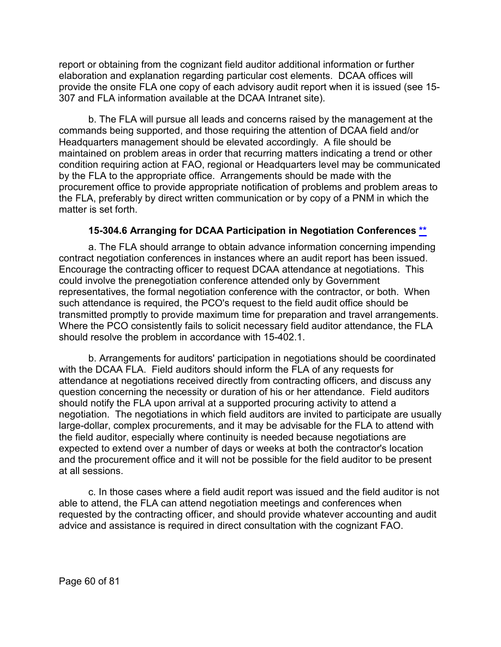report or obtaining from the cognizant field auditor additional information or further elaboration and explanation regarding particular cost elements. DCAA offices will provide the onsite FLA one copy of each advisory audit report when it is issued (see 15- 307 and FLA information available at the DCAA Intranet site).

b. The FLA will pursue all leads and concerns raised by the management at the commands being supported, and those requiring the attention of DCAA field and/or Headquarters management should be elevated accordingly. A file should be maintained on problem areas in order that recurring matters indicating a trend or other condition requiring action at FAO, regional or Headquarters level may be communicated by the FLA to the appropriate office. Arrangements should be made with the procurement office to provide appropriate notification of problems and problem areas to the FLA, preferably by direct written communication or by copy of a PNM in which the matter is set forth.

### **15-304.6 Arranging for DCAA Participation in Negotiation Conferences [\\*\\*](#page-4-0)**

a. The FLA should arrange to obtain advance information concerning impending contract negotiation conferences in instances where an audit report has been issued. Encourage the contracting officer to request DCAA attendance at negotiations. This could involve the prenegotiation conference attended only by Government representatives, the formal negotiation conference with the contractor, or both. When such attendance is required, the PCO's request to the field audit office should be transmitted promptly to provide maximum time for preparation and travel arrangements. Where the PCO consistently fails to solicit necessary field auditor attendance, the FLA should resolve the problem in accordance with 15-402.1.

b. Arrangements for auditors' participation in negotiations should be coordinated with the DCAA FLA. Field auditors should inform the FLA of any requests for attendance at negotiations received directly from contracting officers, and discuss any question concerning the necessity or duration of his or her attendance. Field auditors should notify the FLA upon arrival at a supported procuring activity to attend a negotiation. The negotiations in which field auditors are invited to participate are usually large-dollar, complex procurements, and it may be advisable for the FLA to attend with the field auditor, especially where continuity is needed because negotiations are expected to extend over a number of days or weeks at both the contractor's location and the procurement office and it will not be possible for the field auditor to be present at all sessions.

c. In those cases where a field audit report was issued and the field auditor is not able to attend, the FLA can attend negotiation meetings and conferences when requested by the contracting officer, and should provide whatever accounting and audit advice and assistance is required in direct consultation with the cognizant FAO.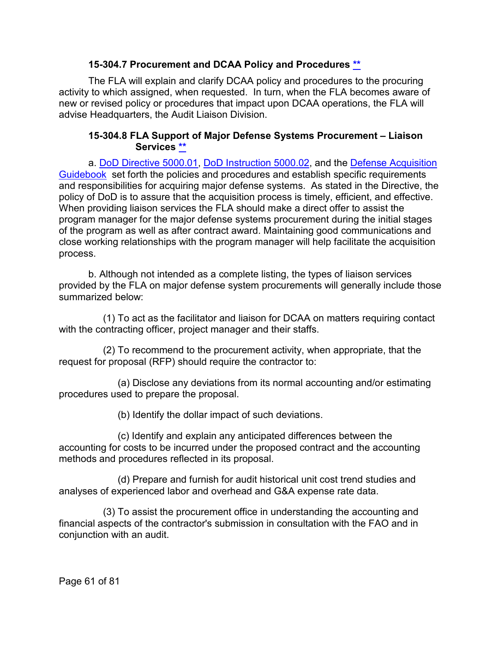### **15-304.7 Procurement and DCAA Policy and Procedures [\\*\\*](#page-4-1)**

The FLA will explain and clarify DCAA policy and procedures to the procuring activity to which assigned, when requested. In turn, when the FLA becomes aware of new or revised policy or procedures that impact upon DCAA operations, the FLA will advise Headquarters, the Audit Liaison Division.

#### **15-304.8 FLA Support of Major Defense Systems Procurement – Liaison Services [\\*\\*](#page-4-2)**

a. [DoD Directive 5000.01,](https://www.esd.whs.mil/Portals/54/Documents/DD/issuances/dodd/500001p.pdf?ver=2018-09-28-073203-530) [DoD Instruction 5000.02,](https://www.esd.whs.mil/Portals/54/Documents/DD/issuances/dodi/500002p.pdf?ver=2020-01-23-144114-093) and the [Defense Acquisition](https://www.dau.edu/tools/dag)  [Guidebook](https://www.dau.edu/tools/dag) set forth the policies and procedures and establish specific requirements and responsibilities for acquiring major defense systems. As stated in the Directive, the policy of DoD is to assure that the acquisition process is timely, efficient, and effective. When providing liaison services the FLA should make a direct offer to assist the program manager for the major defense systems procurement during the initial stages of the program as well as after contract award. Maintaining good communications and close working relationships with the program manager will help facilitate the acquisition process.

b. Although not intended as a complete listing, the types of liaison services provided by the FLA on major defense system procurements will generally include those summarized below:

(1) To act as the facilitator and liaison for DCAA on matters requiring contact with the contracting officer, project manager and their staffs.

(2) To recommend to the procurement activity, when appropriate, that the request for proposal (RFP) should require the contractor to:

(a) Disclose any deviations from its normal accounting and/or estimating procedures used to prepare the proposal.

(b) Identify the dollar impact of such deviations.

(c) Identify and explain any anticipated differences between the accounting for costs to be incurred under the proposed contract and the accounting methods and procedures reflected in its proposal.

(d) Prepare and furnish for audit historical unit cost trend studies and analyses of experienced labor and overhead and G&A expense rate data.

(3) To assist the procurement office in understanding the accounting and financial aspects of the contractor's submission in consultation with the FAO and in conjunction with an audit.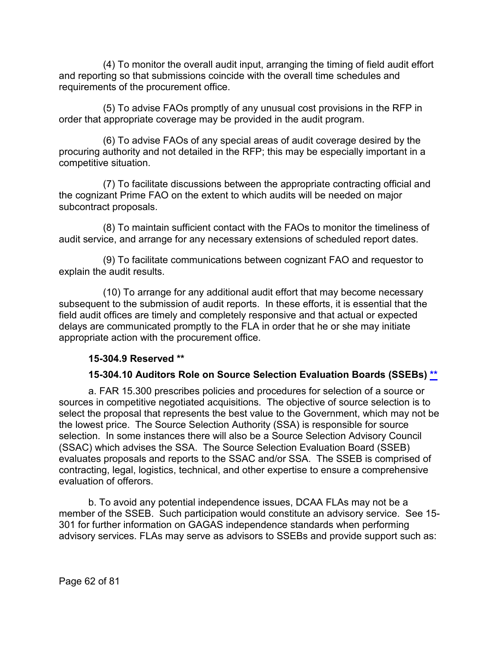(4) To monitor the overall audit input, arranging the timing of field audit effort and reporting so that submissions coincide with the overall time schedules and requirements of the procurement office.

(5) To advise FAOs promptly of any unusual cost provisions in the RFP in order that appropriate coverage may be provided in the audit program.

(6) To advise FAOs of any special areas of audit coverage desired by the procuring authority and not detailed in the RFP; this may be especially important in a competitive situation.

(7) To facilitate discussions between the appropriate contracting official and the cognizant Prime FAO on the extent to which audits will be needed on major subcontract proposals.

(8) To maintain sufficient contact with the FAOs to monitor the timeliness of audit service, and arrange for any necessary extensions of scheduled report dates.

(9) To facilitate communications between cognizant FAO and requestor to explain the audit results.

(10) To arrange for any additional audit effort that may become necessary subsequent to the submission of audit reports. In these efforts, it is essential that the field audit offices are timely and completely responsive and that actual or expected delays are communicated promptly to the FLA in order that he or she may initiate appropriate action with the procurement office.

### **15-304.9 Reserved [\\*\\*](#page-4-3)**

### **15-304.10 Auditors Role on Source Selection Evaluation Boards (SSEBs) [\\*\\*](#page-4-4)**

a. [FAR 15.300](http://www.ecfr.gov/cgi-bin/text-idx?SID=ea417bc6c4399817e2b1d1e3fc98b050&mc=true&node=pt48.1.15&rgn=div5#sp48.1.15.15_13) prescribes policies and procedures for selection of a source or sources in competitive negotiated acquisitions. The objective of source selection is to select the proposal that represents the best value to the Government, which may not be the lowest price. The Source Selection Authority (SSA) is responsible for source selection. In some instances there will also be a Source Selection Advisory Council (SSAC) which advises the SSA. The Source Selection Evaluation Board (SSEB) evaluates proposals and reports to the SSAC and/or SSA. The SSEB is comprised of contracting, legal, logistics, technical, and other expertise to ensure a comprehensive evaluation of offerors.

b. To avoid any potential independence issues, DCAA FLAs may not be a member of the SSEB. Such participation would constitute an advisory service. See 15- 301 for further information on GAGAS independence standards when performing advisory services. FLAs may serve as advisors to SSEBs and provide support such as: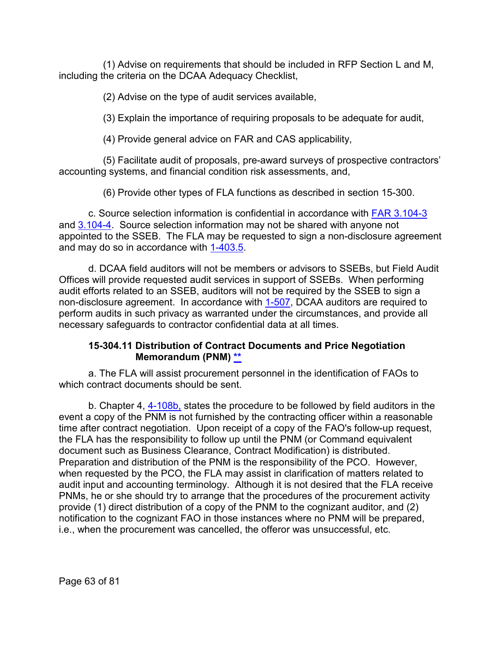(1) Advise on requirements that should be included in RFP Section L and M, including the criteria on the DCAA Adequacy Checklist,

(2) Advise on the type of audit services available,

(3) Explain the importance of requiring proposals to be adequate for audit,

(4) Provide general advice on FAR and CAS applicability,

(5) Facilitate audit of proposals, pre-award surveys of prospective contractors' accounting systems, and financial condition risk assessments, and,

(6) Provide other types of FLA functions as described in section 15-300.

c. Source selection information is confidential in accordance with [FAR 3.104-3](http://www.ecfr.gov/cgi-bin/text-idx?SID=ea417bc6c4399817e2b1d1e3fc98b050&mc=true&node=se48.1.3_1104_63&rgn=div8) and [3.104-4.](https://www.ecfr.gov/cgi-bin/text-idx?SID=3e2b7ec88353bf96083f0854950241a0&mc=true&node=se48.1.3_1104_64&rgn=div8) Source selection information may not be shared with anyone not appointed to the SSEB. The FLA may be requested to sign a non-disclosure agreement and may do so in accordance with [1-403.5.](https://viper.dcaa.mil/guidance/cam/3127/introduction-to-contract-audit#Sec14035)

d. DCAA field auditors will not be members or advisors to SSEBs, but Field Audit Offices will provide requested audit services in support of SSEBs. When performing audit efforts related to an SSEB, auditors will not be required by the SSEB to sign a non-disclosure agreement. In accordance with [1-507,](https://viper.dcaa.mil/guidance/cam/3127/introduction-to-contract-audit#Sec1507) DCAA auditors are required to perform audits in such privacy as warranted under the circumstances, and provide all necessary safeguards to contractor confidential data at all times.

### **15-304.11 Distribution of Contract Documents and Price Negotiation Memorandum (PNM) [\\*\\*](#page-4-5)**

a. The FLA will assist procurement personnel in the identification of FAOs to which contract documents should be sent.

b. Chapter 4, [4-108b,](https://viper.dcaa.mil/guidance/cam/3130/general-audit-requirements#Sec4108) states the procedure to be followed by field auditors in the event a copy of the PNM is not furnished by the contracting officer within a reasonable time after contract negotiation. Upon receipt of a copy of the FAO's follow-up request, the FLA has the responsibility to follow up until the PNM (or Command equivalent document such as Business Clearance, Contract Modification) is distributed. Preparation and distribution of the PNM is the responsibility of the PCO. However, when requested by the PCO, the FLA may assist in clarification of matters related to audit input and accounting terminology. Although it is not desired that the FLA receive PNMs, he or she should try to arrange that the procedures of the procurement activity provide (1) direct distribution of a copy of the PNM to the cognizant auditor, and (2) notification to the cognizant FAO in those instances where no PNM will be prepared, i.e., when the procurement was cancelled, the offeror was unsuccessful, etc.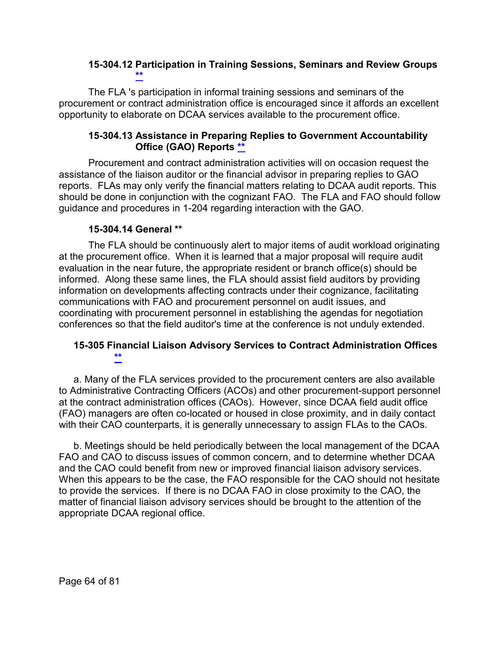#### **15-304.12 Participation in Training Sessions, Seminars and Review Groups [\\*\\*](#page-4-6)**

The FLA 's participation in informal training sessions and seminars of the procurement or contract administration office is encouraged since it affords an excellent opportunity to elaborate on DCAA services available to the procurement office.

### **15-304.13 Assistance in Preparing Replies to Government Accountability Office (GAO) Reports [\\*\\*](#page-4-7)**

Procurement and contract administration activities will on occasion request the assistance of the liaison auditor or the financial advisor in preparing replies to GAO reports. FLAs may only verify the financial matters relating to DCAA audit reports. This should be done in conjunction with the cognizant FAO. The FLA and FAO should follow guidance and procedures in 1-204 regarding interaction with the GAO.

### **15-304.14 General [\\*\\*](#page-4-8)**

The FLA should be continuously alert to major items of audit workload originating at the procurement office. When it is learned that a major proposal will require audit evaluation in the near future, the appropriate resident or branch office(s) should be informed. Along these same lines, the FLA should assist field auditors by providing information on developments affecting contracts under their cognizance, facilitating communications with FAO and procurement personnel on audit issues, and coordinating with procurement personnel in establishing the agendas for negotiation conferences so that the field auditor's time at the conference is not unduly extended.

## **15-305 Financial Liaison Advisory Services to Contract Administration Offices [\\*\\*](#page-4-9)**

a. Many of the FLA services provided to the procurement centers are also available to Administrative Contracting Officers (ACOs) and other procurement-support personnel at the contract administration offices (CAOs). However, since DCAA field audit office (FAO) managers are often co-located or housed in close proximity, and in daily contact with their CAO counterparts, it is generally unnecessary to assign FLAs to the CAOs.

b. Meetings should be held periodically between the local management of the DCAA FAO and CAO to discuss issues of common concern, and to determine whether DCAA and the CAO could benefit from new or improved financial liaison advisory services. When this appears to be the case, the FAO responsible for the CAO should not hesitate to provide the services. If there is no DCAA FAO in close proximity to the CAO, the matter of financial liaison advisory services should be brought to the attention of the appropriate DCAA regional office.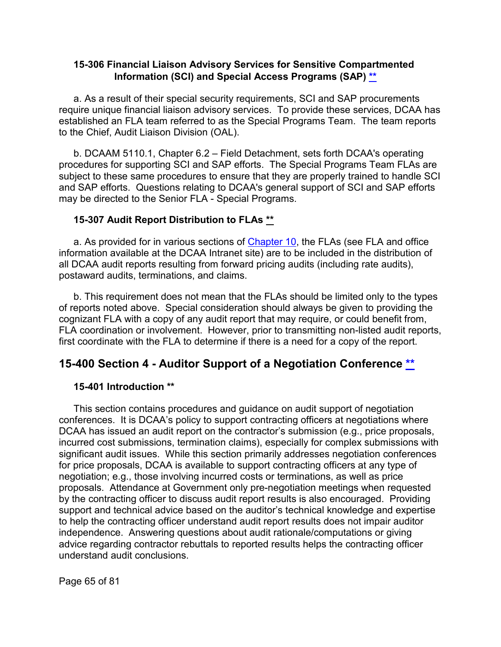#### **15-306 Financial Liaison Advisory Services for Sensitive Compartmented Information (SCI) and Special Access Programs (SAP) [\\*\\*](#page-4-10)**

a. As a result of their special security requirements, SCI and SAP procurements require unique financial liaison advisory services. To provide these services, DCAA has established an FLA team referred to as the Special Programs Team. The team reports to the Chief, Audit Liaison Division (OAL).

b. DCAAM 5110.1, Chapter 6.2 – Field Detachment, sets forth DCAA's operating procedures for supporting SCI and SAP efforts. The Special Programs Team FLAs are subject to these same procedures to ensure that they are properly trained to handle SCI and SAP efforts. Questions relating to DCAA's general support of SCI and SAP efforts may be directed to the Senior FLA - Special Programs.

### **15-307 Audit Report Distribution to FLAs [\\*\\*](#page-4-11)**

a. As provided for in various sections of [Chapter 10,](https://viper.dcaa.mil/guidance/cam/3147/preparation-and-distribution-of-audit-reports#Sec) the FLAs (see FLA and office information available at the DCAA Intranet site) are to be included in the distribution of all DCAA audit reports resulting from forward pricing audits (including rate audits), postaward audits, terminations, and claims.

b. This requirement does not mean that the FLAs should be limited only to the types of reports noted above. Special consideration should always be given to providing the cognizant FLA with a copy of any audit report that may require, or could benefit from, FLA coordination or involvement. However, prior to transmitting non-listed audit reports, first coordinate with the FLA to determine if there is a need for a copy of the report.

# **15-400 Section 4 - Auditor Support of a Negotiation Conference [\\*\\*](#page-4-12)**

### **15-401 Introduction [\\*\\*](#page-4-13)**

This section contains procedures and guidance on audit support of negotiation conferences. It is DCAA's policy to support contracting officers at negotiations where DCAA has issued an audit report on the contractor's submission (e.g., price proposals, incurred cost submissions, termination claims), especially for complex submissions with significant audit issues. While this section primarily addresses negotiation conferences for price proposals, DCAA is available to support contracting officers at any type of negotiation; e.g., those involving incurred costs or terminations, as well as price proposals. Attendance at Government only pre-negotiation meetings when requested by the contracting officer to discuss audit report results is also encouraged. Providing support and technical advice based on the auditor's technical knowledge and expertise to help the contracting officer understand audit report results does not impair auditor independence. Answering questions about audit rationale/computations or giving advice regarding contractor rebuttals to reported results helps the contracting officer understand audit conclusions.

Page 65 of 81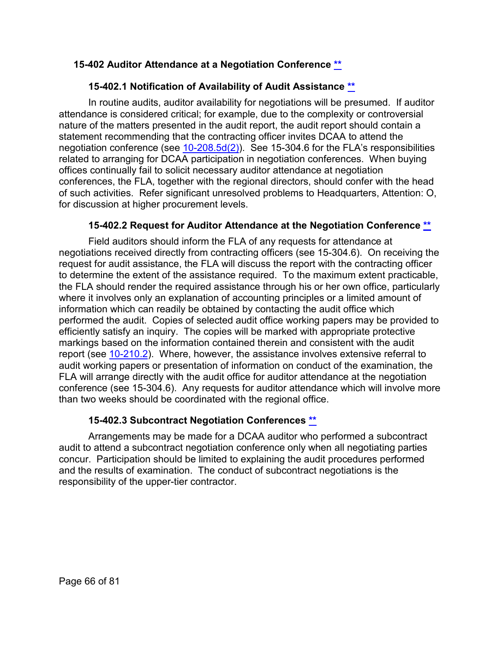### **15-402 Auditor Attendance at a Negotiation Conference [\\*\\*](#page-4-14)**

# **15-402.1 Notification of Availability of Audit Assistance [\\*\\*](#page-4-15)**

In routine audits, auditor availability for negotiations will be presumed. If auditor attendance is considered critical; for example, due to the complexity or controversial nature of the matters presented in the audit report, the audit report should contain a statement recommending that the contracting officer invites DCAA to attend the negotiation conference (see  $10-208.5d(2)$ ). See 15-304.6 for the FLA's responsibilities related to arranging for DCAA participation in negotiation conferences. When buying offices continually fail to solicit necessary auditor attendance at negotiation conferences, the FLA, together with the regional directors, should confer with the head of such activities. Refer significant unresolved problems to Headquarters, Attention: O, for discussion at higher procurement levels.

# **15-402.2 Request for Auditor Attendance at the Negotiation Conference [\\*\\*](#page-4-16)**

Field auditors should inform the FLA of any requests for attendance at negotiations received directly from contracting officers (see 15-304.6). On receiving the request for audit assistance, the FLA will discuss the report with the contracting officer to determine the extent of the assistance required. To the maximum extent practicable, the FLA should render the required assistance through his or her own office, particularly where it involves only an explanation of accounting principles or a limited amount of information which can readily be obtained by contacting the audit office which performed the audit. Copies of selected audit office working papers may be provided to efficiently satisfy an inquiry. The copies will be marked with appropriate protective markings based on the information contained therein and consistent with the audit report (see [10-210.2\)](https://viper.dcaa.mil/guidance/cam/3147/preparation-and-distribution-of-audit-reports#Sec102102). Where, however, the assistance involves extensive referral to audit working papers or presentation of information on conduct of the examination, the FLA will arrange directly with the audit office for auditor attendance at the negotiation conference (see 15-304.6). Any requests for auditor attendance which will involve more than two weeks should be coordinated with the regional office.

# **15-402.3 Subcontract Negotiation Conferences [\\*\\*](#page-4-17)**

Arrangements may be made for a DCAA auditor who performed a subcontract audit to attend a subcontract negotiation conference only when all negotiating parties concur. Participation should be limited to explaining the audit procedures performed and the results of examination. The conduct of subcontract negotiations is the responsibility of the upper-tier contractor.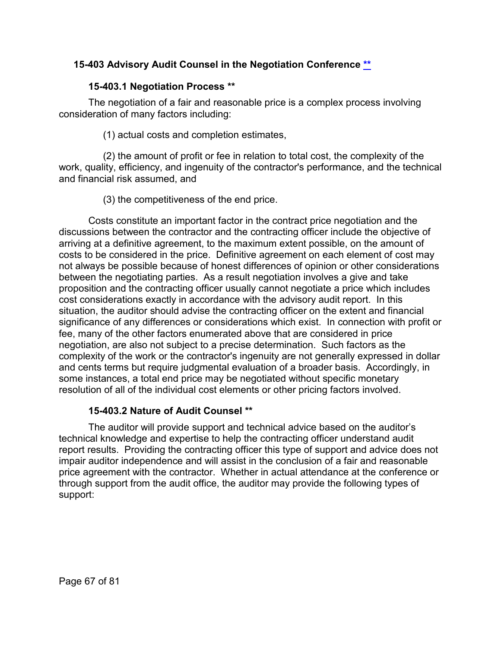## **15-403 Advisory Audit Counsel in the Negotiation Conference [\\*\\*](#page-4-18)**

### **15-403.1 Negotiation Process [\\*\\*](#page-4-19)**

The negotiation of a fair and reasonable price is a complex process involving consideration of many factors including:

(1) actual costs and completion estimates,

(2) the amount of profit or fee in relation to total cost, the complexity of the work, quality, efficiency, and ingenuity of the contractor's performance, and the technical and financial risk assumed, and

(3) the competitiveness of the end price.

Costs constitute an important factor in the contract price negotiation and the discussions between the contractor and the contracting officer include the objective of arriving at a definitive agreement, to the maximum extent possible, on the amount of costs to be considered in the price. Definitive agreement on each element of cost may not always be possible because of honest differences of opinion or other considerations between the negotiating parties. As a result negotiation involves a give and take proposition and the contracting officer usually cannot negotiate a price which includes cost considerations exactly in accordance with the advisory audit report. In this situation, the auditor should advise the contracting officer on the extent and financial significance of any differences or considerations which exist. In connection with profit or fee, many of the other factors enumerated above that are considered in price negotiation, are also not subject to a precise determination. Such factors as the complexity of the work or the contractor's ingenuity are not generally expressed in dollar and cents terms but require judgmental evaluation of a broader basis. Accordingly, in some instances, a total end price may be negotiated without specific monetary resolution of all of the individual cost elements or other pricing factors involved.

# **15-403.2 Nature of Audit Counsel [\\*\\*](#page-4-20)**

The auditor will provide support and technical advice based on the auditor's technical knowledge and expertise to help the contracting officer understand audit report results. Providing the contracting officer this type of support and advice does not impair auditor independence and will assist in the conclusion of a fair and reasonable price agreement with the contractor. Whether in actual attendance at the conference or through support from the audit office, the auditor may provide the following types of support: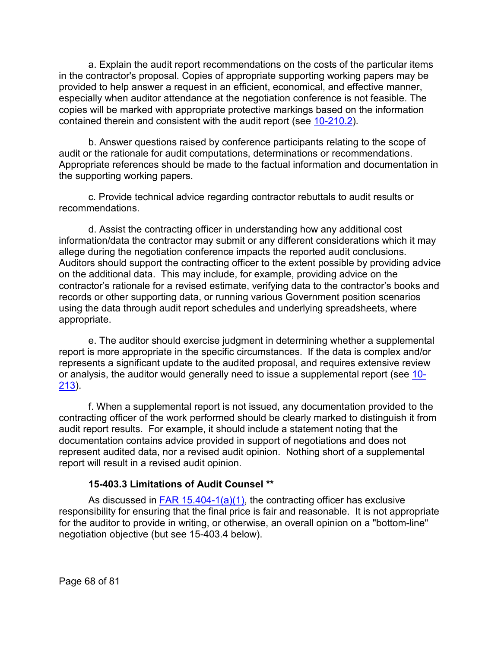a. Explain the audit report recommendations on the costs of the particular items in the contractor's proposal. Copies of appropriate supporting working papers may be provided to help answer a request in an efficient, economical, and effective manner, especially when auditor attendance at the negotiation conference is not feasible. The copies will be marked with appropriate protective markings based on the information contained therein and consistent with the audit report (see [10-210.2\)](https://viper.dcaa.mil/guidance/cam/3147/preparation-and-distribution-of-audit-reports#Sec102102).

b. Answer questions raised by conference participants relating to the scope of audit or the rationale for audit computations, determinations or recommendations. Appropriate references should be made to the factual information and documentation in the supporting working papers.

c. Provide technical advice regarding contractor rebuttals to audit results or recommendations.

d. Assist the contracting officer in understanding how any additional cost information/data the contractor may submit or any different considerations which it may allege during the negotiation conference impacts the reported audit conclusions. Auditors should support the contracting officer to the extent possible by providing advice on the additional data. This may include, for example, providing advice on the contractor's rationale for a revised estimate, verifying data to the contractor's books and records or other supporting data, or running various Government position scenarios using the data through audit report schedules and underlying spreadsheets, where appropriate.

e. The auditor should exercise judgment in determining whether a supplemental report is more appropriate in the specific circumstances. If the data is complex and/or represents a significant update to the audited proposal, and requires extensive review or analysis, the auditor would generally need to issue a supplemental report (see [10-](https://viper.dcaa.mil/guidance/cam/3147/preparation-and-distribution-of-audit-reports#Sec10213) [213\)](https://viper.dcaa.mil/guidance/cam/3147/preparation-and-distribution-of-audit-reports#Sec10213).

f. When a supplemental report is not issued, any documentation provided to the contracting officer of the work performed should be clearly marked to distinguish it from audit report results. For example, it should include a statement noting that the documentation contains advice provided in support of negotiations and does not represent audited data, nor a revised audit opinion. Nothing short of a supplemental report will result in a revised audit opinion.

#### **15-403.3 Limitations of Audit Counsel [\\*\\*](#page-4-21)**

As discussed in  $FAR$  15.404-1(a)(1), the contracting officer has exclusive responsibility for ensuring that the final price is fair and reasonable. It is not appropriate for the auditor to provide in writing, or otherwise, an overall opinion on a "bottom-line" negotiation objective (but see 15-403.4 below).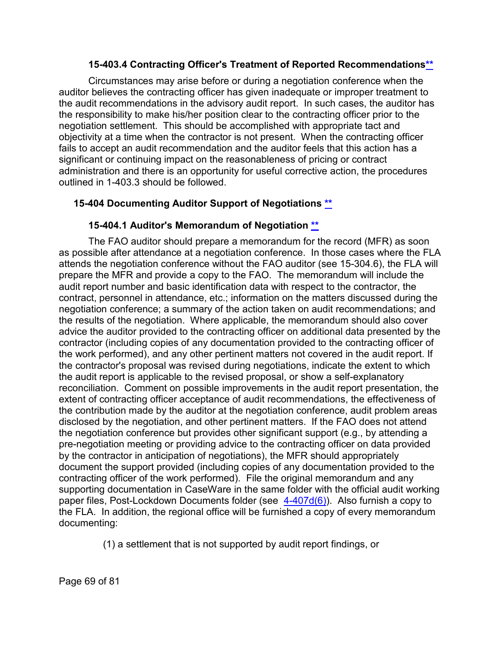### **15-403.4 Contracting Officer's Treatment of Reported Recommendation[s\\*\\*](#page-4-22)**

Circumstances may arise before or during a negotiation conference when the auditor believes the contracting officer has given inadequate or improper treatment to the audit recommendations in the advisory audit report. In such cases, the auditor has the responsibility to make his/her position clear to the contracting officer prior to the negotiation settlement. This should be accomplished with appropriate tact and objectivity at a time when the contractor is not present. When the contracting officer fails to accept an audit recommendation and the auditor feels that this action has a significant or continuing impact on the reasonableness of pricing or contract administration and there is an opportunity for useful corrective action, the procedures outlined in 1-403.3 should be followed.

### **15-404 Documenting Auditor Support of Negotiations [\\*\\*](#page-4-23)**

#### **15-404.1 Auditor's Memorandum of Negotiation [\\*\\*](#page-4-24)**

The FAO auditor should prepare a memorandum for the record (MFR) as soon as possible after attendance at a negotiation conference. In those cases where the FLA attends the negotiation conference without the FAO auditor (see 15-304.6), the FLA will prepare the MFR and provide a copy to the FAO. The memorandum will include the audit report number and basic identification data with respect to the contractor, the contract, personnel in attendance, etc.; information on the matters discussed during the negotiation conference; a summary of the action taken on audit recommendations; and the results of the negotiation. Where applicable, the memorandum should also cover advice the auditor provided to the contracting officer on additional data presented by the contractor (including copies of any documentation provided to the contracting officer of the work performed), and any other pertinent matters not covered in the audit report. If the contractor's proposal was revised during negotiations, indicate the extent to which the audit report is applicable to the revised proposal, or show a self-explanatory reconciliation. Comment on possible improvements in the audit report presentation, the extent of contracting officer acceptance of audit recommendations, the effectiveness of the contribution made by the auditor at the negotiation conference, audit problem areas disclosed by the negotiation, and other pertinent matters. If the FAO does not attend the negotiation conference but provides other significant support (e.g., by attending a pre-negotiation meeting or providing advice to the contracting officer on data provided by the contractor in anticipation of negotiations), the MFR should appropriately document the support provided (including copies of any documentation provided to the contracting officer of the work performed). File the original memorandum and any supporting documentation in CaseWare in the same folder with the official audit working paper files, Post-Lockdown Documents folder (see  $4-407d(6)$ ). Also furnish a copy to the FLA. In addition, the regional office will be furnished a copy of every memorandum documenting:

(1) a settlement that is not supported by audit report findings, or

Page 69 of 81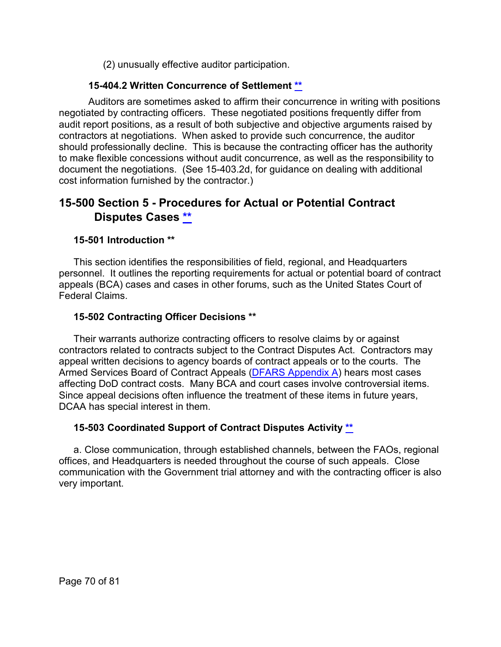(2) unusually effective auditor participation.

## **15-404.2 Written Concurrence of Settlement [\\*\\*](#page-5-0)**

Auditors are sometimes asked to affirm their concurrence in writing with positions negotiated by contracting officers. These negotiated positions frequently differ from audit report positions, as a result of both subjective and objective arguments raised by contractors at negotiations. When asked to provide such concurrence, the auditor should professionally decline. This is because the contracting officer has the authority to make flexible concessions without audit concurrence, as well as the responsibility to document the negotiations. (See 15-403.2d, for guidance on dealing with additional cost information furnished by the contractor.)

# **15-500 Section 5 - Procedures for Actual or Potential Contract Disputes Cases [\\*\\*](#page-5-1)**

## **15-501 Introduction [\\*\\*](#page-5-2)**

This section identifies the responsibilities of field, regional, and Headquarters personnel. It outlines the reporting requirements for actual or potential board of contract appeals (BCA) cases and cases in other forums, such as the United States Court of Federal Claims.

## **15-502 Contracting Officer Decisions [\\*\\*](#page-5-3)**

Their warrants authorize contracting officers to resolve claims by or against contractors related to contracts subject to the Contract Disputes Act. Contractors may appeal written decisions to agency boards of contract appeals or to the courts. The Armed Services Board of Contract Appeals [\(DFARS Appendix A\)](https://www.acq.osd.mil/dpap/dars/dfars/html/current/appendix_a.htm) hears most cases affecting DoD contract costs. Many BCA and court cases involve controversial items. Since appeal decisions often influence the treatment of these items in future years, DCAA has special interest in them.

### **15-503 Coordinated Support of Contract Disputes Activity [\\*\\*](#page-5-4)**

a. Close communication, through established channels, between the FAOs, regional offices, and Headquarters is needed throughout the course of such appeals. Close communication with the Government trial attorney and with the contracting officer is also very important.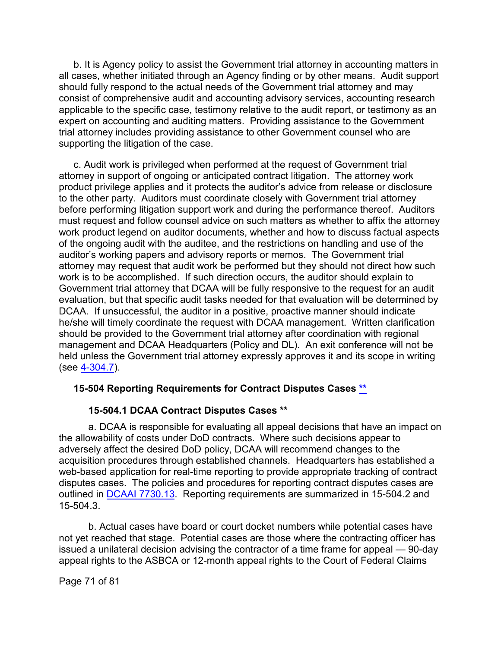b. It is Agency policy to assist the Government trial attorney in accounting matters in all cases, whether initiated through an Agency finding or by other means. Audit support should fully respond to the actual needs of the Government trial attorney and may consist of comprehensive audit and accounting advisory services, accounting research applicable to the specific case, testimony relative to the audit report, or testimony as an expert on accounting and auditing matters. Providing assistance to the Government trial attorney includes providing assistance to other Government counsel who are supporting the litigation of the case.

c. Audit work is privileged when performed at the request of Government trial attorney in support of ongoing or anticipated contract litigation. The attorney work product privilege applies and it protects the auditor's advice from release or disclosure to the other party. Auditors must coordinate closely with Government trial attorney before performing litigation support work and during the performance thereof. Auditors must request and follow counsel advice on such matters as whether to affix the attorney work product legend on auditor documents, whether and how to discuss factual aspects of the ongoing audit with the auditee, and the restrictions on handling and use of the auditor's working papers and advisory reports or memos. The Government trial attorney may request that audit work be performed but they should not direct how such work is to be accomplished. If such direction occurs, the auditor should explain to Government trial attorney that DCAA will be fully responsive to the request for an audit evaluation, but that specific audit tasks needed for that evaluation will be determined by DCAA. If unsuccessful, the auditor in a positive, proactive manner should indicate he/she will timely coordinate the request with DCAA management. Written clarification should be provided to the Government trial attorney after coordination with regional management and DCAA Headquarters (Policy and DL). An exit conference will not be held unless the Government trial attorney expressly approves it and its scope in writing (see [4-304.7\)](https://viper.dcaa.mil/guidance/cam/3130/general-audit-requirements#Sec43047).

### **15-504 Reporting Requirements for Contract Disputes Cases [\\*\\*](#page-5-5)**

#### **15-504.1 DCAA Contract Disputes Cases [\\*\\*](#page-5-6)**

a. DCAA is responsible for evaluating all appeal decisions that have an impact on the allowability of costs under DoD contracts. Where such decisions appear to adversely affect the desired DoD policy, DCAA will recommend changes to the acquisition procedures through established channels. Headquarters has established a web-based application for real-time reporting to provide appropriate tracking of contract disputes cases. The policies and procedures for reporting contract disputes cases are outlined in [DCAAI 7730.13.](https://infoserv.dcaaintra.mil/reflib/DDCAA/DCAAI_7730_13.pdf) Reporting requirements are summarized in 15-504.2 and 15-504.3.

b. Actual cases have board or court docket numbers while potential cases have not yet reached that stage. Potential cases are those where the contracting officer has issued a unilateral decision advising the contractor of a time frame for appeal — 90-day appeal rights to the ASBCA or 12-month appeal rights to the Court of Federal Claims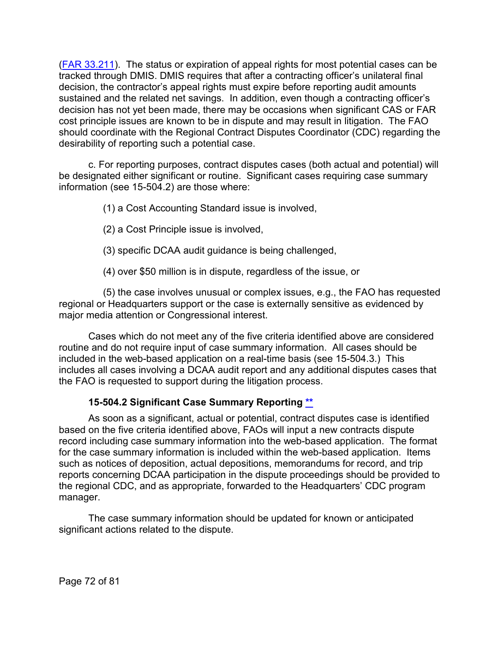[\(FAR 33.211\)](http://www.ecfr.gov/cgi-bin/text-idx?SID=6fcc7da3a0611577e73448b0dfbf453b&mc=true&node=se48.1.33_1211&rgn=div8). The status or expiration of appeal rights for most potential cases can be tracked through DMIS. DMIS requires that after a contracting officer's unilateral final decision, the contractor's appeal rights must expire before reporting audit amounts sustained and the related net savings. In addition, even though a contracting officer's decision has not yet been made, there may be occasions when significant CAS or FAR cost principle issues are known to be in dispute and may result in litigation. The FAO should coordinate with the Regional Contract Disputes Coordinator (CDC) regarding the desirability of reporting such a potential case.

c. For reporting purposes, contract disputes cases (both actual and potential) will be designated either significant or routine. Significant cases requiring case summary information (see 15-504.2) are those where:

(1) a Cost Accounting Standard issue is involved,

- (2) a Cost Principle issue is involved,
- (3) specific DCAA audit guidance is being challenged,
- (4) over \$50 million is in dispute, regardless of the issue, or

(5) the case involves unusual or complex issues, e.g., the FAO has requested regional or Headquarters support or the case is externally sensitive as evidenced by major media attention or Congressional interest.

Cases which do not meet any of the five criteria identified above are considered routine and do not require input of case summary information. All cases should be included in the web-based application on a real-time basis (see 15-504.3.) This includes all cases involving a DCAA audit report and any additional disputes cases that the FAO is requested to support during the litigation process.

# **15-504.2 Significant Case Summary Reporting [\\*\\*](#page-5-7)**

As soon as a significant, actual or potential, contract disputes case is identified based on the five criteria identified above, FAOs will input a new contracts dispute record including case summary information into the web-based application. The format for the case summary information is included within the web-based application. Items such as notices of deposition, actual depositions, memorandums for record, and trip reports concerning DCAA participation in the dispute proceedings should be provided to the regional CDC, and as appropriate, forwarded to the Headquarters' CDC program manager.

The case summary information should be updated for known or anticipated significant actions related to the dispute.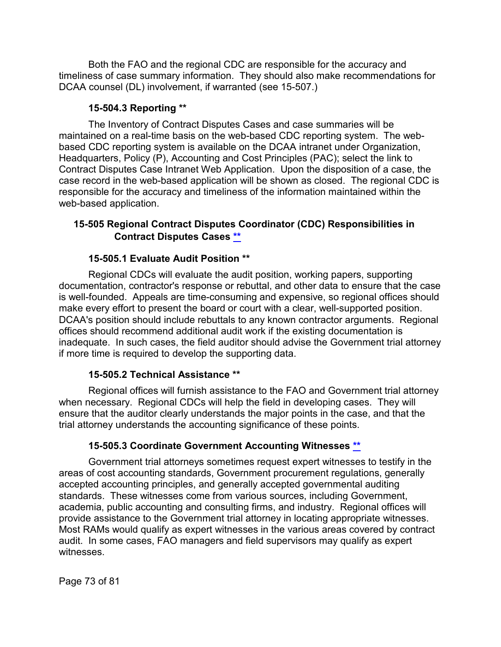Both the FAO and the regional CDC are responsible for the accuracy and timeliness of case summary information. They should also make recommendations for DCAA counsel (DL) involvement, if warranted (see 15-507.)

## **15-504.3 Reporting [\\*\\*](#page-5-0)**

The Inventory of Contract Disputes Cases and case summaries will be maintained on a real-time basis on the web-based CDC reporting system. The webbased CDC reporting system is available on the DCAA intranet under Organization, Headquarters, Policy (P), Accounting and Cost Principles (PAC); select the link to Contract Disputes Case Intranet Web Application. Upon the disposition of a case, the case record in the web-based application will be shown as closed. The regional CDC is responsible for the accuracy and timeliness of the information maintained within the web-based application.

# **15-505 Regional Contract Disputes Coordinator (CDC) Responsibilities in Contract Disputes Cases [\\*\\*](#page-5-1)**

## **15-505.1 Evaluate Audit Position [\\*\\*](#page-5-2)**

Regional CDCs will evaluate the audit position, working papers, supporting documentation, contractor's response or rebuttal, and other data to ensure that the case is well-founded. Appeals are time-consuming and expensive, so regional offices should make every effort to present the board or court with a clear, well-supported position. DCAA's position should include rebuttals to any known contractor arguments. Regional offices should recommend additional audit work if the existing documentation is inadequate. In such cases, the field auditor should advise the Government trial attorney if more time is required to develop the supporting data.

## **15-505.2 Technical Assistance [\\*\\*](#page-5-3)**

Regional offices will furnish assistance to the FAO and Government trial attorney when necessary. Regional CDCs will help the field in developing cases. They will ensure that the auditor clearly understands the major points in the case, and that the trial attorney understands the accounting significance of these points.

## **15-505.3 Coordinate Government Accounting Witnesses [\\*\\*](#page-5-4)**

Government trial attorneys sometimes request expert witnesses to testify in the areas of cost accounting standards, Government procurement regulations, generally accepted accounting principles, and generally accepted governmental auditing standards. These witnesses come from various sources, including Government, academia, public accounting and consulting firms, and industry. Regional offices will provide assistance to the Government trial attorney in locating appropriate witnesses. Most RAMs would qualify as expert witnesses in the various areas covered by contract audit. In some cases, FAO managers and field supervisors may qualify as expert witnesses.

Page 73 of 81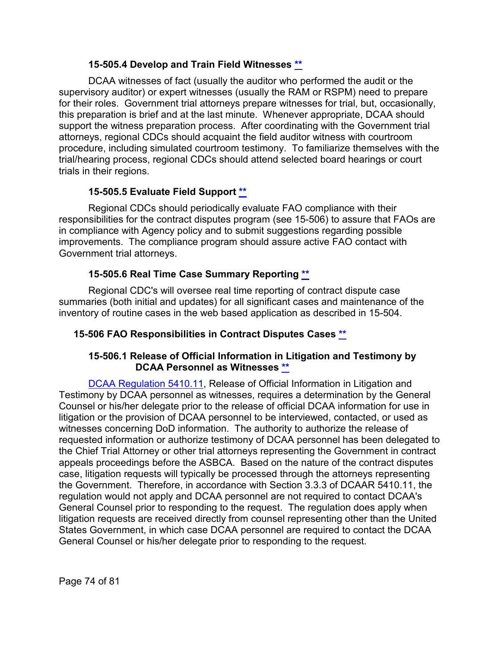## **15-505.4 Develop and Train Field Witnesses [\\*\\*](#page-5-5)**

DCAA witnesses of fact (usually the auditor who performed the audit or the supervisory auditor) or expert witnesses (usually the RAM or RSPM) need to prepare for their roles. Government trial attorneys prepare witnesses for trial, but, occasionally, this preparation is brief and at the last minute. Whenever appropriate, DCAA should support the witness preparation process. After coordinating with the Government trial attorneys, regional CDCs should acquaint the field auditor witness with courtroom procedure, including simulated courtroom testimony. To familiarize themselves with the trial/hearing process, regional CDCs should attend selected board hearings or court trials in their regions.

## **15-505.5 Evaluate Field Support [\\*\\*](#page-5-6)**

Regional CDCs should periodically evaluate FAO compliance with their responsibilities for the contract disputes program (see 15-506) to assure that FAOs are in compliance with Agency policy and to submit suggestions regarding possible improvements. The compliance program should assure active FAO contact with Government trial attorneys.

# **15-505.6 Real Time Case Summary Reporting [\\*\\*](#page-5-7)**

Regional CDC's will oversee real time reporting of contract dispute case summaries (both initial and updates) for all significant cases and maintenance of the inventory of routine cases in the web based application as described in 15-504.

## **15-506 FAO Responsibilities in Contract Disputes Cases [\\*\\*](#page-5-8)**

## **15-506.1 Release of Official Information in Litigation and Testimony by DCAA Personnel as Witnesses [\\*\\*](#page-5-9)**

[DCAA Regulation 5410.11,](https://sharepoint.dcaaintra.mil/headquarters/resources/CM/CMC/Publications/Publications/DCAAI%205410.11.pdf) Release of Official Information in Litigation and Testimony by DCAA personnel as witnesses, requires a determination by the General Counsel or his/her delegate prior to the release of official DCAA information for use in litigation or the provision of DCAA personnel to be interviewed, contacted, or used as witnesses concerning DoD information. The authority to authorize the release of requested information or authorize testimony of DCAA personnel has been delegated to the Chief Trial Attorney or other trial attorneys representing the Government in contract appeals proceedings before the ASBCA. Based on the nature of the contract disputes case, litigation requests will typically be processed through the attorneys representing the Government. Therefore, in accordance with Section 3.3.3 of DCAAR 5410.11, the regulation would not apply and DCAA personnel are not required to contact DCAA's General Counsel prior to responding to the request. The regulation does apply when litigation requests are received directly from counsel representing other than the United States Government, in which case DCAA personnel are required to contact the DCAA General Counsel or his/her delegate prior to responding to the request.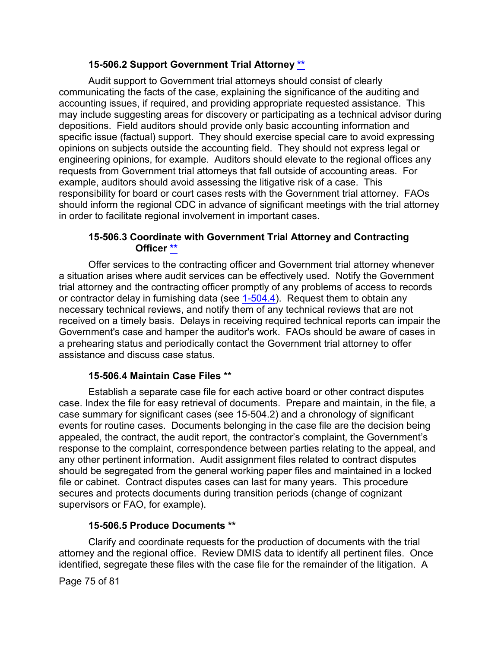## **15-506.2 Support Government Trial Attorney [\\*\\*](#page-5-10)**

Audit support to Government trial attorneys should consist of clearly communicating the facts of the case, explaining the significance of the auditing and accounting issues, if required, and providing appropriate requested assistance. This may include suggesting areas for discovery or participating as a technical advisor during depositions. Field auditors should provide only basic accounting information and specific issue (factual) support. They should exercise special care to avoid expressing opinions on subjects outside the accounting field. They should not express legal or engineering opinions, for example. Auditors should elevate to the regional offices any requests from Government trial attorneys that fall outside of accounting areas. For example, auditors should avoid assessing the litigative risk of a case. This responsibility for board or court cases rests with the Government trial attorney. FAOs should inform the regional CDC in advance of significant meetings with the trial attorney in order to facilitate regional involvement in important cases.

## **15-506.3 Coordinate with Government Trial Attorney and Contracting Officer [\\*\\*](#page-5-11)**

Offer services to the contracting officer and Government trial attorney whenever a situation arises where audit services can be effectively used. Notify the Government trial attorney and the contracting officer promptly of any problems of access to records or contractor delay in furnishing data (see [1-504.4\)](https://viper.dcaa.mil/guidance/cam/3127/introduction-to-contract-audit#Sec15044). Request them to obtain any necessary technical reviews, and notify them of any technical reviews that are not received on a timely basis. Delays in receiving required technical reports can impair the Government's case and hamper the auditor's work. FAOs should be aware of cases in a prehearing status and periodically contact the Government trial attorney to offer assistance and discuss case status.

## **15-506.4 Maintain Case Files [\\*\\*](#page-5-12)**

Establish a separate case file for each active board or other contract disputes case. Index the file for easy retrieval of documents. Prepare and maintain, in the file, a case summary for significant cases (see 15-504.2) and a chronology of significant events for routine cases. Documents belonging in the case file are the decision being appealed, the contract, the audit report, the contractor's complaint, the Government's response to the complaint, correspondence between parties relating to the appeal, and any other pertinent information. Audit assignment files related to contract disputes should be segregated from the general working paper files and maintained in a locked file or cabinet. Contract disputes cases can last for many years. This procedure secures and protects documents during transition periods (change of cognizant supervisors or FAO, for example).

#### **15-506.5 Produce Documents [\\*\\*](#page-5-13)**

Clarify and coordinate requests for the production of documents with the trial attorney and the regional office. Review DMIS data to identify all pertinent files. Once identified, segregate these files with the case file for the remainder of the litigation. A

Page 75 of 81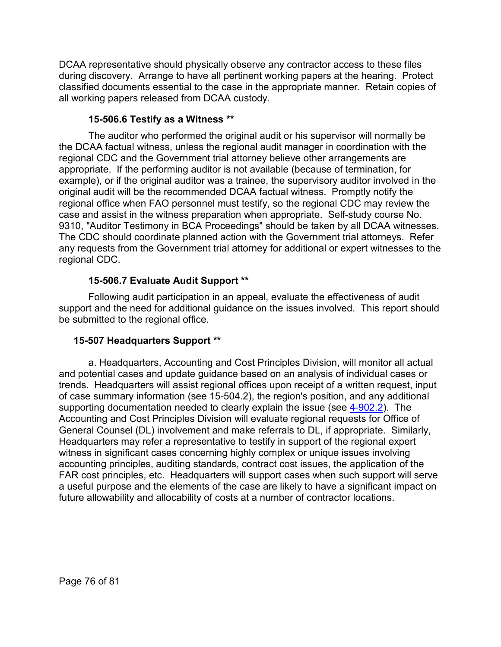DCAA representative should physically observe any contractor access to these files during discovery. Arrange to have all pertinent working papers at the hearing. Protect classified documents essential to the case in the appropriate manner. Retain copies of all working papers released from DCAA custody.

## **15-506.6 Testify as a Witness [\\*\\*](#page-5-14)**

The auditor who performed the original audit or his supervisor will normally be the DCAA factual witness, unless the regional audit manager in coordination with the regional CDC and the Government trial attorney believe other arrangements are appropriate. If the performing auditor is not available (because of termination, for example), or if the original auditor was a trainee, the supervisory auditor involved in the original audit will be the recommended DCAA factual witness. Promptly notify the regional office when FAO personnel must testify, so the regional CDC may review the case and assist in the witness preparation when appropriate. Self-study course No. 9310, "Auditor Testimony in BCA Proceedings" should be taken by all DCAA witnesses. The CDC should coordinate planned action with the Government trial attorneys. Refer any requests from the Government trial attorney for additional or expert witnesses to the regional CDC.

## **15-506.7 Evaluate Audit Support [\\*\\*](#page-5-15)**

Following audit participation in an appeal, evaluate the effectiveness of audit support and the need for additional guidance on the issues involved. This report should be submitted to the regional office.

## **15-507 Headquarters Support [\\*\\*](#page-5-16)**

a. Headquarters, Accounting and Cost Principles Division, will monitor all actual and potential cases and update guidance based on an analysis of individual cases or trends. Headquarters will assist regional offices upon receipt of a written request, input of case summary information (see 15-504.2), the region's position, and any additional supporting documentation needed to clearly explain the issue (see [4-902.2\)](https://viper.dcaa.mil/guidance/cam/3130/general-audit-requirements#Sec49022). The Accounting and Cost Principles Division will evaluate regional requests for Office of General Counsel (DL) involvement and make referrals to DL, if appropriate. Similarly, Headquarters may refer a representative to testify in support of the regional expert witness in significant cases concerning highly complex or unique issues involving accounting principles, auditing standards, contract cost issues, the application of the FAR cost principles, etc. Headquarters will support cases when such support will serve a useful purpose and the elements of the case are likely to have a significant impact on future allowability and allocability of costs at a number of contractor locations.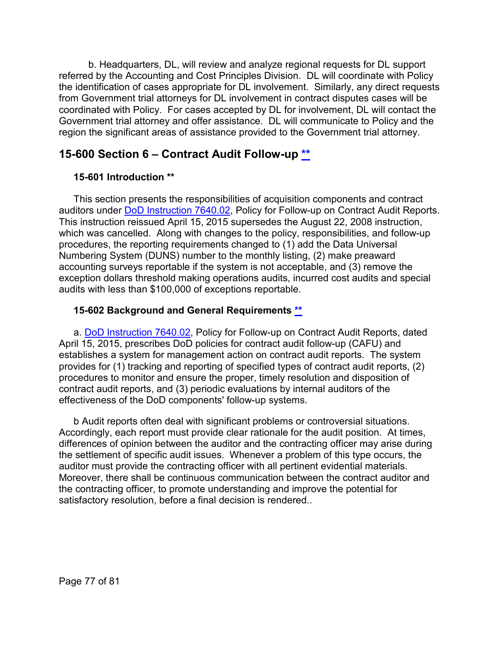b. Headquarters, DL, will review and analyze regional requests for DL support referred by the Accounting and Cost Principles Division. DL will coordinate with Policy the identification of cases appropriate for DL involvement. Similarly, any direct requests from Government trial attorneys for DL involvement in contract disputes cases will be coordinated with Policy. For cases accepted by DL for involvement, DL will contact the Government trial attorney and offer assistance. DL will communicate to Policy and the region the significant areas of assistance provided to the Government trial attorney.

# **15-600 Section 6 – Contract Audit Follow-up [\\*\\*](#page-6-0)**

# **15-601 Introduction [\\*\\*](#page-6-1)**

This section presents the responsibilities of acquisition components and contract auditors under [DoD Instruction 7640.02,](https://www.esd.whs.mil/Portals/54/Documents/DD/issuances/dodi/764002p.pdf) Policy for Follow-up on Contract Audit Reports. This instruction reissued April 15, 2015 supersedes the August 22, 2008 instruction, which was cancelled. Along with changes to the policy, responsibilities, and follow-up procedures, the reporting requirements changed to (1) add the Data Universal Numbering System (DUNS) number to the monthly listing, (2) make preaward accounting surveys reportable if the system is not acceptable, and (3) remove the exception dollars threshold making operations audits, incurred cost audits and special audits with less than \$100,000 of exceptions reportable.

# **15-602 Background and General Requirements [\\*\\*](#page-6-2)**

a. [DoD Instruction 7640.02,](https://www.esd.whs.mil/Portals/54/Documents/DD/issuances/dodi/764002p.pdf) Policy for Follow-up on Contract Audit Reports, dated April 15, 2015, prescribes DoD policies for contract audit follow-up (CAFU) and establishes a system for management action on contract audit reports. The system provides for (1) tracking and reporting of specified types of contract audit reports, (2) procedures to monitor and ensure the proper, timely resolution and disposition of contract audit reports, and (3) periodic evaluations by internal auditors of the effectiveness of the DoD components' follow-up systems.

b Audit reports often deal with significant problems or controversial situations. Accordingly, each report must provide clear rationale for the audit position. At times, differences of opinion between the auditor and the contracting officer may arise during the settlement of specific audit issues. Whenever a problem of this type occurs, the auditor must provide the contracting officer with all pertinent evidential materials. Moreover, there shall be continuous communication between the contract auditor and the contracting officer, to promote understanding and improve the potential for satisfactory resolution, before a final decision is rendered..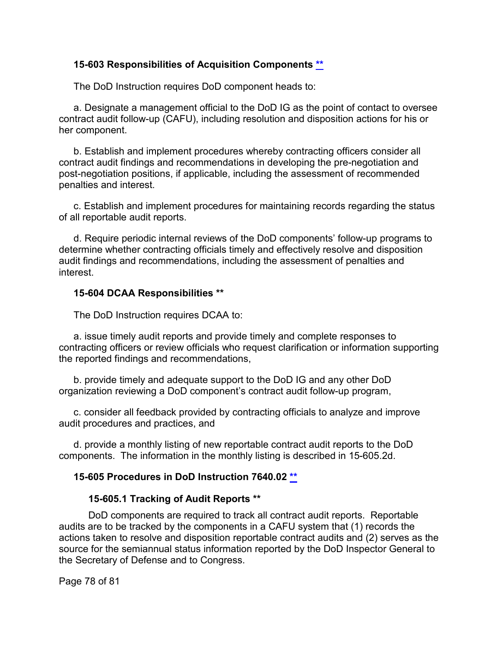#### **15-603 Responsibilities of Acquisition Components [\\*\\*](#page-6-3)**

The DoD Instruction requires DoD component heads to:

a. Designate a management official to the DoD IG as the point of contact to oversee contract audit follow-up (CAFU), including resolution and disposition actions for his or her component.

b. Establish and implement procedures whereby contracting officers consider all contract audit findings and recommendations in developing the pre-negotiation and post-negotiation positions, if applicable, including the assessment of recommended penalties and interest.

c. Establish and implement procedures for maintaining records regarding the status of all reportable audit reports.

d. Require periodic internal reviews of the DoD components' follow-up programs to determine whether contracting officials timely and effectively resolve and disposition audit findings and recommendations, including the assessment of penalties and interest.

#### **15-604 DCAA Responsibilities [\\*\\*](#page-6-4)**

The DoD Instruction requires DCAA to:

a. issue timely audit reports and provide timely and complete responses to contracting officers or review officials who request clarification or information supporting the reported findings and recommendations,

b. provide timely and adequate support to the DoD IG and any other DoD organization reviewing a DoD component's contract audit follow-up program,

c. consider all feedback provided by contracting officials to analyze and improve audit procedures and practices, and

d. provide a monthly listing of new reportable contract audit reports to the DoD components. The information in the monthly listing is described in 15-605.2d.

## **15-605 Procedures in DoD Instruction 7640.02 [\\*\\*](#page-6-5)**

#### **15-605.1 Tracking of Audit Reports [\\*\\*](#page-6-6)**

DoD components are required to track all contract audit reports. Reportable audits are to be tracked by the components in a CAFU system that (1) records the actions taken to resolve and disposition reportable contract audits and (2) serves as the source for the semiannual status information reported by the DoD Inspector General to the Secretary of Defense and to Congress.

Page 78 of 81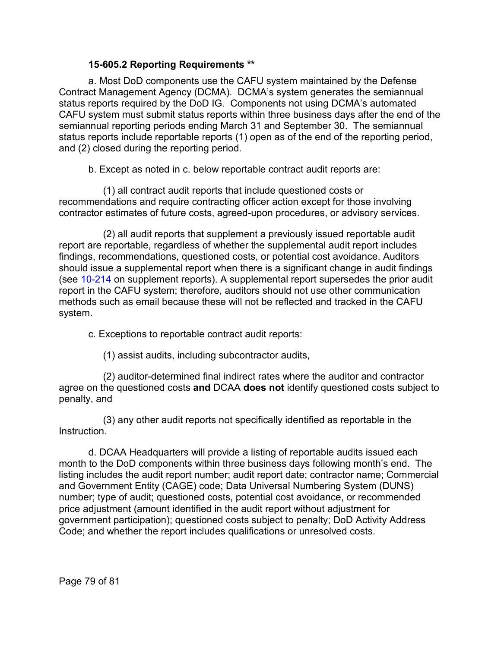## **15-605.2 Reporting Requirements [\\*\\*](#page-6-7)**

a. Most DoD components use the CAFU system maintained by the Defense Contract Management Agency (DCMA). DCMA's system generates the semiannual status reports required by the DoD IG. Components not using DCMA's automated CAFU system must submit status reports within three business days after the end of the semiannual reporting periods ending March 31 and September 30. The semiannual status reports include reportable reports (1) open as of the end of the reporting period, and (2) closed during the reporting period.

b. Except as noted in c. below reportable contract audit reports are:

(1) all contract audit reports that include questioned costs or recommendations and require contracting officer action except for those involving contractor estimates of future costs, agreed-upon procedures, or advisory services.

(2) all audit reports that supplement a previously issued reportable audit report are reportable, regardless of whether the supplemental audit report includes findings, recommendations, questioned costs, or potential cost avoidance. Auditors should issue a supplemental report when there is a significant change in audit findings (see [10-214](https://viper.dcaa.mil/guidance/cam/3147/preparation-and-distribution-of-audit-reports#Sec10214) on supplement reports). A supplemental report supersedes the prior audit report in the CAFU system; therefore, auditors should not use other communication methods such as email because these will not be reflected and tracked in the CAFU system.

c. Exceptions to reportable contract audit reports:

(1) assist audits, including subcontractor audits,

(2) auditor-determined final indirect rates where the auditor and contractor agree on the questioned costs **and** DCAA **does not** identify questioned costs subject to penalty, and

(3) any other audit reports not specifically identified as reportable in the **Instruction** 

d. DCAA Headquarters will provide a listing of reportable audits issued each month to the DoD components within three business days following month's end. The listing includes the audit report number; audit report date; contractor name; Commercial and Government Entity (CAGE) code; Data Universal Numbering System (DUNS) number; type of audit; questioned costs, potential cost avoidance, or recommended price adjustment (amount identified in the audit report without adjustment for government participation); questioned costs subject to penalty; DoD Activity Address Code; and whether the report includes qualifications or unresolved costs.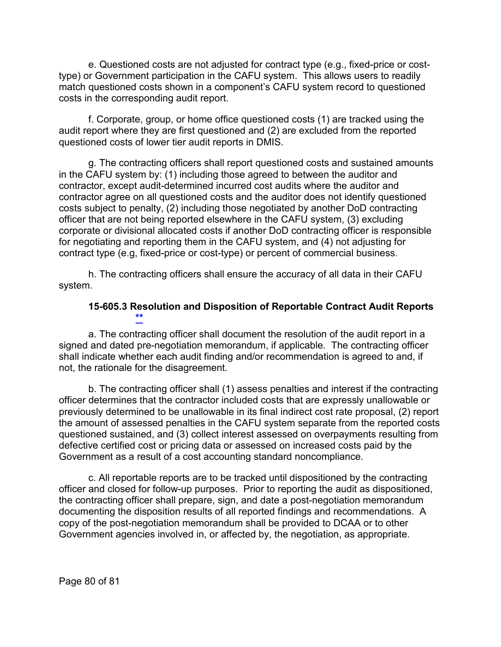e. Questioned costs are not adjusted for contract type (e.g., fixed-price or costtype) or Government participation in the CAFU system. This allows users to readily match questioned costs shown in a component's CAFU system record to questioned costs in the corresponding audit report.

f. Corporate, group, or home office questioned costs (1) are tracked using the audit report where they are first questioned and (2) are excluded from the reported questioned costs of lower tier audit reports in DMIS.

g. The contracting officers shall report questioned costs and sustained amounts in the CAFU system by: (1) including those agreed to between the auditor and contractor, except audit-determined incurred cost audits where the auditor and contractor agree on all questioned costs and the auditor does not identify questioned costs subject to penalty, (2) including those negotiated by another DoD contracting officer that are not being reported elsewhere in the CAFU system, (3) excluding corporate or divisional allocated costs if another DoD contracting officer is responsible for negotiating and reporting them in the CAFU system, and (4) not adjusting for contract type (e.g, fixed-price or cost-type) or percent of commercial business.

h. The contracting officers shall ensure the accuracy of all data in their CAFU system.

## **15-605.3 Resolution and Disposition of Reportable Contract Audit Reports [\\*\\*](#page-6-8)**

a. The contracting officer shall document the resolution of the audit report in a signed and dated pre-negotiation memorandum, if applicable. The contracting officer shall indicate whether each audit finding and/or recommendation is agreed to and, if not, the rationale for the disagreement.

b. The contracting officer shall (1) assess penalties and interest if the contracting officer determines that the contractor included costs that are expressly unallowable or previously determined to be unallowable in its final indirect cost rate proposal, (2) report the amount of assessed penalties in the CAFU system separate from the reported costs questioned sustained, and (3) collect interest assessed on overpayments resulting from defective certified cost or pricing data or assessed on increased costs paid by the Government as a result of a cost accounting standard noncompliance.

c. All reportable reports are to be tracked until dispositioned by the contracting officer and closed for follow-up purposes. Prior to reporting the audit as dispositioned, the contracting officer shall prepare, sign, and date a post-negotiation memorandum documenting the disposition results of all reported findings and recommendations. A copy of the post-negotiation memorandum shall be provided to DCAA or to other Government agencies involved in, or affected by, the negotiation, as appropriate.